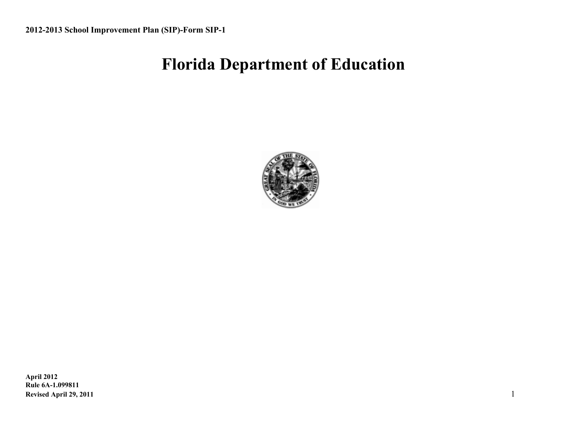# **Florida Department of Education**

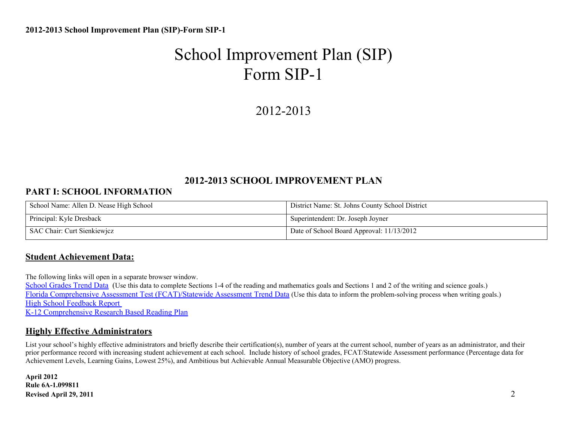# 2012-2013

#### **2012-2013 SCHOOL IMPROVEMENT PLAN**

#### **PART I: SCHOOL INFORMATION**

| School Name: Allen D. Nease High School | District Name: St. Johns County School District |  |  |
|-----------------------------------------|-------------------------------------------------|--|--|
| Principal: Kyle Dresback                | Superintendent: Dr. Joseph Joyner               |  |  |
| SAC Chair: Curt Sienkiewjcz             | Date of School Board Approval: 11/13/2012       |  |  |

#### **Student Achievement Data:**

The following links will open in a separate browser window.

[School](http://schoolgrades.fldoe.org/default.asp) [Grades](http://schoolgrades.fldoe.org/default.asp) [Trend](http://schoolgrades.fldoe.org/default.asp) [Data](http://schoolgrades.fldoe.org/default.asp) (Use this data to complete Sections 1-4 of the reading and mathematics goals and Sections 1 and 2 of the writing and science goals.) [Florida](http://fcat.fldoe.org/results/default.asp) [Comprehensive](http://fcat.fldoe.org/results/default.asp) [Assessment](http://fcat.fldoe.org/results/default.asp) [Test \(FCAT\)/Statewide](http://fcat.fldoe.org/results/default.asp) Assessment [Trend](http://fcat.fldoe.org/results/default.asp) [Data](http://fcat.fldoe.org/results/default.asp) (Use this data to inform the problem-solving process when writing goals.) [High](http://data.fldoe.org/readiness/) [School](http://data.fldoe.org/readiness/) [Feedback](http://data.fldoe.org/readiness/) [Report](http://data.fldoe.org/readiness/) [K-12 Comprehensive](https://app1.fldoe.org/Reading_Plans/Narrative/NarrativeList.aspx) [Research](https://app1.fldoe.org/Reading_Plans/Narrative/NarrativeList.aspx) [Based](https://app1.fldoe.org/Reading_Plans/Narrative/NarrativeList.aspx) [Reading](https://app1.fldoe.org/Reading_Plans/Narrative/NarrativeList.aspx) [Plan](https://app1.fldoe.org/Reading_Plans/Narrative/NarrativeList.aspx)

#### **Highly Effective Administrators**

List your school's highly effective administrators and briefly describe their certification(s), number of years at the current school, number of years as an administrator, and their prior performance record with increasing student achievement at each school. Include history of school grades, FCAT/Statewide Assessment performance (Percentage data for Achievement Levels, Learning Gains, Lowest 25%), and Ambitious but Achievable Annual Measurable Objective (AMO) progress.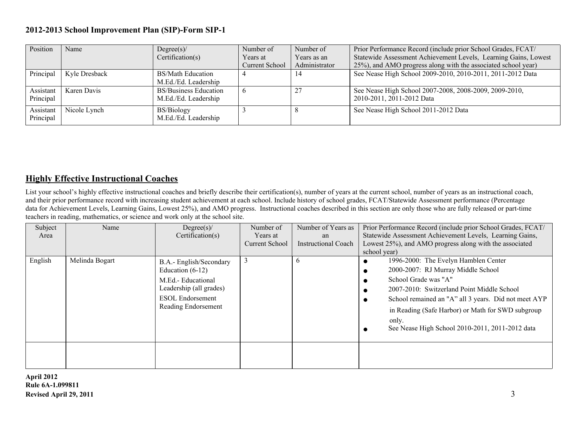| Position  | Name                 | Degree(s)/                   | Number of      | Number of     | Prior Performance Record (include prior School Grades, FCAT/    |
|-----------|----------------------|------------------------------|----------------|---------------|-----------------------------------------------------------------|
|           |                      | Certification(s)             | Years at       | Years as an   | Statewide Assessment Achievement Levels, Learning Gains, Lowest |
|           |                      |                              | Current School | Administrator | 25%), and AMO progress along with the associated school year)   |
| Principal | <b>Kyle Dresback</b> | <b>BS/Math Education</b>     |                | 14            | See Nease High School 2009-2010, 2010-2011, 2011-2012 Data      |
|           |                      | M.Ed./Ed. Leadership         |                |               |                                                                 |
| Assistant | Karen Davis          | <b>BS/Business Education</b> | -c             | 27            | See Nease High School 2007-2008, 2008-2009, 2009-2010,          |
| Principal |                      | M.Ed./Ed. Leadership         |                |               | 2010-2011, 2011-2012 Data                                       |
| Assistant | Nicole Lynch         | <b>BS/Biology</b>            |                |               | See Nease High School 2011-2012 Data                            |
| Principal |                      | M.Ed./Ed. Leadership         |                |               |                                                                 |

#### **Highly Effective Instructional Coaches**

List your school's highly effective instructional coaches and briefly describe their certification(s), number of years at the current school, number of years as an instructional coach, and their prior performance record with increasing student achievement at each school. Include history of school grades, FCAT/Statewide Assessment performance (Percentage data for Achievement Levels, Learning Gains, Lowest 25%), and AMO progress. Instructional coaches described in this section are only those who are fully released or part-time teachers in reading, mathematics, or science and work only at the school site.

| Subject<br>Area | Name           | Degree(s)<br>Certification(s)                                                                                                             | Number of<br>Years at<br><b>Current School</b> | Number of Years as<br>an<br><b>Instructional Coach</b> | Prior Performance Record (include prior School Grades, FCAT/<br>Statewide Assessment Achievement Levels, Learning Gains,<br>Lowest 25%), and AMO progress along with the associated<br>school year)                                                                                                                       |  |  |
|-----------------|----------------|-------------------------------------------------------------------------------------------------------------------------------------------|------------------------------------------------|--------------------------------------------------------|---------------------------------------------------------------------------------------------------------------------------------------------------------------------------------------------------------------------------------------------------------------------------------------------------------------------------|--|--|
| English         | Melinda Bogart | B.A.- English/Secondary<br>Education $(6-12)$<br>M.Ed.- Educational<br>Leadership (all grades)<br>ESOL Endorsement<br>Reading Endorsement | 3                                              | $\mathfrak{b}$                                         | 1996-2000: The Evelyn Hamblen Center<br>2000-2007: RJ Murray Middle School<br>School Grade was "A"<br>2007-2010: Switzerland Point Middle School<br>School remained an "A" all 3 years. Did not meet AYP<br>in Reading (Safe Harbor) or Math for SWD subgroup<br>only.<br>See Nease High School 2010-2011, 2011-2012 data |  |  |
|                 |                |                                                                                                                                           |                                                |                                                        |                                                                                                                                                                                                                                                                                                                           |  |  |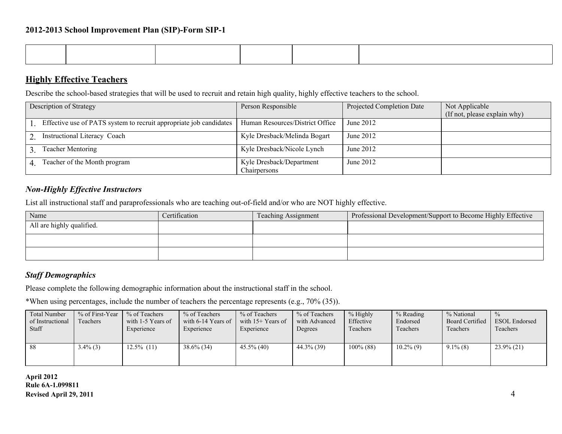| the contract of the contract of the contract of the contract of the contract of the contract of the contract of | ,我们也不会有什么?""我们的话,我们也不会有什么?""我们的话,我们也不会有什么?""我们的话,我们也不会有什么?""我们的话,我们也不会有什么?""我们的话 |  |  |
|-----------------------------------------------------------------------------------------------------------------|----------------------------------------------------------------------------------|--|--|
|                                                                                                                 |                                                                                  |  |  |
|                                                                                                                 |                                                                                  |  |  |
|                                                                                                                 |                                                                                  |  |  |
|                                                                                                                 |                                                                                  |  |  |
|                                                                                                                 |                                                                                  |  |  |
|                                                                                                                 |                                                                                  |  |  |
|                                                                                                                 |                                                                                  |  |  |
|                                                                                                                 |                                                                                  |  |  |

#### **Highly Effective Teachers**

Describe the school-based strategies that will be used to recruit and retain high quality, highly effective teachers to the school.

| Description of Strategy                                            | Person Responsible              | Projected Completion Date | Not Applicable<br>(If not, please explain why) |
|--------------------------------------------------------------------|---------------------------------|---------------------------|------------------------------------------------|
|                                                                    |                                 |                           |                                                |
| Effective use of PATS system to recruit appropriate job candidates | Human Resources/District Office | June 2012                 |                                                |
|                                                                    |                                 |                           |                                                |
| Instructional Literacy Coach                                       | Kyle Dresback/Melinda Bogart    | June 2012                 |                                                |
|                                                                    |                                 |                           |                                                |
| <b>Teacher Mentoring</b>                                           | Kyle Dresback/Nicole Lynch      | June 2012                 |                                                |
|                                                                    |                                 |                           |                                                |
| Teacher of the Month program                                       | Kyle Dresback/Department        | June 2012                 |                                                |
|                                                                    | Chairpersons                    |                           |                                                |

#### *Non-Highly Effective Instructors*

List all instructional staff and paraprofessionals who are teaching out-of-field and/or who are NOT highly effective.

| Name                      | Certification | <b>Teaching Assignment</b> | Professional Development/Support to Become Highly Effective |
|---------------------------|---------------|----------------------------|-------------------------------------------------------------|
| All are highly qualified. |               |                            |                                                             |
|                           |               |                            |                                                             |
|                           |               |                            |                                                             |
|                           |               |                            |                                                             |
|                           |               |                            |                                                             |
|                           |               |                            |                                                             |

#### *Staff Demographics*

Please complete the following demographic information about the instructional staff in the school.

\*When using percentages, include the number of teachers the percentage represents (e.g., 70% (35)).

| Total Number<br>of Instructional<br><b>Staff</b> | $%$ of First-Year  <br>Teachers | % of Teachers<br>with 1-5 Years of<br>Experience | % of Teachers<br>with $6-14$ Years of<br>Experience | % of Teachers<br>with $15+$ Years of<br>Experience | % of Teachers<br>with Advanced<br>Degrees | % Highly<br>Effective<br>Teachers | % Reading<br>Endorsed<br>Teachers | % National<br><b>Board Certified</b><br>Teachers | $\frac{0}{0}$<br><b>ESOL</b> Endorsed<br>Teachers |
|--------------------------------------------------|---------------------------------|--------------------------------------------------|-----------------------------------------------------|----------------------------------------------------|-------------------------------------------|-----------------------------------|-----------------------------------|--------------------------------------------------|---------------------------------------------------|
| - 88                                             | $3.4\%$ (3)                     | $12.5\%$ (11)                                    | $38.6\%$ (34)                                       | $45.5\%$ (40)                                      | 44.3% (39)                                | $100\%$ (88)                      | $10.2\%$ (9)                      | $9.1\%$ (8)                                      | $23.9\%$ (21)                                     |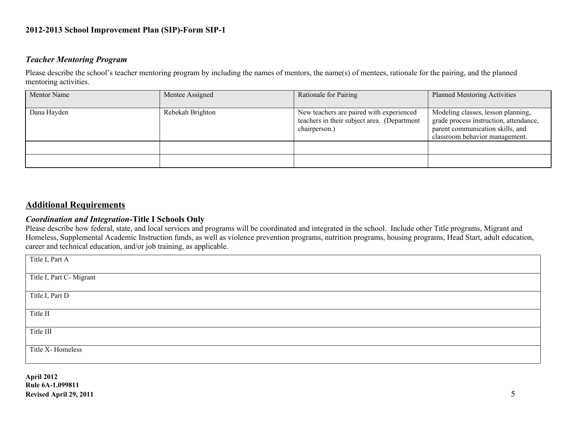#### *Teacher Mentoring Program*

Please describe the school's teacher mentoring program by including the names of mentors, the name(s) of mentees, rationale for the pairing, and the planned mentoring activities.

| <b>Mentor Name</b> | Mentee Assigned  | Rationale for Pairing                                                                                    | <b>Planned Mentoring Activities</b>                                                                                                                |
|--------------------|------------------|----------------------------------------------------------------------------------------------------------|----------------------------------------------------------------------------------------------------------------------------------------------------|
| Dana Hayden        | Rebekah Brighton | New teachers are paired with experienced<br>teachers in their subject area. (Department<br>chairperson.) | Modeling classes, lesson planning,<br>grade process instruction, attendance,<br>parent communication skills, and<br>classroom behavior management. |
|                    |                  |                                                                                                          |                                                                                                                                                    |
|                    |                  |                                                                                                          |                                                                                                                                                    |

#### **Additional Requirements**

#### *Coordination and Integration-***Title I Schools Only**

Please describe how federal, state, and local services and programs will be coordinated and integrated in the school. Include other Title programs, Migrant and Homeless, Supplemental Academic Instruction funds, as well as violence prevention programs, nutrition programs, housing programs, Head Start, adult education, career and technical education, and/or job training, as applicable.

| Title I, Part A          |  |
|--------------------------|--|
| Title I, Part C- Migrant |  |
| Title I, Part D          |  |
| Title II                 |  |
| Title III                |  |
| Title X- Homeless        |  |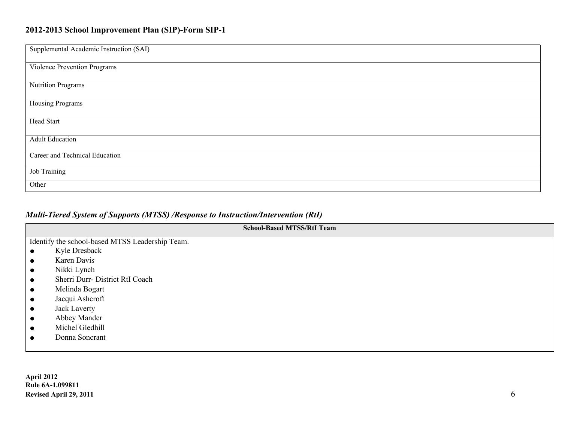| Supplemental Academic Instruction (SAI) |
|-----------------------------------------|
| Violence Prevention Programs            |
| Nutrition Programs                      |
| Housing Programs                        |
| <b>Head Start</b>                       |
| <b>Adult Education</b>                  |
| Career and Technical Education          |
| Job Training                            |
| Other                                   |

### *Multi-Tiered System of Supports (MTSS) /Response to Instruction/Intervention (RtI)*

| <b>School-Based MTSS/RtI Team</b>               |  |
|-------------------------------------------------|--|
| Identify the school-based MTSS Leadership Team. |  |
| Kyle Dresback                                   |  |
| Karen Davis                                     |  |
| Nikki Lynch<br>$\bullet$                        |  |
| Sherri Durr- District RtI Coach                 |  |
| Melinda Bogart                                  |  |
| Jacqui Ashcroft<br>$\bullet$                    |  |
| Jack Laverty                                    |  |
| Abbey Mander                                    |  |
| Michel Gledhill                                 |  |
| Donna Soncrant                                  |  |
|                                                 |  |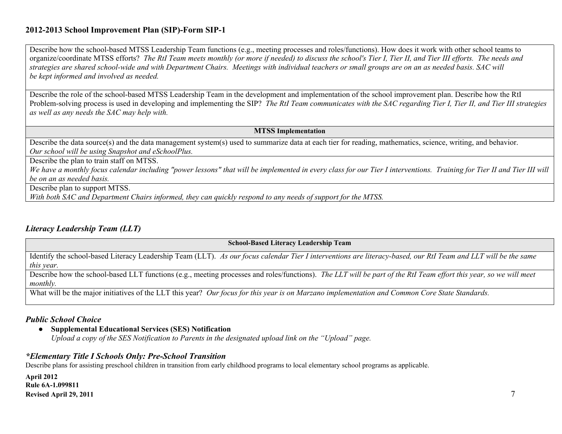Describe how the school-based MTSS Leadership Team functions (e.g., meeting processes and roles/functions). How does it work with other school teams to organize/coordinate MTSS efforts? *The RtI Team meets monthly (or more if needed) to discuss the school's Tier I, Tier II, and Tier III efforts. The needs and strategies are shared school-wide and with Department Chairs. Meetings with individual teachers or small groups are on an as needed basis. SAC will be kept informed and involved as needed.*

Describe the role of the school-based MTSS Leadership Team in the development and implementation of the school improvement plan. Describe how the RtI Problem-solving process is used in developing and implementing the SIP? *The RtI Team communicates with the SAC regarding Tier I, Tier II, and Tier III strategies as well as any needs the SAC may help with.*

#### **MTSS Implementation**

Describe the data source(s) and the data management system(s) used to summarize data at each tier for reading, mathematics, science, writing, and behavior. *Our school will be using Snapshot and eSchoolPlus.*

Describe the plan to train staff on MTSS.

We have a monthly focus calendar including "power lessons" that will be implemented in every class for our Tier I interventions. Training for Tier II and Tier III will *be on an as needed basis.*

Describe plan to support MTSS.

*With both SAC and Department Chairs informed, they can quickly respond to any needs of support for the MTSS.*

#### *Literacy Leadership Team (LLT)*

**School-Based Literacy Leadership Team**

Identify the school-based Literacy Leadership Team (LLT). *As our focus calendar Tier I interventions are literacy-based, our RtI Team and LLT will be the same this year.*

Describe how the school-based LLT functions (e.g., meeting processes and roles/functions). *The LLT will be part of the RtI Team effort this year, so we will meet monthly.*

What will be the major initiatives of the LLT this year? *Our focus for this year is on Marzano implementation and Common Core State Standards.* 

#### *Public School Choice*

● **Supplemental Educational Services (SES) Notification**

*Upload a copy of the SES Notification to Parents in the designated upload link on the "Upload" page.*

#### *\*Elementary Title I Schools Only: Pre-School Transition*

Describe plans for assisting preschool children in transition from early childhood programs to local elementary school programs as applicable.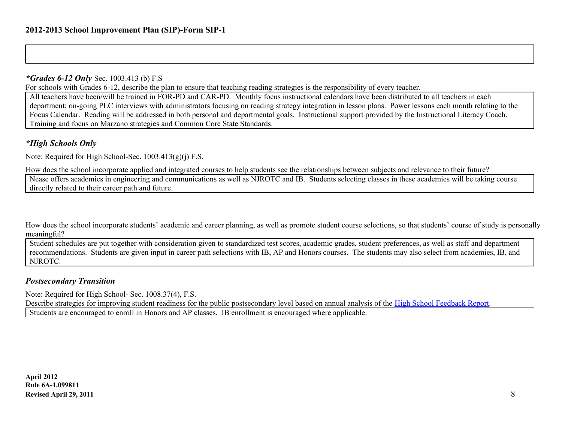#### *\*Grades 6-12 Only* Sec. 1003.413 (b) F.S

For schools with Grades 6-12, describe the plan to ensure that teaching reading strategies is the responsibility of every teacher.

All teachers have been/will be trained in FOR-PD and CAR-PD. Monthly focus instructional calendars have been distributed to all teachers in each department; on-going PLC interviews with administrators focusing on reading strategy integration in lesson plans. Power lessons each month relating to the Focus Calendar. Reading will be addressed in both personal and departmental goals. Instructional support provided by the Instructional Literacy Coach. Training and focus on Marzano strategies and Common Core State Standards.

#### *\*High Schools Only*

Note: Required for High School-Sec. 1003.413(g)(j) F.S.

How does the school incorporate applied and integrated courses to help students see the relationships between subjects and relevance to their future?

Nease offers academies in engineering and communications as well as NJROTC and IB. Students selecting classes in these academies will be taking course directly related to their career path and future.

How does the school incorporate students' academic and career planning, as well as promote student course selections, so that students' course of study is personally meaningful?

Student schedules are put together with consideration given to standardized test scores, academic grades, student preferences, as well as staff and department recommendations. Students are given input in career path selections with IB, AP and Honors courses. The students may also select from academies, IB, and NJROTC.

#### *Postsecondary Transition*

Note: Required for High School- Sec. 1008.37(4), F.S.

Describe strategies for improving student readiness for the public postsecondary level based on annual analysis of the [High](http://data.fldoe.org/readiness/) [School](http://data.fldoe.org/readiness/) [Feedback](http://data.fldoe.org/readiness/) [Report](http://data.fldoe.org/readiness/). Students are encouraged to enroll in Honors and AP classes. IB enrollment is encouraged where applicable.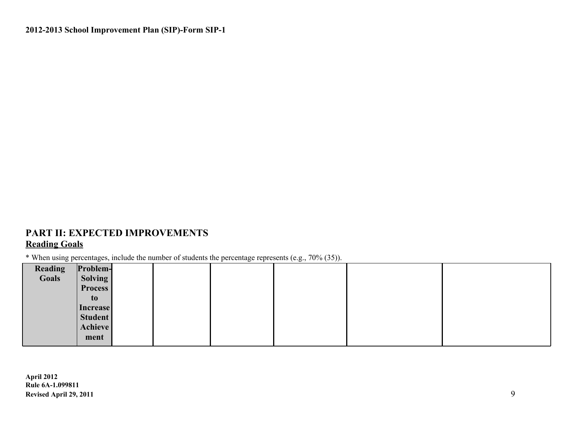### **PART II: EXPECTED IMPROVEMENTS Reading Goals**

\* When using percentages, include the number of students the percentage represents (e.g., 70% (35)).

| Reading | Problem-       |  |  |  |
|---------|----------------|--|--|--|
| Goals   | Solving        |  |  |  |
|         | <b>Process</b> |  |  |  |
|         | to             |  |  |  |
|         | Increase       |  |  |  |
|         | Student        |  |  |  |
|         | Achieve        |  |  |  |
|         | ment           |  |  |  |
|         |                |  |  |  |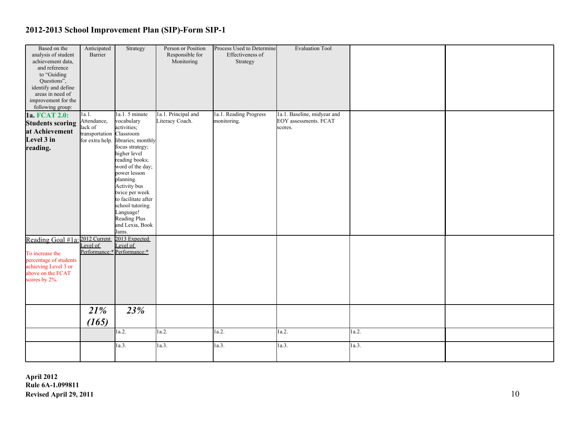| Based on the<br>analysis of student<br>achievement data,<br>and reference<br>to "Guiding<br>Questions",<br>identify and define            | Anticipated<br>Barrier                                      | Strategy                                                                                                                                                                                                                                                                                                                       | Person or Position<br>Responsible for<br>Monitoring | Process Used to Determine<br>Effectiveness of<br>Strategy | <b>Evaluation Tool</b>                                          |       |  |
|-------------------------------------------------------------------------------------------------------------------------------------------|-------------------------------------------------------------|--------------------------------------------------------------------------------------------------------------------------------------------------------------------------------------------------------------------------------------------------------------------------------------------------------------------------------|-----------------------------------------------------|-----------------------------------------------------------|-----------------------------------------------------------------|-------|--|
| areas in need of<br>improvement for the<br>following group:                                                                               |                                                             |                                                                                                                                                                                                                                                                                                                                |                                                     |                                                           |                                                                 |       |  |
| 1a. FCAT 2.0:<br><b>Students scoring</b><br>at Achievement<br>Level 3 in<br>reading.                                                      | 1a.1.<br>Attendance,<br>lack of<br>transportation Classroom | $1a.1.5$ minute<br>vocabulary<br>activities;<br>for extra help. libraries; monthly<br>focus strategy;<br>higher level<br>reading books;<br>word of the day;<br>power lesson<br>planning.<br>Activity bus<br>twice per week<br>to facilitate after<br>school tutoring.<br>Language!<br>Reading Plus<br>and Lexia, Book<br>Jams. | 1a.1. Principal and<br>Literacy Coach.              | 1a.1. Reading Progress<br>monitoring.                     | 1a.1. Baseline, midyear and<br>EOY assessments. FCAT<br>scores. |       |  |
| Reading Goal #1a: 2012 Current<br>To increase the<br>percentage of students<br>achieving Level 3 or<br>above on the FCAT<br>scores by 2%. | Level of                                                    | 2013 Expected<br>Level of<br>Performance:* Performance:*                                                                                                                                                                                                                                                                       |                                                     |                                                           |                                                                 |       |  |
|                                                                                                                                           | 21%<br>(165)                                                | 23%                                                                                                                                                                                                                                                                                                                            |                                                     |                                                           |                                                                 |       |  |
|                                                                                                                                           |                                                             | 1a.2.                                                                                                                                                                                                                                                                                                                          | 1a.2.                                               | 1a.2.                                                     | 1a.2.                                                           | 1a.2. |  |
|                                                                                                                                           |                                                             | 1a.3.                                                                                                                                                                                                                                                                                                                          | 1a.3.                                               | 1a.3.                                                     | 1a.3.                                                           | 1a.3. |  |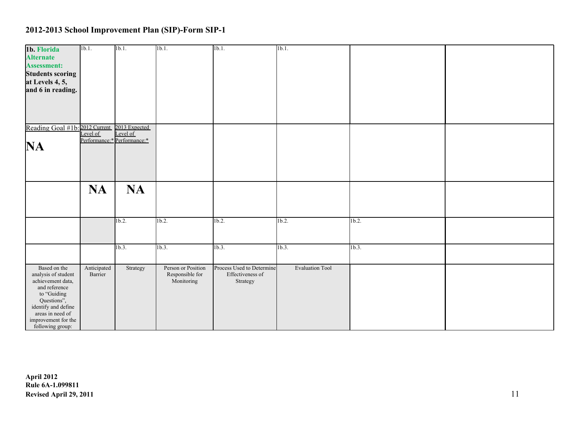| 1b. Florida<br><b>Alternate</b><br><b>Assessment:</b><br><b>Students scoring</b><br>at Levels 4, 5,<br>and 6 in reading.                                                                      | $\overline{\text{lb.1}}$ | 1 <sub>b.1</sub>            | 1b.1.                                               | 1 <sub>b.1</sub>                                          | 1b.1.                  |          |  |
|-----------------------------------------------------------------------------------------------------------------------------------------------------------------------------------------------|--------------------------|-----------------------------|-----------------------------------------------------|-----------------------------------------------------------|------------------------|----------|--|
| Reading Goal #1b: 2012 Current 2013 Expected<br>Level of Level of<br>NA                                                                                                                       |                          | Performance:* Performance:* |                                                     |                                                           |                        |          |  |
|                                                                                                                                                                                               | <b>NA</b>                | <b>NA</b>                   |                                                     |                                                           |                        |          |  |
|                                                                                                                                                                                               |                          | 1 <sub>b.2</sub>            | $1b.2$ .                                            | 1 <sub>b.2</sub>                                          | $1b.2$ .               | $1b.2$ . |  |
|                                                                                                                                                                                               |                          | 1b.3.                       | 1b.3.                                               | 1b.3.                                                     | 1b.3.                  | 1b.3.    |  |
| Based on the<br>analysis of student<br>achievement data,<br>and reference<br>to "Guiding<br>Questions",<br>identify and define<br>areas in need of<br>improvement for the<br>following group: | Anticipated<br>Barrier   | Strategy                    | Person or Position<br>Responsible for<br>Monitoring | Process Used to Determine<br>Effectiveness of<br>Strategy | <b>Evaluation Tool</b> |          |  |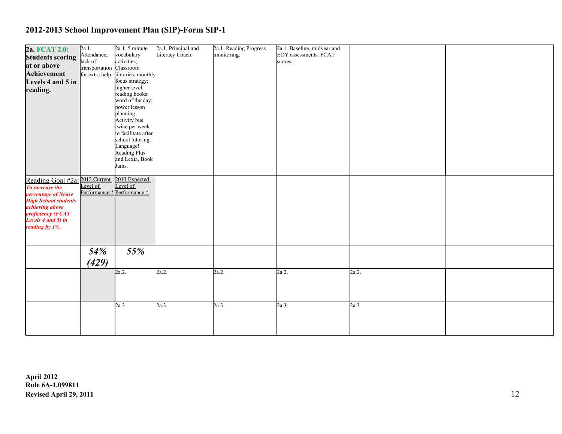| 2a. FCAT 2.0:                                | 2a.1.                    | 2a.1.5 minute                         | 2a.1. Principal and | 2a.1. Reading Progress | 2a.1. Baseline, midyear and |       |  |
|----------------------------------------------|--------------------------|---------------------------------------|---------------------|------------------------|-----------------------------|-------|--|
|                                              | Attendance,              | vocabulary                            | Literacy Coach.     | monitoring.            | EOY assessments. FCAT       |       |  |
| <b>Students scoring</b>                      | lack of                  | activities;                           |                     |                        | scores.                     |       |  |
| at or above                                  | transportation Classroom |                                       |                     |                        |                             |       |  |
| Achievement                                  |                          | for extra help. libraries; monthly    |                     |                        |                             |       |  |
| Levels 4 and 5 in                            |                          | focus strategy;                       |                     |                        |                             |       |  |
| reading.                                     |                          | higher level                          |                     |                        |                             |       |  |
|                                              |                          | reading books;                        |                     |                        |                             |       |  |
|                                              |                          | word of the day;                      |                     |                        |                             |       |  |
|                                              |                          | power lesson                          |                     |                        |                             |       |  |
|                                              |                          | planning.                             |                     |                        |                             |       |  |
|                                              |                          | Activity bus                          |                     |                        |                             |       |  |
|                                              |                          | twice per week<br>to facilitate after |                     |                        |                             |       |  |
|                                              |                          | school tutoring.                      |                     |                        |                             |       |  |
|                                              |                          | Language!                             |                     |                        |                             |       |  |
|                                              |                          | Reading Plus                          |                     |                        |                             |       |  |
|                                              |                          | and Lexia, Book                       |                     |                        |                             |       |  |
|                                              |                          | Jams.                                 |                     |                        |                             |       |  |
|                                              |                          |                                       |                     |                        |                             |       |  |
| Reading Goal #2a: 2012 Current 2013 Expected |                          |                                       |                     |                        |                             |       |  |
| To increase the                              | Level of                 | Level of                              |                     |                        |                             |       |  |
| percentage of Nease                          |                          | Performance:* Performance:*           |                     |                        |                             |       |  |
| <b>High School students</b>                  |                          |                                       |                     |                        |                             |       |  |
| <i>achieving above</i>                       |                          |                                       |                     |                        |                             |       |  |
| proficiency (FCAT                            |                          |                                       |                     |                        |                             |       |  |
| Levels $4$ and $5$ ) in                      |                          |                                       |                     |                        |                             |       |  |
| reading by 1%.                               |                          |                                       |                     |                        |                             |       |  |
|                                              |                          |                                       |                     |                        |                             |       |  |
|                                              |                          |                                       |                     |                        |                             |       |  |
|                                              | 54%                      | 55%                                   |                     |                        |                             |       |  |
|                                              |                          |                                       |                     |                        |                             |       |  |
|                                              | (429)                    |                                       |                     |                        |                             |       |  |
|                                              |                          | 2a.2.                                 | 2a.2.               | 2a.2.                  | 2a.2.                       | 2a.2. |  |
|                                              |                          |                                       |                     |                        |                             |       |  |
|                                              |                          |                                       |                     |                        |                             |       |  |
|                                              |                          |                                       |                     |                        |                             |       |  |
|                                              |                          | 2a.3                                  | 2a.3                | 2a.3                   | 2a.3                        | 2a.3  |  |
|                                              |                          |                                       |                     |                        |                             |       |  |
|                                              |                          |                                       |                     |                        |                             |       |  |
|                                              |                          |                                       |                     |                        |                             |       |  |
|                                              |                          |                                       |                     |                        |                             |       |  |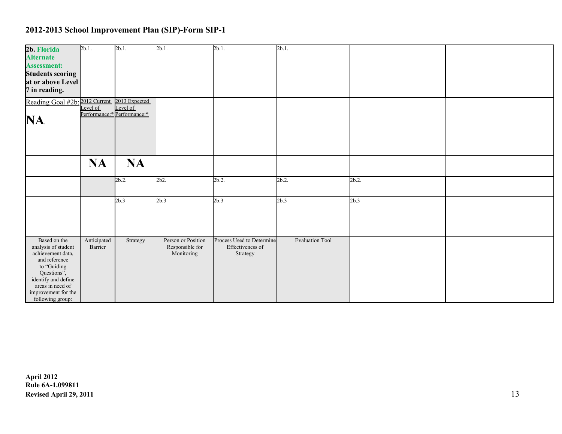| 2b. Florida<br><b>Alternate</b><br><b>Assessment:</b><br><b>Students scoring</b><br>at or above Level<br>7 in reading.                                                                        | 2b.1.                  | $2b.1$ .                                                 | $2b.1$ .                                            | $2b.1$ .                                                  | 2b.1.                  |          |  |
|-----------------------------------------------------------------------------------------------------------------------------------------------------------------------------------------------|------------------------|----------------------------------------------------------|-----------------------------------------------------|-----------------------------------------------------------|------------------------|----------|--|
| Reading Goal #2b: 2012 Current<br>NA.                                                                                                                                                         | Level of               | 2013 Expected<br>Level of<br>Performance:* Performance:* |                                                     |                                                           |                        |          |  |
|                                                                                                                                                                                               | <b>NA</b>              | <b>NA</b>                                                |                                                     |                                                           |                        |          |  |
|                                                                                                                                                                                               |                        | 2b.2                                                     | 2b2.                                                | 2b.2                                                      | $2b.2$ .               | $2b.2$ . |  |
|                                                                                                                                                                                               |                        | 2b.3                                                     | 2b.3                                                | 2b.3                                                      | 2b.3                   | 2b.3     |  |
| Based on the<br>analysis of student<br>achievement data,<br>and reference<br>to "Guiding<br>Questions",<br>identify and define<br>areas in need of<br>improvement for the<br>following group: | Anticipated<br>Barrier | Strategy                                                 | Person or Position<br>Responsible for<br>Monitoring | Process Used to Determine<br>Effectiveness of<br>Strategy | <b>Evaluation Tool</b> |          |  |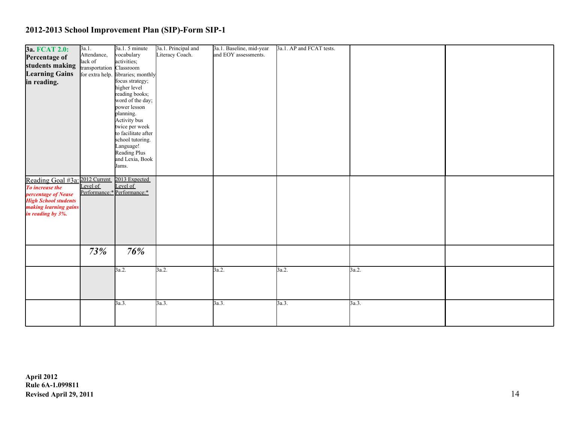| <b>3a. FCAT 2.0:</b>                              | 3a.1.                    | 3a.1.5 minute                      | 3a.1. Principal and | 3a.1. Baseline, mid-year | 3a.1. AP and FCAT tests. |       |  |
|---------------------------------------------------|--------------------------|------------------------------------|---------------------|--------------------------|--------------------------|-------|--|
| Percentage of                                     | Attendance,              | vocabulary                         | Literacy Coach.     | and EOY assessments.     |                          |       |  |
| students making                                   | lack of                  | activities;                        |                     |                          |                          |       |  |
| <b>Learning Gains</b>                             | transportation Classroom | for extra help. libraries; monthly |                     |                          |                          |       |  |
|                                                   |                          | focus strategy;                    |                     |                          |                          |       |  |
| in reading.                                       |                          | higher level                       |                     |                          |                          |       |  |
|                                                   |                          | reading books;                     |                     |                          |                          |       |  |
|                                                   |                          | word of the day;                   |                     |                          |                          |       |  |
|                                                   |                          | power lesson                       |                     |                          |                          |       |  |
|                                                   |                          | planning.                          |                     |                          |                          |       |  |
|                                                   |                          | Activity bus                       |                     |                          |                          |       |  |
|                                                   |                          | twice per week                     |                     |                          |                          |       |  |
|                                                   |                          | to facilitate after                |                     |                          |                          |       |  |
|                                                   |                          | school tutoring.                   |                     |                          |                          |       |  |
|                                                   |                          | Language!                          |                     |                          |                          |       |  |
|                                                   |                          | Reading Plus                       |                     |                          |                          |       |  |
|                                                   |                          | and Lexia, Book                    |                     |                          |                          |       |  |
|                                                   |                          | Jams.                              |                     |                          |                          |       |  |
|                                                   |                          |                                    |                     |                          |                          |       |  |
| Reading Goal #3a: 2012 Current<br>To increase the |                          | 2013 Expected                      |                     |                          |                          |       |  |
| To increase the                                   |                          | Level of                           |                     |                          |                          |       |  |
| percentage of Nease                               |                          | Performance:* Performance:*        |                     |                          |                          |       |  |
| <b>High School students</b>                       |                          |                                    |                     |                          |                          |       |  |
| making learning gains                             |                          |                                    |                     |                          |                          |       |  |
| in reading by 3%.                                 |                          |                                    |                     |                          |                          |       |  |
|                                                   |                          |                                    |                     |                          |                          |       |  |
|                                                   |                          |                                    |                     |                          |                          |       |  |
|                                                   |                          |                                    |                     |                          |                          |       |  |
|                                                   |                          |                                    |                     |                          |                          |       |  |
|                                                   |                          |                                    |                     |                          |                          |       |  |
|                                                   | 73%                      | 76%                                |                     |                          |                          |       |  |
|                                                   |                          |                                    |                     |                          |                          |       |  |
|                                                   |                          | 3a.2.                              | 3a.2.               | 3a.2.                    | 3a.2.                    | 3a.2. |  |
|                                                   |                          |                                    |                     |                          |                          |       |  |
|                                                   |                          |                                    |                     |                          |                          |       |  |
|                                                   |                          |                                    |                     |                          |                          |       |  |
|                                                   |                          |                                    |                     |                          |                          |       |  |
|                                                   |                          | 3a.3.                              | 3a.3.               | 3a.3.                    | 3a.3.                    | 3a.3. |  |
|                                                   |                          |                                    |                     |                          |                          |       |  |
|                                                   |                          |                                    |                     |                          |                          |       |  |
|                                                   |                          |                                    |                     |                          |                          |       |  |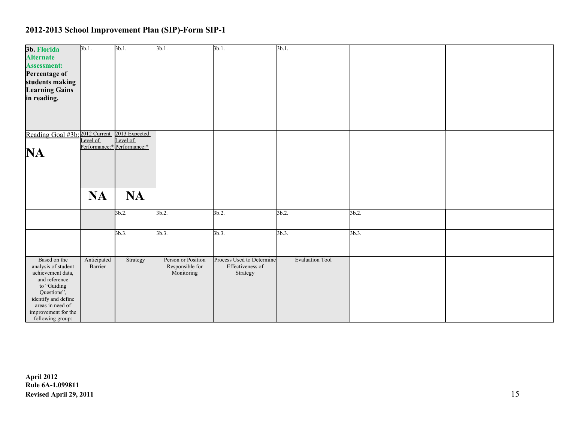| 3b. Florida<br><b>Alternate</b><br><b>Assessment:</b><br>Percentage of<br>students making<br><b>Learning Gains</b><br>in reading.                                                             | $3b.1$ .               | $3b.1$ .                                                 | $3b.1$ .                                            | $3b.1$ .                                                  | $3b.1$ .               |          |  |
|-----------------------------------------------------------------------------------------------------------------------------------------------------------------------------------------------|------------------------|----------------------------------------------------------|-----------------------------------------------------|-----------------------------------------------------------|------------------------|----------|--|
| Reading Goal #3b: 2012 Current<br>NA.                                                                                                                                                         | Level of               | 2013 Expected<br>Level of<br>Performance:* Performance:* |                                                     |                                                           |                        |          |  |
|                                                                                                                                                                                               | <b>NA</b>              | <b>NA</b>                                                |                                                     |                                                           |                        |          |  |
|                                                                                                                                                                                               |                        | $3b.2$ .                                                 | 3b.2.                                               | 3b.2.                                                     | 3b.2.                  | 3b.2.    |  |
|                                                                                                                                                                                               |                        | 3b.3.                                                    | 3b.3.                                               | 3b.3.                                                     | 3b.3.                  | $3b.3$ . |  |
| Based on the<br>analysis of student<br>achievement data,<br>and reference<br>to "Guiding<br>Questions",<br>identify and define<br>areas in need of<br>improvement for the<br>following group: | Anticipated<br>Barrier | Strategy                                                 | Person or Position<br>Responsible for<br>Monitoring | Process Used to Determine<br>Effectiveness of<br>Strategy | <b>Evaluation Tool</b> |          |  |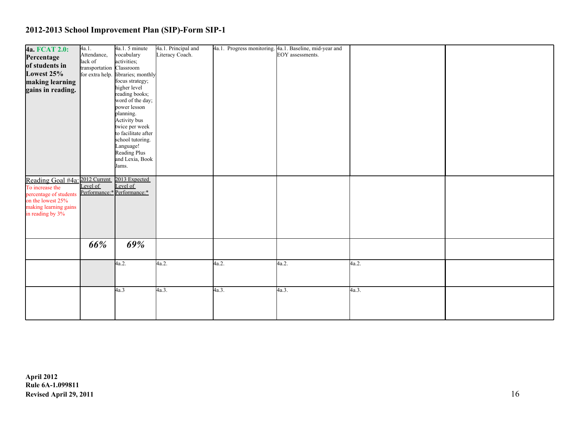| 4a. FCAT 2.0:                  | 4a.1.                    | 4a.1.5 minute                         | 4a.1. Principal and |       | 4a.1. Progress monitoring. 4a.1. Baseline, mid-year and |       |  |
|--------------------------------|--------------------------|---------------------------------------|---------------------|-------|---------------------------------------------------------|-------|--|
| Percentage                     | Attendance,              | vocabulary                            | Literacy Coach.     |       | EOY assessments.                                        |       |  |
|                                | lack of                  | activities;                           |                     |       |                                                         |       |  |
| of students in                 | transportation Classroom |                                       |                     |       |                                                         |       |  |
| Lowest 25%                     |                          | for extra help. libraries; monthly    |                     |       |                                                         |       |  |
| making learning                |                          | focus strategy;                       |                     |       |                                                         |       |  |
| gains in reading.              |                          | higher level                          |                     |       |                                                         |       |  |
|                                |                          | reading books;                        |                     |       |                                                         |       |  |
|                                |                          | word of the day;                      |                     |       |                                                         |       |  |
|                                |                          | power lesson                          |                     |       |                                                         |       |  |
|                                |                          | planning.                             |                     |       |                                                         |       |  |
|                                |                          | Activity bus                          |                     |       |                                                         |       |  |
|                                |                          | twice per week<br>to facilitate after |                     |       |                                                         |       |  |
|                                |                          | school tutoring.                      |                     |       |                                                         |       |  |
|                                |                          | Language!                             |                     |       |                                                         |       |  |
|                                |                          | Reading Plus                          |                     |       |                                                         |       |  |
|                                |                          | and Lexia, Book                       |                     |       |                                                         |       |  |
|                                |                          | Jams.                                 |                     |       |                                                         |       |  |
|                                |                          |                                       |                     |       |                                                         |       |  |
| Reading Goal #4a: 2012 Current |                          | 2013 Expected                         |                     |       |                                                         |       |  |
| To increase the                | Level of                 | Level of                              |                     |       |                                                         |       |  |
| percentage of students         |                          | Performance:* Performance:*           |                     |       |                                                         |       |  |
| on the lowest 25%              |                          |                                       |                     |       |                                                         |       |  |
| making learning gains          |                          |                                       |                     |       |                                                         |       |  |
| in reading by 3%               |                          |                                       |                     |       |                                                         |       |  |
|                                |                          |                                       |                     |       |                                                         |       |  |
|                                |                          |                                       |                     |       |                                                         |       |  |
|                                |                          |                                       |                     |       |                                                         |       |  |
|                                |                          |                                       |                     |       |                                                         |       |  |
|                                | 66%                      | 69%                                   |                     |       |                                                         |       |  |
|                                |                          |                                       |                     |       |                                                         |       |  |
|                                |                          | 4a.2.                                 | 4a.2.               | 4a.2. | 4a.2.                                                   | 4a.2. |  |
|                                |                          |                                       |                     |       |                                                         |       |  |
|                                |                          |                                       |                     |       |                                                         |       |  |
|                                |                          |                                       |                     |       |                                                         |       |  |
|                                |                          | 4a.3                                  | 4a.3.               | 4a.3. | 4a.3.                                                   | 4a.3. |  |
|                                |                          |                                       |                     |       |                                                         |       |  |
|                                |                          |                                       |                     |       |                                                         |       |  |
|                                |                          |                                       |                     |       |                                                         |       |  |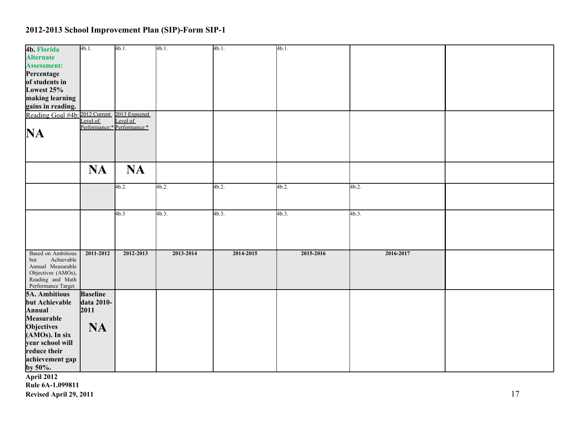| 4b. Florida<br><b>Alternate</b>                                                                                                     | $4b.1$ .                              | 4b.1.                       | 4b.1.     | 4b.1.     | 4b.1.     |           |  |
|-------------------------------------------------------------------------------------------------------------------------------------|---------------------------------------|-----------------------------|-----------|-----------|-----------|-----------|--|
| <b>Assessment:</b>                                                                                                                  |                                       |                             |           |           |           |           |  |
| Percentage<br>of students in                                                                                                        |                                       |                             |           |           |           |           |  |
| Lowest 25%                                                                                                                          |                                       |                             |           |           |           |           |  |
| making learning                                                                                                                     |                                       |                             |           |           |           |           |  |
| gains in reading.<br>Reading Goal #4b: 2012 Current                                                                                 |                                       | 2013 Expected               |           |           |           |           |  |
|                                                                                                                                     | Level of                              | Level of                    |           |           |           |           |  |
| NA                                                                                                                                  |                                       | Performance:* Performance:* |           |           |           |           |  |
|                                                                                                                                     |                                       |                             |           |           |           |           |  |
|                                                                                                                                     | <b>NA</b>                             | <b>NA</b>                   |           |           |           |           |  |
|                                                                                                                                     |                                       | 4b.2.                       | 4b.2.     | 4b.2.     | 4b.2.     | 4b.2.     |  |
|                                                                                                                                     |                                       | 4b.3                        | 4b.3.     | 4b.3.     | 4b.3.     | 4b.3.     |  |
| <b>Based on Ambitious</b><br>Achievable<br>but<br>Annual Measurable<br>Objectives (AMOs),<br>Reading and Math<br>Performance Target | 2011-2012                             | 2012-2013                   | 2013-2014 | 2014-2015 | 2015-2016 | 2016-2017 |  |
| <b>5A. Ambitious</b><br>but Achievable<br>Annual<br>Measurable                                                                      | <b>Baseline</b><br>data 2010-<br>2011 |                             |           |           |           |           |  |
| Objectives<br>(AMOs). In six                                                                                                        | <b>NA</b>                             |                             |           |           |           |           |  |
| year school will<br>reduce their<br>achievement gap<br>by 50%.                                                                      |                                       |                             |           |           |           |           |  |
| <b>April 2012</b>                                                                                                                   |                                       |                             |           |           |           |           |  |

**Rule 6A-1.099811**

**Revised April 29, 2011** 17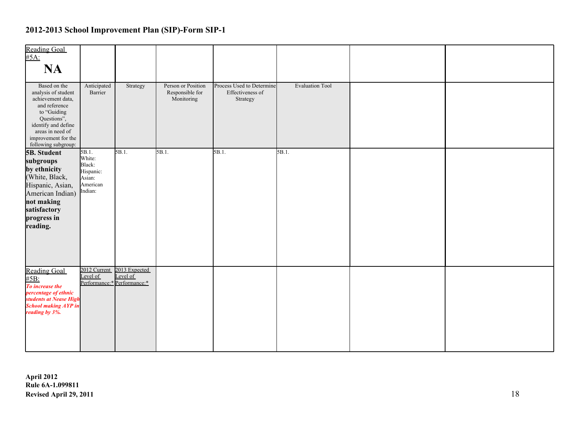| <b>Reading Goal</b><br>$#5A$ :<br><b>NA</b>                                                                                                                                                      |                                                                            |                                                          |                                                     |                                                           |                        |  |
|--------------------------------------------------------------------------------------------------------------------------------------------------------------------------------------------------|----------------------------------------------------------------------------|----------------------------------------------------------|-----------------------------------------------------|-----------------------------------------------------------|------------------------|--|
| Based on the<br>analysis of student<br>achievement data,<br>and reference<br>to "Guiding<br>Questions",<br>identify and define<br>areas in need of<br>improvement for the<br>following subgroup: | Anticipated<br>Barrier                                                     | Strategy                                                 | Person or Position<br>Responsible for<br>Monitoring | Process Used to Determine<br>Effectiveness of<br>Strategy | <b>Evaluation Tool</b> |  |
| <b>5B. Student</b><br>subgroups<br>by ethnicity<br>(White, Black,<br>Hispanic, Asian,<br>American Indian)<br>not making<br>satisfactory<br>progress in<br>reading.                               | $5B.1$ .<br>White:<br>Black:<br>Hispanic:<br>Asian:<br>American<br>Indian: | 5B.1.                                                    | $5B.1$ .                                            | 5B.1.                                                     | 5B.1.                  |  |
| <b>Reading Goal</b><br>#5B:<br>To increase the<br>percentage of ethnic<br>students at Nease High<br><b>School making AYP in</b><br>reading by 3%.                                                | 2012 Current<br>Level of                                                   | 2013 Expected<br>Level of<br>Performance:* Performance:* |                                                     |                                                           |                        |  |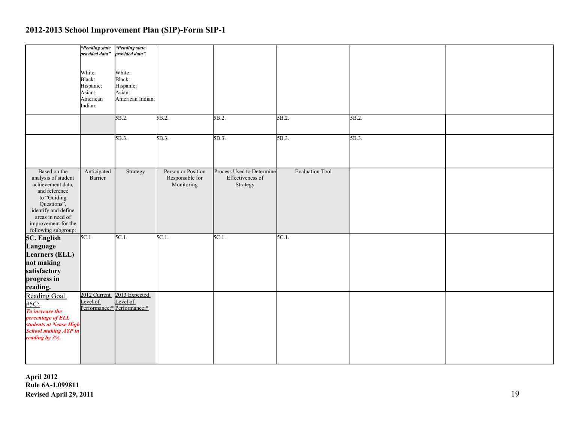|                                                                                                                                                                                                  | "Pending state"<br>provided data"<br>White:<br>Black:<br>Hispanic:<br>Asian:<br>American<br>Indian: | "Pending state".<br>provided data".<br>White:<br>Black:<br>Hispanic:<br>Asian:<br>American Indian:<br>5B.2. | 5B.2.                                               | 5B.2.                                                     | 5B.2.                  | 5B.2. |  |
|--------------------------------------------------------------------------------------------------------------------------------------------------------------------------------------------------|-----------------------------------------------------------------------------------------------------|-------------------------------------------------------------------------------------------------------------|-----------------------------------------------------|-----------------------------------------------------------|------------------------|-------|--|
|                                                                                                                                                                                                  |                                                                                                     |                                                                                                             |                                                     |                                                           |                        |       |  |
|                                                                                                                                                                                                  |                                                                                                     | 5B.3.                                                                                                       | 5B.3.                                               | $5B.3$ .                                                  | 5B.3.                  | 5B.3. |  |
| Based on the<br>analysis of student<br>achievement data,<br>and reference<br>to "Guiding<br>Questions",<br>identify and define<br>areas in need of<br>improvement for the<br>following subgroup: | Anticipated<br>Barrier                                                                              | Strategy                                                                                                    | Person or Position<br>Responsible for<br>Monitoring | Process Used to Determine<br>Effectiveness of<br>Strategy | <b>Evaluation Tool</b> |       |  |
| 5C. English<br>Language<br><b>Learners (ELL)</b><br>not making<br>satisfactory<br>progress in<br>reading.                                                                                        | $5C.1$ .                                                                                            | 5C.1.                                                                                                       | 5C.1.                                               | $5C.1$ .                                                  | 5C.1.                  |       |  |
| <b>Reading Goal</b><br>#5C:<br>To increase the<br>percentage of ELL<br>students at Nease High<br><b>School making AYP</b> in<br>reading by 3%.                                                   | 2012 Current<br>Level of                                                                            | 2013 Expected<br>Level of<br>Performance:* Performance:*                                                    |                                                     |                                                           |                        |       |  |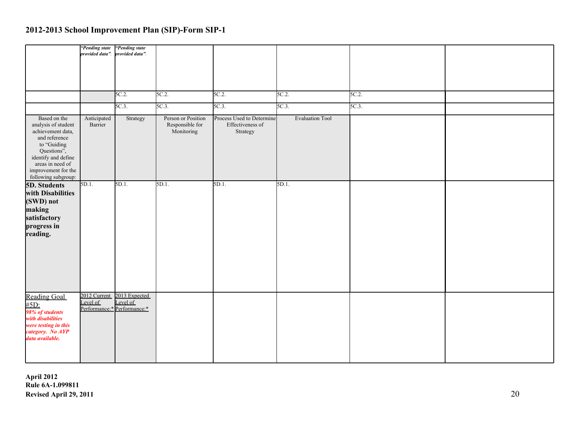|                                                                                                                                                                                                    | "Pending state".         | "Pending state".<br>provided data".                      |                                                     |                                                           |                        |       |  |
|----------------------------------------------------------------------------------------------------------------------------------------------------------------------------------------------------|--------------------------|----------------------------------------------------------|-----------------------------------------------------|-----------------------------------------------------------|------------------------|-------|--|
|                                                                                                                                                                                                    |                          | 5C.2                                                     | 5C.2                                                | 5C.2.                                                     | 5C.2.                  | 5C.2. |  |
|                                                                                                                                                                                                    |                          | $5C.3$ .                                                 | 5C.3                                                | $5C.3$ .                                                  | 5C.3.                  | 5C.3  |  |
| Based on the<br>analysis of student<br>achievement data,<br>and reference<br>to "Guiding",<br>Questions",<br>identify and define<br>areas in need of<br>improvement for the<br>following subgroup: | Anticipated<br>Barrier   | Strategy                                                 | Person or Position<br>Responsible for<br>Monitoring | Process Used to Determine<br>Effectiveness of<br>Strategy | <b>Evaluation Tool</b> |       |  |
| 5D. Students<br>with Disabilities<br>(SWD) not<br>making<br>satisfactory<br>progress in<br>reading.                                                                                                | 5D.1.                    | 5D.1.                                                    | 5D.1.                                               | 5D.1.                                                     | 5D.1.                  |       |  |
| <b>Reading Goal</b><br>$\frac{\# 5D}{98\%}$ of students<br>with disabilities<br>were testing in this<br>category. No AYP<br>data available.                                                        | 2012 Current<br>Level of | 2013 Expected<br>Level of<br>Performance:* Performance:* |                                                     |                                                           |                        |       |  |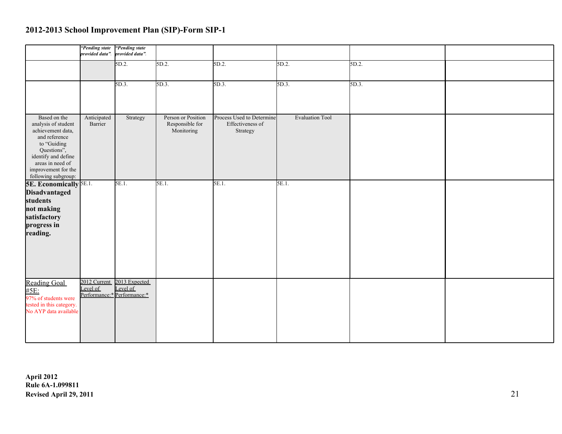|                                                                                                                                                                                                  | "Pending state<br>provided data". | "Pending state".<br>provided data".                      |                                                     |                                                           |                        |       |  |
|--------------------------------------------------------------------------------------------------------------------------------------------------------------------------------------------------|-----------------------------------|----------------------------------------------------------|-----------------------------------------------------|-----------------------------------------------------------|------------------------|-------|--|
|                                                                                                                                                                                                  |                                   | 5D.2.                                                    | 5D.2.                                               | $5D.2$ .                                                  | 5D.2.                  | 5D.2. |  |
|                                                                                                                                                                                                  |                                   | 5D.3.                                                    | 5D.3.                                               | 5D.3.                                                     | 5D.3.                  | 5D.3. |  |
| Based on the<br>analysis of student<br>achievement data,<br>and reference<br>to "Guiding<br>Questions",<br>identify and define<br>areas in need of<br>improvement for the<br>following subgroup: | Anticipated<br>Barrier            | Strategy                                                 | Person or Position<br>Responsible for<br>Monitoring | Process Used to Determine<br>Effectiveness of<br>Strategy | <b>Evaluation Tool</b> |       |  |
| <b>5E. Economically 5E.1.</b><br>Disadvantaged<br>students<br>not making<br>satisfactory<br>progress in<br>reading.                                                                              |                                   | 5E.1.                                                    | 5E.1.                                               | 5E.1.                                                     | 5E.1.                  |       |  |
| Reading Goal<br>#5E:<br>97% of students were<br>tested in this category.<br>No AYP data available                                                                                                | 2012 Current<br>Level of          | 2013 Expected<br>Level of<br>Performance:* Performance:* |                                                     |                                                           |                        |       |  |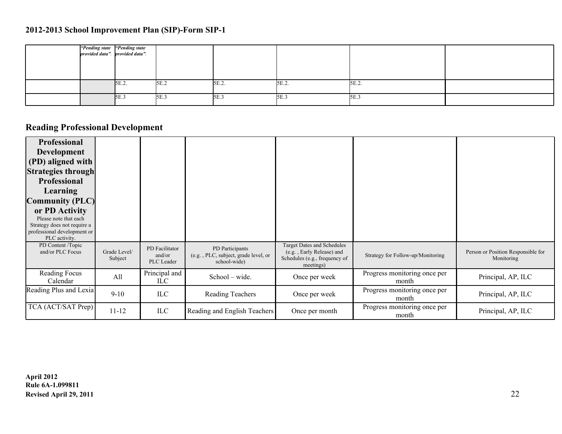|  | "Pending state "Pending state"<br>provided data". provided data". |      |       |          |       |  |
|--|-------------------------------------------------------------------|------|-------|----------|-------|--|
|  |                                                                   |      |       |          |       |  |
|  | $5E.2$ .                                                          | 5E.2 | 5E.2. | $5E.2$ . | 5E.2. |  |
|  | 5E.3                                                              | 5E.3 | 5E.3  | 5E.3     | 5E.3  |  |

# **Reading Professional Development**

| <b>Professional</b><br><b>Development</b><br>(PD) aligned with<br><b>Strategies through</b><br><b>Professional</b><br>Learning<br><b>Community (PLC)</b><br>or PD Activity<br>Please note that each<br>Strategy does not require a<br>professional development or<br>PLC activity. |                         |                                        |                                                                         |                                                                                                              |                                       |                                                  |
|------------------------------------------------------------------------------------------------------------------------------------------------------------------------------------------------------------------------------------------------------------------------------------|-------------------------|----------------------------------------|-------------------------------------------------------------------------|--------------------------------------------------------------------------------------------------------------|---------------------------------------|--------------------------------------------------|
| PD Content /Topic<br>and/or PLC Focus                                                                                                                                                                                                                                              | Grade Level/<br>Subject | PD Facilitator<br>and/or<br>PLC Leader | PD Participants<br>(e.g., PLC, subject, grade level, or<br>school-wide) | <b>Target Dates and Schedules</b><br>(e.g., Early Release) and<br>Schedules (e.g., frequency of<br>meetings) | Strategy for Follow-up/Monitoring     | Person or Position Responsible for<br>Monitoring |
| Reading Focus<br>Calendar                                                                                                                                                                                                                                                          | All                     | Principal and<br>ILC                   | School – wide.                                                          | Once per week                                                                                                | Progress monitoring once per<br>month | Principal, AP, ILC                               |
| Reading Plus and Lexia                                                                                                                                                                                                                                                             | $9 - 10$                | ILC                                    | <b>Reading Teachers</b>                                                 | Once per week                                                                                                | Progress monitoring once per<br>month | Principal, AP, ILC                               |
| TCA (ACT/SAT Prep)                                                                                                                                                                                                                                                                 | $11 - 12$               | <b>ILC</b>                             | Reading and English Teachers                                            | Once per month                                                                                               | Progress monitoring once per<br>month | Principal, AP, ILC                               |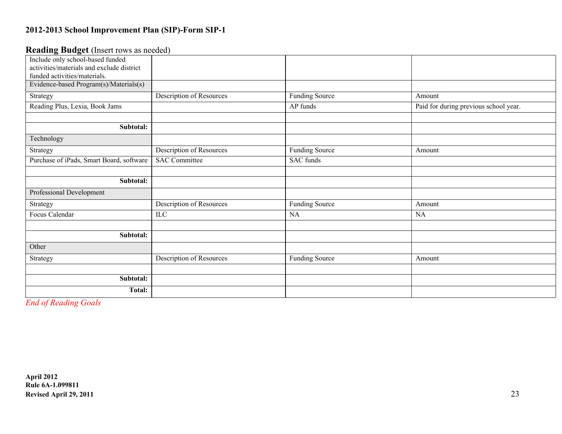#### **Reading Budget** (Insert rows as needed)

| Include only school-based funded          |                                 |                       |                                       |
|-------------------------------------------|---------------------------------|-----------------------|---------------------------------------|
| activities/materials and exclude district |                                 |                       |                                       |
| funded activities/materials.              |                                 |                       |                                       |
| Evidence-based Program(s)/Materials(s)    |                                 |                       |                                       |
| Strategy                                  | Description of Resources        | <b>Funding Source</b> | Amount                                |
| Reading Plus, Lexia, Book Jams            |                                 | AP funds              | Paid for during previous school year. |
|                                           |                                 |                       |                                       |
| Subtotal:                                 |                                 |                       |                                       |
| Technology                                |                                 |                       |                                       |
| Strategy                                  | <b>Description of Resources</b> | <b>Funding Source</b> | Amount                                |
| Purchase of iPads, Smart Board, software  | <b>SAC Committee</b>            | SAC funds             |                                       |
|                                           |                                 |                       |                                       |
| Subtotal:                                 |                                 |                       |                                       |
| Professional Development                  |                                 |                       |                                       |
| Strategy                                  | Description of Resources        | <b>Funding Source</b> | Amount                                |
| Focus Calendar                            | ILC                             | NA                    | NA                                    |
|                                           |                                 |                       |                                       |
| Subtotal:                                 |                                 |                       |                                       |
| Other                                     |                                 |                       |                                       |
| Strategy                                  | <b>Description of Resources</b> | <b>Funding Source</b> | Amount                                |
|                                           |                                 |                       |                                       |
| Subtotal:                                 |                                 |                       |                                       |
| <b>Total:</b>                             |                                 |                       |                                       |

*End of Reading Goals*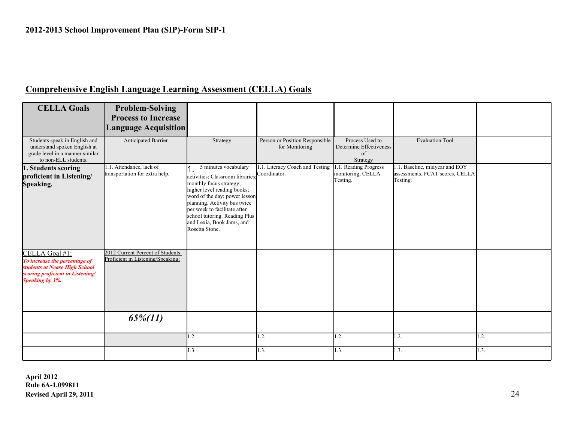### **Comprehensive English Language Learning Assessment (CELLA) Goals**

| <b>CELLA Goals</b>                                                                                                                      | <b>Problem-Solving</b><br><b>Process to Increase</b><br><b>Language Acquisition</b> |                                                                                                                                                                                                                                                                                                     |                                                  |                                                              |                                                                              |      |
|-----------------------------------------------------------------------------------------------------------------------------------------|-------------------------------------------------------------------------------------|-----------------------------------------------------------------------------------------------------------------------------------------------------------------------------------------------------------------------------------------------------------------------------------------------------|--------------------------------------------------|--------------------------------------------------------------|------------------------------------------------------------------------------|------|
| Students speak in English and<br>understand spoken English at<br>grade level in a manner similar<br>to non-ELL students.                | Anticipated Barrier                                                                 | Strategy                                                                                                                                                                                                                                                                                            | Person or Position Responsible<br>for Monitoring | Process Used to<br>Determine Effectiveness<br>of<br>Strategy | <b>Evaluation Tool</b>                                                       |      |
| 1. Students scoring<br>proficient in Listening/<br>Speaking.                                                                            | 1.1. Attendance, lack of<br>transportation for extra help.                          | 5 minutes vocabulary<br>activities; Classroom libraries;<br>monthly focus strategy;<br>higher level reading books;<br>word of the day; power lesson<br>planning. Activity bus twice<br>per week to facilitate after<br>school tutoring. Reading Plus<br>and Lexia, Book Jams, and<br>Rosetta Stone. | 1.1. Literacy Coach and Testing<br>Coordinator.  | 1.1. Reading Progress<br>monitoring; CELLA<br>Testing.       | .1. Baseline, midyear and EOY<br>assessments. FCAT scores, CELLA<br>Testing. |      |
| CELLA Goal #1:<br>To increase the percentage of<br>students at Nease High School<br>scoring proficient in Listening/<br>Speaking by 3%. | 2012 Current Percent of Students<br>Proficient in Listening/Speaking:               |                                                                                                                                                                                                                                                                                                     |                                                  |                                                              |                                                                              |      |
|                                                                                                                                         | $65\%/11)$                                                                          |                                                                                                                                                                                                                                                                                                     |                                                  |                                                              |                                                                              |      |
|                                                                                                                                         |                                                                                     | $\mathbf{1.2}$ .                                                                                                                                                                                                                                                                                    | .2.                                              | 1.2.                                                         | 1.2.                                                                         | .2.  |
|                                                                                                                                         |                                                                                     | 1.3.                                                                                                                                                                                                                                                                                                | 1.3.                                             | 1.3.                                                         | 1.3.                                                                         | 1.3. |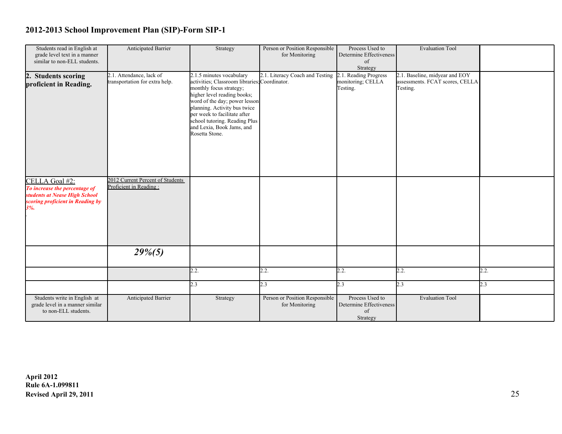| Students read in English at      | Anticipated Barrier              | Strategy                                      | Person or Position Responsible  | Process Used to         | <b>Evaluation Tool</b>          |      |
|----------------------------------|----------------------------------|-----------------------------------------------|---------------------------------|-------------------------|---------------------------------|------|
| grade level text in a manner     |                                  |                                               | for Monitoring                  | Determine Effectiveness |                                 |      |
| similar to non-ELL students.     |                                  |                                               |                                 | of                      |                                 |      |
|                                  |                                  |                                               |                                 | Strategy                |                                 |      |
| 2. Students scoring              | 2.1. Attendance, lack of         | 2.1.5 minutes vocabulary                      | 2.1. Literacy Coach and Testing | 2.1. Reading Progress   | 2.1. Baseline, midyear and EOY  |      |
|                                  | transportation for extra help.   | activities; Classroom libraries; Coordinator. |                                 | monitoring; CELLA       | assessments. FCAT scores, CELLA |      |
| proficient in Reading.           |                                  | monthly focus strategy;                       |                                 | Testing.                | Testing.                        |      |
|                                  |                                  |                                               |                                 |                         |                                 |      |
|                                  |                                  | higher level reading books;                   |                                 |                         |                                 |      |
|                                  |                                  | word of the day; power lesson                 |                                 |                         |                                 |      |
|                                  |                                  | planning. Activity bus twice                  |                                 |                         |                                 |      |
|                                  |                                  | per week to facilitate after                  |                                 |                         |                                 |      |
|                                  |                                  | school tutoring. Reading Plus                 |                                 |                         |                                 |      |
|                                  |                                  | and Lexia, Book Jams, and                     |                                 |                         |                                 |      |
|                                  |                                  | Rosetta Stone.                                |                                 |                         |                                 |      |
|                                  |                                  |                                               |                                 |                         |                                 |      |
|                                  |                                  |                                               |                                 |                         |                                 |      |
|                                  |                                  |                                               |                                 |                         |                                 |      |
|                                  |                                  |                                               |                                 |                         |                                 |      |
|                                  |                                  |                                               |                                 |                         |                                 |      |
|                                  |                                  |                                               |                                 |                         |                                 |      |
|                                  | 2012 Current Percent of Students |                                               |                                 |                         |                                 |      |
| CELLA Goal #2:                   | Proficient in Reading:           |                                               |                                 |                         |                                 |      |
| To increase the percentage of    |                                  |                                               |                                 |                         |                                 |      |
| students at Nease High School    |                                  |                                               |                                 |                         |                                 |      |
| scoring proficient in Reading by |                                  |                                               |                                 |                         |                                 |      |
| 3%                               |                                  |                                               |                                 |                         |                                 |      |
|                                  |                                  |                                               |                                 |                         |                                 |      |
|                                  |                                  |                                               |                                 |                         |                                 |      |
|                                  |                                  |                                               |                                 |                         |                                 |      |
|                                  |                                  |                                               |                                 |                         |                                 |      |
|                                  |                                  |                                               |                                 |                         |                                 |      |
|                                  |                                  |                                               |                                 |                         |                                 |      |
|                                  | $29\%/5)$                        |                                               |                                 |                         |                                 |      |
|                                  |                                  |                                               |                                 |                         |                                 |      |
|                                  |                                  |                                               |                                 |                         |                                 |      |
|                                  |                                  | 2.2.                                          | 2.2.                            | 2.2.                    | 2.2.                            | 2.2. |
|                                  |                                  |                                               |                                 |                         |                                 |      |
|                                  |                                  | 2.3                                           | 2.3                             | 2.3                     | 2.3                             | 2.3  |
|                                  |                                  |                                               |                                 |                         |                                 |      |
| Students write in English at     | <b>Anticipated Barrier</b>       | Strategy                                      | Person or Position Responsible  | Process Used to         | <b>Evaluation Tool</b>          |      |
| grade level in a manner similar  |                                  |                                               | for Monitoring                  | Determine Effectiveness |                                 |      |
| to non-ELL students.             |                                  |                                               |                                 | of                      |                                 |      |
|                                  |                                  |                                               |                                 |                         |                                 |      |
|                                  |                                  |                                               |                                 | Strategy                |                                 |      |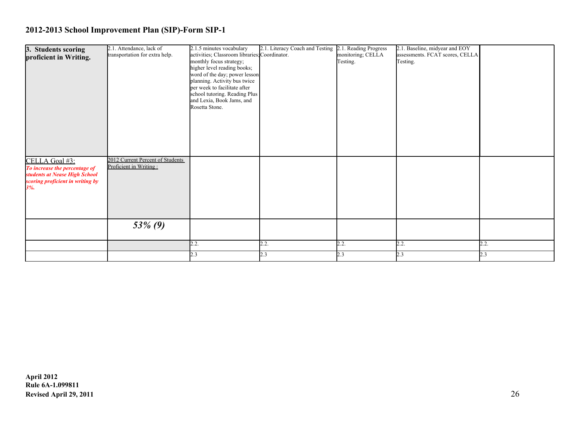| 3. Students scoring<br>proficient in Writing.                                                                               | 2.1. Attendance, lack of<br>transportation for extra help. | 2.1.5 minutes vocabulary<br>activities; Classroom libraries; Coordinator.<br>monthly focus strategy;<br>higher level reading books;<br>word of the day; power lesson<br>planning. Activity bus twice<br>per week to facilitate after<br>school tutoring. Reading Plus<br>and Lexia, Book Jams, and<br>Rosetta Stone. | 2.1. Literacy Coach and Testing | 2.1. Reading Progress<br>monitoring; CELLA<br>Testing. | 2.1. Baseline, midyear and EOY<br>assessments. FCAT scores, CELLA<br>Testing. |      |
|-----------------------------------------------------------------------------------------------------------------------------|------------------------------------------------------------|----------------------------------------------------------------------------------------------------------------------------------------------------------------------------------------------------------------------------------------------------------------------------------------------------------------------|---------------------------------|--------------------------------------------------------|-------------------------------------------------------------------------------|------|
| CELLA Goal #3:<br>To increase the percentage of<br>students at Nease High School<br>scoring proficient in writing by<br>3%. | 2012 Current Percent of Students<br>Proficient in Writing: |                                                                                                                                                                                                                                                                                                                      |                                 |                                                        |                                                                               |      |
|                                                                                                                             | $53\%$ (9)                                                 |                                                                                                                                                                                                                                                                                                                      |                                 |                                                        |                                                                               |      |
|                                                                                                                             |                                                            | 2.2.                                                                                                                                                                                                                                                                                                                 | 2.2.                            | 2.2.                                                   | 2.2.                                                                          | 2.2. |
|                                                                                                                             |                                                            | 2.3                                                                                                                                                                                                                                                                                                                  | 2.3                             | 2.3                                                    | 2.3                                                                           | 2.3  |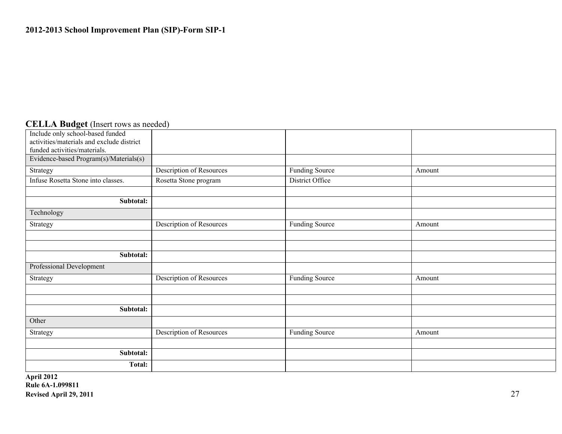### **CELLA Budget** (Insert rows as needed)

| Include only school-based funded                                          |                                 |                       |        |  |
|---------------------------------------------------------------------------|---------------------------------|-----------------------|--------|--|
| activities/materials and exclude district<br>funded activities/materials. |                                 |                       |        |  |
| Evidence-based Program(s)/Materials(s)                                    |                                 |                       |        |  |
|                                                                           |                                 |                       |        |  |
| Strategy                                                                  | Description of Resources        | <b>Funding Source</b> | Amount |  |
| Infuse Rosetta Stone into classes.                                        | Rosetta Stone program           | District Office       |        |  |
|                                                                           |                                 |                       |        |  |
| Subtotal:                                                                 |                                 |                       |        |  |
| Technology                                                                |                                 |                       |        |  |
| Strategy                                                                  | <b>Description of Resources</b> | <b>Funding Source</b> | Amount |  |
|                                                                           |                                 |                       |        |  |
|                                                                           |                                 |                       |        |  |
| Subtotal:                                                                 |                                 |                       |        |  |
| Professional Development                                                  |                                 |                       |        |  |
| Strategy                                                                  | <b>Description of Resources</b> | Funding Source        | Amount |  |
|                                                                           |                                 |                       |        |  |
|                                                                           |                                 |                       |        |  |
| Subtotal:                                                                 |                                 |                       |        |  |
| Other                                                                     |                                 |                       |        |  |
| Strategy                                                                  | <b>Description of Resources</b> | <b>Funding Source</b> | Amount |  |
|                                                                           |                                 |                       |        |  |
| Subtotal:                                                                 |                                 |                       |        |  |
| <b>Total:</b>                                                             |                                 |                       |        |  |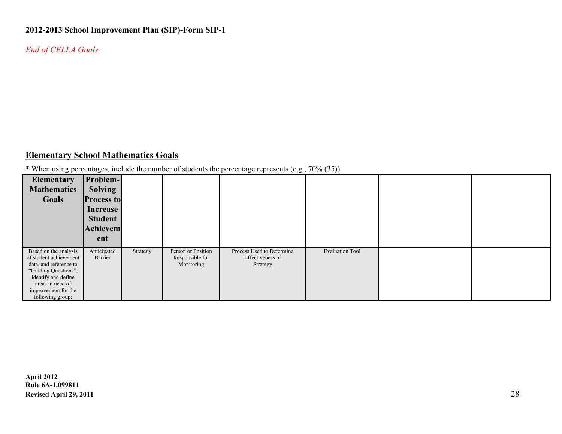*End of CELLA Goals*

### **Elementary School Mathematics Goals**

\* When using percentages, include the number of students the percentage represents (e.g., 70% (35)).

| <b>Elementary</b><br><b>Mathematics</b><br>Goals                                                                                                                                        | Problem-<br><b>Solving</b><br><b>Process to</b><br>Increase<br><b>Student</b><br><b>Achievem</b> |          |                                                     |                                                           |                        |  |
|-----------------------------------------------------------------------------------------------------------------------------------------------------------------------------------------|--------------------------------------------------------------------------------------------------|----------|-----------------------------------------------------|-----------------------------------------------------------|------------------------|--|
|                                                                                                                                                                                         | ent                                                                                              |          |                                                     |                                                           |                        |  |
| Based on the analysis<br>of student achievement<br>data, and reference to<br>"Guiding Questions",<br>identify and define<br>areas in need of<br>improvement for the<br>following group: | Anticipated<br>Barrier                                                                           | Strategy | Person or Position<br>Responsible for<br>Monitoring | Process Used to Determine<br>Effectiveness of<br>Strategy | <b>Evaluation Tool</b> |  |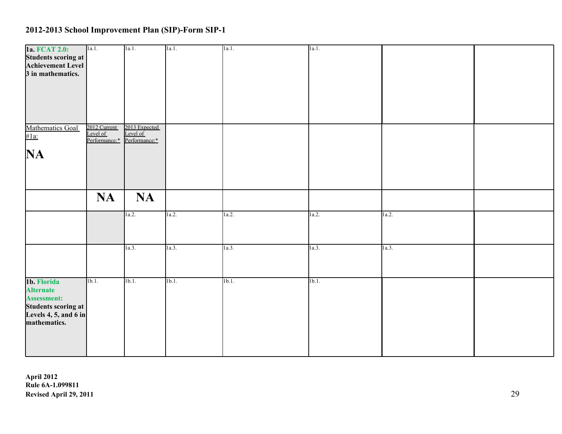| 1a. FCAT 2.0:         | 1a.1.                                     | 1a.1.                     | 1a.1.            | 1a.1. | 1a.1. |       |  |
|-----------------------|-------------------------------------------|---------------------------|------------------|-------|-------|-------|--|
| Students scoring at   |                                           |                           |                  |       |       |       |  |
| Achievement Level     |                                           |                           |                  |       |       |       |  |
| 3 in mathematics.     |                                           |                           |                  |       |       |       |  |
|                       |                                           |                           |                  |       |       |       |  |
|                       |                                           |                           |                  |       |       |       |  |
|                       |                                           |                           |                  |       |       |       |  |
|                       |                                           |                           |                  |       |       |       |  |
|                       |                                           |                           |                  |       |       |       |  |
|                       |                                           |                           |                  |       |       |       |  |
|                       |                                           |                           |                  |       |       |       |  |
| Mathematics Goal      | 2012 Current<br>Level of<br>Performance:* | 2013 Expected<br>Level of |                  |       |       |       |  |
| $#1a$ :               |                                           | Performance:*             |                  |       |       |       |  |
|                       |                                           |                           |                  |       |       |       |  |
| $\mathbf{NA}$         |                                           |                           |                  |       |       |       |  |
|                       |                                           |                           |                  |       |       |       |  |
|                       |                                           |                           |                  |       |       |       |  |
|                       |                                           |                           |                  |       |       |       |  |
|                       |                                           |                           |                  |       |       |       |  |
|                       |                                           |                           |                  |       |       |       |  |
|                       | <b>NA</b>                                 | <b>NA</b>                 |                  |       |       |       |  |
|                       |                                           |                           |                  |       |       |       |  |
|                       |                                           | 1a.2.                     | 1a.2.            | 1a.2. | 1a.2. | 1a.2. |  |
|                       |                                           |                           |                  |       |       |       |  |
|                       |                                           |                           |                  |       |       |       |  |
|                       |                                           |                           |                  |       |       |       |  |
|                       |                                           | 1a.3.                     | 1a.3.            | 1a.3. | 1a.3. | 1a.3. |  |
|                       |                                           |                           |                  |       |       |       |  |
|                       |                                           |                           |                  |       |       |       |  |
|                       |                                           |                           |                  |       |       |       |  |
|                       |                                           |                           |                  |       |       |       |  |
| 1b. Florida           | 1b.1.                                     | 1b.1.                     | 1 <sub>b.1</sub> | 1b.1. | 1b.1. |       |  |
| <b>Alternate</b>      |                                           |                           |                  |       |       |       |  |
| <b>Assessment:</b>    |                                           |                           |                  |       |       |       |  |
| Students scoring at   |                                           |                           |                  |       |       |       |  |
| Levels 4, 5, and 6 in |                                           |                           |                  |       |       |       |  |
| mathematics.          |                                           |                           |                  |       |       |       |  |
|                       |                                           |                           |                  |       |       |       |  |
|                       |                                           |                           |                  |       |       |       |  |
|                       |                                           |                           |                  |       |       |       |  |
|                       |                                           |                           |                  |       |       |       |  |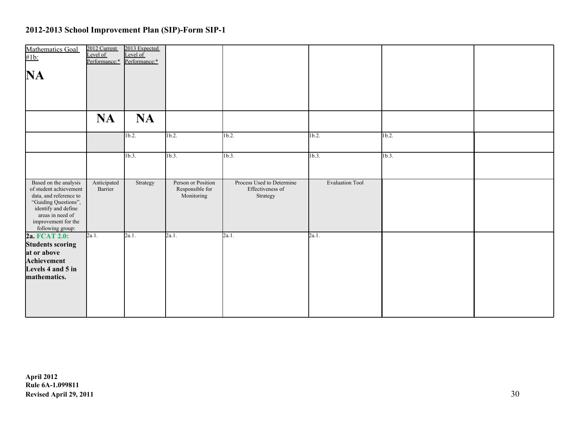| Mathematics Goal<br>$\#1b$ :                                                                                                                                                            | 2012 Current<br>Level of<br>Performance:* | 2013 Expected<br>Level of<br>Performance:* |                                                     |                                                           |                        |          |  |
|-----------------------------------------------------------------------------------------------------------------------------------------------------------------------------------------|-------------------------------------------|--------------------------------------------|-----------------------------------------------------|-----------------------------------------------------------|------------------------|----------|--|
| <b>NA</b>                                                                                                                                                                               |                                           |                                            |                                                     |                                                           |                        |          |  |
|                                                                                                                                                                                         |                                           |                                            |                                                     |                                                           |                        |          |  |
|                                                                                                                                                                                         | <b>NA</b>                                 | <b>NA</b>                                  |                                                     |                                                           |                        |          |  |
|                                                                                                                                                                                         |                                           | 1 <sub>b.2</sub>                           | $1b.2$ .                                            | 1b.2.                                                     | 1b.2.                  | $1b.2$ . |  |
|                                                                                                                                                                                         |                                           | 1b.3.                                      | 1b.3.                                               | $1b.3$ .                                                  | 1b.3.                  | 1b.3.    |  |
| Based on the analysis<br>of student achievement<br>data, and reference to<br>"Guiding Questions",<br>identify and define<br>areas in need of<br>improvement for the<br>following group: | Anticipated<br>Barrier                    | Strategy                                   | Person or Position<br>Responsible for<br>Monitoring | Process Used to Determine<br>Effectiveness of<br>Strategy | <b>Evaluation Tool</b> |          |  |
| 2a. FCAT 2.0:<br><b>Students scoring</b><br>at or above<br>Achievement<br>Levels 4 and 5 in<br>mathematics.                                                                             | 2a.1.                                     | $2a.1$ .                                   | 2a.1.                                               | $2a.1$ .                                                  | 2a.1.                  |          |  |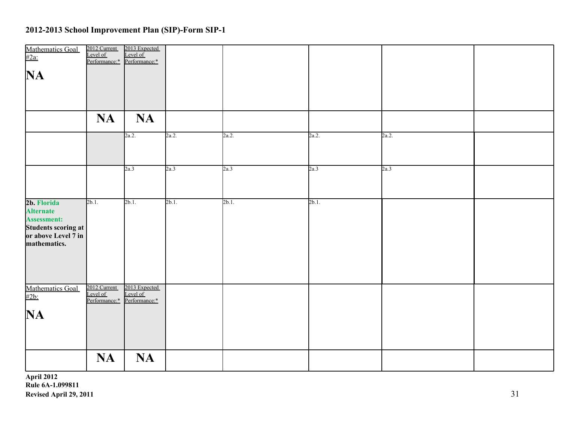| Mathematics Goal<br>#2a:                                                                                            | 2012 Current<br>Level of<br>Performance:* | 2013 Expected<br>Level of<br>Performance:* |          |          |          |       |  |
|---------------------------------------------------------------------------------------------------------------------|-------------------------------------------|--------------------------------------------|----------|----------|----------|-------|--|
| $\mathbf{NA}$                                                                                                       |                                           |                                            |          |          |          |       |  |
|                                                                                                                     |                                           |                                            |          |          |          |       |  |
|                                                                                                                     | <b>NA</b>                                 | <b>NA</b>                                  |          |          |          |       |  |
|                                                                                                                     |                                           |                                            |          |          |          |       |  |
|                                                                                                                     |                                           | 2a.2.                                      | 2a.2.    | 2a.2.    | 2a.2.    | 2a.2. |  |
|                                                                                                                     |                                           |                                            |          |          |          |       |  |
|                                                                                                                     |                                           | 2a.3                                       | 2a.3     | 2a.3     | 2a.3     | 2a.3  |  |
|                                                                                                                     |                                           |                                            |          |          |          |       |  |
| 2b. Florida<br><b>Alternate</b><br><b>Assessment:</b><br>Students scoring at<br>or above Level 7 in<br>mathematics. | $2b.1$ .                                  | $2b.1$ .                                   | $2b.1$ . | $2b.1$ . | $2b.1$ . |       |  |
|                                                                                                                     |                                           |                                            |          |          |          |       |  |
| Mathematics Goal<br>#2b:                                                                                            | 2012 Current<br>Level of<br>Performance:* | 2013 Expected<br>Level of<br>Performance:* |          |          |          |       |  |
| $\mathbf{NA}$                                                                                                       |                                           |                                            |          |          |          |       |  |
|                                                                                                                     |                                           |                                            |          |          |          |       |  |
|                                                                                                                     | <b>NA</b>                                 | <b>NA</b>                                  |          |          |          |       |  |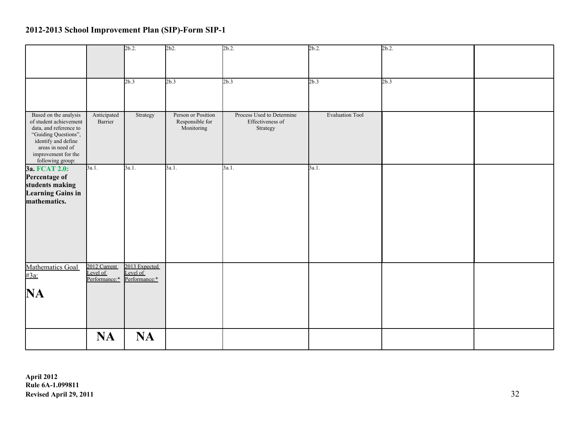|                                                                                                                                                                                         |                                           | 2b.2                                       | 2b2.                                                | 2b.2                                                      | $2b.2$ .               | 2b.2. |  |
|-----------------------------------------------------------------------------------------------------------------------------------------------------------------------------------------|-------------------------------------------|--------------------------------------------|-----------------------------------------------------|-----------------------------------------------------------|------------------------|-------|--|
|                                                                                                                                                                                         |                                           | 2b.3                                       | 2b.3                                                | 2b.3                                                      | 2b.3                   | 2b.3  |  |
| Based on the analysis<br>of student achievement<br>data, and reference to<br>"Guiding Questions",<br>identify and define<br>areas in need of<br>improvement for the<br>following group: | Anticipated<br>Barrier                    | Strategy                                   | Person or Position<br>Responsible for<br>Monitoring | Process Used to Determine<br>Effectiveness of<br>Strategy | <b>Evaluation Tool</b> |       |  |
| 3a. FCAT 2.0:<br>Percentage of<br>students making<br><b>Learning Gains in</b><br>mathematics.                                                                                           | 3a.1.                                     | 3a.1.                                      | 3a.1.                                               | 3a.1.                                                     | 3a.1.                  |       |  |
| Mathematics Goal<br>#3a:<br>NA                                                                                                                                                          | 2012 Current<br>Level of<br>Performance:* | 2013 Expected<br>Level of<br>Performance:* |                                                     |                                                           |                        |       |  |
|                                                                                                                                                                                         | <b>NA</b>                                 | <b>NA</b>                                  |                                                     |                                                           |                        |       |  |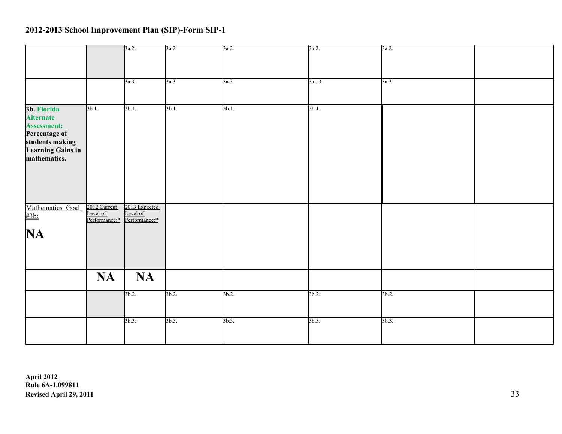|                    |                                           | 3a.2.                     | 3a.2.    | 3a.2.    | 3a.2. | 3a.2. |  |
|--------------------|-------------------------------------------|---------------------------|----------|----------|-------|-------|--|
|                    |                                           |                           |          |          |       |       |  |
|                    |                                           |                           |          |          |       |       |  |
|                    |                                           |                           |          |          |       |       |  |
|                    |                                           | 3a.3.                     | 3a.3.    | 3a.3.    | 3a3.  | 3a.3. |  |
|                    |                                           |                           |          |          |       |       |  |
|                    |                                           |                           |          |          |       |       |  |
| 3b. Florida        | $3b.1$ .                                  | $3b.1$ .                  | $3b.1$ . | $3b.1$ . | 3b.1. |       |  |
| <b>Alternate</b>   |                                           |                           |          |          |       |       |  |
| <b>Assessment:</b> |                                           |                           |          |          |       |       |  |
| Percentage of      |                                           |                           |          |          |       |       |  |
| students making    |                                           |                           |          |          |       |       |  |
| Learning Gains in  |                                           |                           |          |          |       |       |  |
| mathematics.       |                                           |                           |          |          |       |       |  |
|                    |                                           |                           |          |          |       |       |  |
|                    |                                           |                           |          |          |       |       |  |
|                    |                                           |                           |          |          |       |       |  |
|                    |                                           |                           |          |          |       |       |  |
|                    |                                           |                           |          |          |       |       |  |
| Mathematics Goal   | 2012 Current<br>Level of<br>Performance:* | 2013 Expected             |          |          |       |       |  |
| #3b:               |                                           | Level of<br>Performance:* |          |          |       |       |  |
|                    |                                           |                           |          |          |       |       |  |
| <b>NA</b>          |                                           |                           |          |          |       |       |  |
|                    |                                           |                           |          |          |       |       |  |
|                    |                                           |                           |          |          |       |       |  |
|                    |                                           |                           |          |          |       |       |  |
|                    |                                           |                           |          |          |       |       |  |
|                    | <b>NA</b>                                 | <b>NA</b>                 |          |          |       |       |  |
|                    |                                           |                           |          |          |       |       |  |
|                    |                                           | 3b.2.                     | 3b.2.    | 3b.2.    | 3b.2. | 3b.2. |  |
|                    |                                           |                           |          |          |       |       |  |
|                    |                                           |                           |          |          |       |       |  |
|                    |                                           | 3b.3.                     | 3b.3.    | 3b.3.    | 3b.3. | 3b.3. |  |
|                    |                                           |                           |          |          |       |       |  |
|                    |                                           |                           |          |          |       |       |  |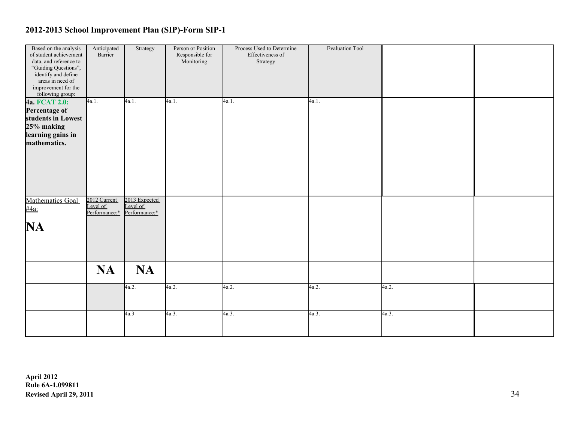| Based on the analysis    | Anticipated   | Strategy      | Person or Position | Process Used to Determine | <b>Evaluation Tool</b> |       |  |
|--------------------------|---------------|---------------|--------------------|---------------------------|------------------------|-------|--|
| of student achievement   | Barrier       |               | Responsible for    | Effectiveness of          |                        |       |  |
| data, and reference to   |               |               | Monitoring         | Strategy                  |                        |       |  |
| "Guiding Questions",     |               |               |                    |                           |                        |       |  |
| identify and define      |               |               |                    |                           |                        |       |  |
| areas in need of         |               |               |                    |                           |                        |       |  |
| improvement for the      |               |               |                    |                           |                        |       |  |
| following group:         |               |               |                    |                           |                        |       |  |
| 4a. FCAT 2.0:            | 4a.1.         | 4a.1.         | 4a.1.              | 4a.1.                     | 4a.1.                  |       |  |
|                          |               |               |                    |                           |                        |       |  |
| Percentage of            |               |               |                    |                           |                        |       |  |
| students in Lowest       |               |               |                    |                           |                        |       |  |
| 25% making               |               |               |                    |                           |                        |       |  |
| learning gains in        |               |               |                    |                           |                        |       |  |
| mathematics.             |               |               |                    |                           |                        |       |  |
|                          |               |               |                    |                           |                        |       |  |
|                          |               |               |                    |                           |                        |       |  |
|                          |               |               |                    |                           |                        |       |  |
|                          |               |               |                    |                           |                        |       |  |
|                          |               |               |                    |                           |                        |       |  |
|                          |               |               |                    |                           |                        |       |  |
|                          |               |               |                    |                           |                        |       |  |
|                          |               |               |                    |                           |                        |       |  |
| Mathematics Goal<br>#4a: | 2012 Current  | 2013 Expected |                    |                           |                        |       |  |
|                          | Level of      | Level of      |                    |                           |                        |       |  |
|                          | Performance:* | Performance:* |                    |                           |                        |       |  |
|                          |               |               |                    |                           |                        |       |  |
| NA                       |               |               |                    |                           |                        |       |  |
|                          |               |               |                    |                           |                        |       |  |
|                          |               |               |                    |                           |                        |       |  |
|                          |               |               |                    |                           |                        |       |  |
|                          |               |               |                    |                           |                        |       |  |
|                          |               |               |                    |                           |                        |       |  |
|                          | <b>NA</b>     | <b>NA</b>     |                    |                           |                        |       |  |
|                          |               |               |                    |                           |                        |       |  |
|                          |               |               |                    |                           |                        |       |  |
|                          |               | 4a.2.         | 4a.2.              | 4a.2.                     | 4a.2.                  | 4a.2. |  |
|                          |               |               |                    |                           |                        |       |  |
|                          |               |               |                    |                           |                        |       |  |
|                          |               |               |                    |                           |                        |       |  |
|                          |               | 4a.3          | 4a.3.              | 4a.3.                     | 4a.3.                  | 4a.3. |  |
|                          |               |               |                    |                           |                        |       |  |
|                          |               |               |                    |                           |                        |       |  |
|                          |               |               |                    |                           |                        |       |  |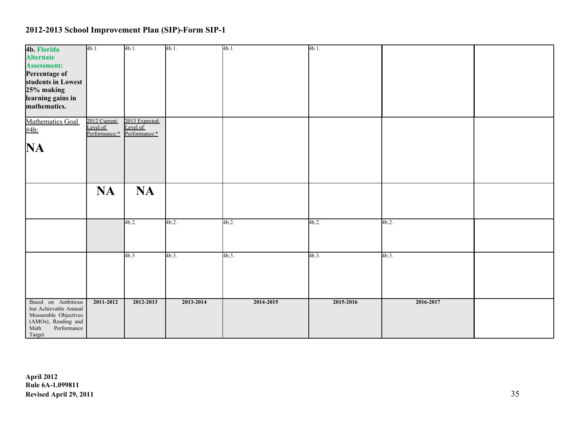|                                                                  | 4b.1.                    | 4b.1.         | 4b.1.     | 4b.1.     | 4b.1.     |           |  |
|------------------------------------------------------------------|--------------------------|---------------|-----------|-----------|-----------|-----------|--|
| 4b. Florida                                                      |                          |               |           |           |           |           |  |
| <b>Alternate</b>                                                 |                          |               |           |           |           |           |  |
| <b>Assessment:</b>                                               |                          |               |           |           |           |           |  |
|                                                                  |                          |               |           |           |           |           |  |
| Percentage of                                                    |                          |               |           |           |           |           |  |
| students in Lowest                                               |                          |               |           |           |           |           |  |
| 25% making                                                       |                          |               |           |           |           |           |  |
|                                                                  |                          |               |           |           |           |           |  |
| learning gains in                                                |                          |               |           |           |           |           |  |
| mathematics.                                                     |                          |               |           |           |           |           |  |
|                                                                  |                          |               |           |           |           |           |  |
| Mathematics Goal                                                 |                          | 2013 Expected |           |           |           |           |  |
|                                                                  | 2012 Current<br>Level of | Level of      |           |           |           |           |  |
| #4b:                                                             | Performance:*            | Performance:* |           |           |           |           |  |
|                                                                  |                          |               |           |           |           |           |  |
|                                                                  |                          |               |           |           |           |           |  |
| <b>NA</b>                                                        |                          |               |           |           |           |           |  |
|                                                                  |                          |               |           |           |           |           |  |
|                                                                  |                          |               |           |           |           |           |  |
|                                                                  |                          |               |           |           |           |           |  |
|                                                                  |                          |               |           |           |           |           |  |
|                                                                  |                          |               |           |           |           |           |  |
|                                                                  | <b>NA</b>                | <b>NA</b>     |           |           |           |           |  |
|                                                                  |                          |               |           |           |           |           |  |
|                                                                  |                          |               |           |           |           |           |  |
|                                                                  |                          |               |           |           |           |           |  |
|                                                                  |                          |               |           |           |           |           |  |
|                                                                  |                          | 4b.2.         | 4b.2.     | 4b.2.     | 4b.2.     | 4b.2.     |  |
|                                                                  |                          |               |           |           |           |           |  |
|                                                                  |                          |               |           |           |           |           |  |
|                                                                  |                          |               |           |           |           |           |  |
|                                                                  |                          |               |           |           |           |           |  |
|                                                                  |                          |               |           |           |           |           |  |
|                                                                  |                          | 4b.3          | $4b.3$ .  | 4b.3.     | 4b.3.     | 4b.3.     |  |
|                                                                  |                          |               |           |           |           |           |  |
|                                                                  |                          |               |           |           |           |           |  |
|                                                                  |                          |               |           |           |           |           |  |
|                                                                  |                          |               |           |           |           |           |  |
|                                                                  |                          |               |           |           |           |           |  |
|                                                                  |                          |               |           |           |           |           |  |
| Based on Ambitious                                               | 2011-2012                | 2012-2013     | 2013-2014 | 2014-2015 | 2015-2016 | 2016-2017 |  |
| but Achievable Annual                                            |                          |               |           |           |           |           |  |
|                                                                  |                          |               |           |           |           |           |  |
|                                                                  |                          |               |           |           |           |           |  |
| Measurable Objectives<br>(AMOs), Reading and<br>Math Performance |                          |               |           |           |           |           |  |
|                                                                  |                          |               |           |           |           |           |  |
| Target                                                           |                          |               |           |           |           |           |  |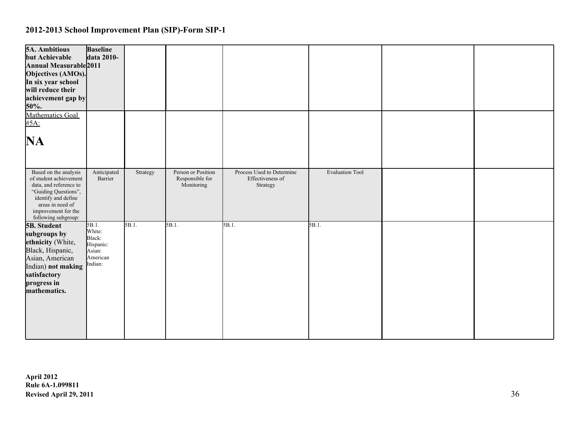| <b>5A. Ambitious</b><br>but Achievable<br>Annual Measurable 2011<br>Objectives (AMOs).<br>In six year school<br>will reduce their<br>achievement gap by<br>50%.<br>Mathematics Goal        | <b>Baseline</b><br>data 2010-                                           |          |                                                     |                                                           |                        |  |
|--------------------------------------------------------------------------------------------------------------------------------------------------------------------------------------------|-------------------------------------------------------------------------|----------|-----------------------------------------------------|-----------------------------------------------------------|------------------------|--|
| #5A:<br>NA                                                                                                                                                                                 |                                                                         |          |                                                     |                                                           |                        |  |
| Based on the analysis<br>of student achievement<br>data, and reference to<br>"Guiding Questions",<br>identify and define<br>areas in need of<br>improvement for the<br>following subgroup: | Anticipated<br>Barrier                                                  | Strategy | Person or Position<br>Responsible for<br>Monitoring | Process Used to Determine<br>Effectiveness of<br>Strategy | <b>Evaluation Tool</b> |  |
| 5B. Student<br>subgroups by<br>ethnicity (White,<br>Black, Hispanic,<br>Asian, American<br>Indian) not making<br>satisfactory<br>progress in<br>mathematics.                               | 5B.1.<br>White:<br>Black:<br>Hispanic:<br>Asian:<br>American<br>Indian: | 5B.1.    | 5B.1.                                               | 5B.1.                                                     | 5B.1.                  |  |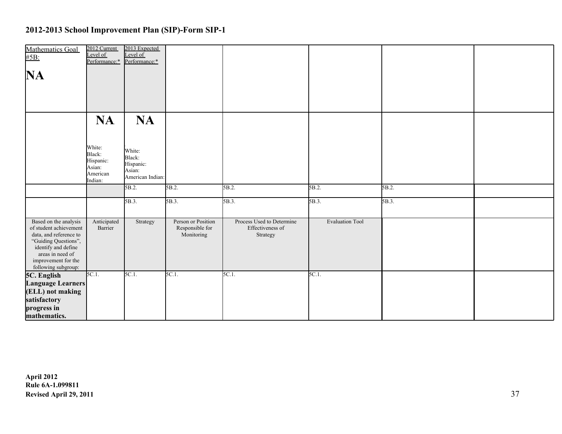| Mathematics Goal<br>#5B:                                                                                                                                                                   | 2012 Current<br>Level of<br>Performance:*                      | 2013 Expected<br>Level of<br>Performance:*                  |                                                     |                                                           |                        |       |  |
|--------------------------------------------------------------------------------------------------------------------------------------------------------------------------------------------|----------------------------------------------------------------|-------------------------------------------------------------|-----------------------------------------------------|-----------------------------------------------------------|------------------------|-------|--|
| <b>NA</b>                                                                                                                                                                                  |                                                                |                                                             |                                                     |                                                           |                        |       |  |
|                                                                                                                                                                                            |                                                                |                                                             |                                                     |                                                           |                        |       |  |
|                                                                                                                                                                                            | <b>NA</b>                                                      | <b>NA</b>                                                   |                                                     |                                                           |                        |       |  |
|                                                                                                                                                                                            | White:<br>Black:<br>Hispanic:<br>Asian:<br>American<br>Indian: | White:<br>Black:<br>Hispanic:<br>Asian:<br>American Indian: |                                                     |                                                           |                        |       |  |
|                                                                                                                                                                                            |                                                                | 5B.2.                                                       | 5B.2.                                               | 5B.2.                                                     | 5B.2.                  | 5B.2. |  |
|                                                                                                                                                                                            |                                                                | 5B.3.                                                       | 5B.3.                                               | 5B.3.                                                     | 5B.3.                  | 5B.3. |  |
| Based on the analysis<br>of student achievement<br>data, and reference to<br>"Guiding Questions",<br>identify and define<br>areas in need of<br>improvement for the<br>following subgroup: | Anticipated<br>Barrier                                         | Strategy                                                    | Person or Position<br>Responsible for<br>Monitoring | Process Used to Determine<br>Effectiveness of<br>Strategy | <b>Evaluation Tool</b> |       |  |
| 5C. English                                                                                                                                                                                | $5C.1$ .                                                       | $5C.1$ .                                                    | 5C.1.                                               | $5C.1$ .                                                  | $5C.1$ .               |       |  |
| <b>Language Learners</b><br>(ELL) not making                                                                                                                                               |                                                                |                                                             |                                                     |                                                           |                        |       |  |
| satisfactory                                                                                                                                                                               |                                                                |                                                             |                                                     |                                                           |                        |       |  |
| progress in                                                                                                                                                                                |                                                                |                                                             |                                                     |                                                           |                        |       |  |
| mathematics.                                                                                                                                                                               |                                                                |                                                             |                                                     |                                                           |                        |       |  |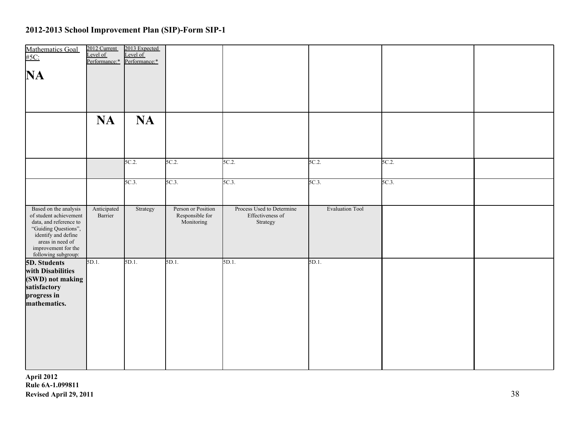| Mathematics Goal<br>#5C:<br>NA                                                                                                                                                             | 2012 Current<br>Level of<br>Performance:* | 2013 Expected<br>Level of<br>Performance:* |                                                     |                                                           |                        |       |  |
|--------------------------------------------------------------------------------------------------------------------------------------------------------------------------------------------|-------------------------------------------|--------------------------------------------|-----------------------------------------------------|-----------------------------------------------------------|------------------------|-------|--|
|                                                                                                                                                                                            | <b>NA</b>                                 | <b>NA</b>                                  |                                                     |                                                           |                        |       |  |
|                                                                                                                                                                                            |                                           | 5C.2                                       | 5C.2                                                | 5C.2                                                      | 5C.2                   | 5C.2  |  |
|                                                                                                                                                                                            |                                           | $5C.3$ .                                   | $5C.3$ .                                            | $5C.3$ .                                                  | $5C.3$ .               | 5C.3. |  |
| Based on the analysis<br>of student achievement<br>data, and reference to<br>"Guiding Questions",<br>identify and define<br>areas in need of<br>improvement for the<br>following subgroup: | Anticipated<br>Barrier                    | Strategy                                   | Person or Position<br>Responsible for<br>Monitoring | Process Used to Determine<br>Effectiveness of<br>Strategy | <b>Evaluation Tool</b> |       |  |
| 5D. Students<br>with Disabilities<br>(SWD) not making<br>satisfactory<br>progress in<br>mathematics.                                                                                       | 5D.1.                                     | 5D.1.                                      | 5D.1.                                               | 5D.1.                                                     | 5D.1.                  |       |  |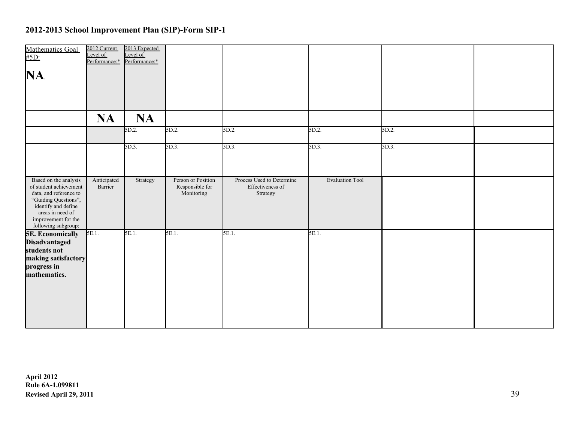| Mathematics Goal                                                                                                                                                                           | 2012 Current<br>Level of<br>Performance:* | 2013 Expected<br>evel of<br>Performance:* |                                                     |                                                           |                        |       |  |
|--------------------------------------------------------------------------------------------------------------------------------------------------------------------------------------------|-------------------------------------------|-------------------------------------------|-----------------------------------------------------|-----------------------------------------------------------|------------------------|-------|--|
| NA.                                                                                                                                                                                        |                                           |                                           |                                                     |                                                           |                        |       |  |
|                                                                                                                                                                                            |                                           |                                           |                                                     |                                                           |                        |       |  |
|                                                                                                                                                                                            | <b>NA</b>                                 | <b>NA</b>                                 |                                                     |                                                           |                        |       |  |
|                                                                                                                                                                                            |                                           | 5D.2                                      | 5D.2.                                               | 5D.2.                                                     | 5D.2.                  | 5D.2. |  |
|                                                                                                                                                                                            |                                           | 5D.3.                                     | 5D.3.                                               | $5D.3$ .                                                  | $5D.3$ .               | 5D.3. |  |
|                                                                                                                                                                                            |                                           |                                           |                                                     |                                                           |                        |       |  |
| Based on the analysis<br>of student achievement<br>data, and reference to<br>"Guiding Questions",<br>identify and define<br>areas in need of<br>improvement for the<br>following subgroup: | Anticipated<br>Barrier                    | Strategy                                  | Person or Position<br>Responsible for<br>Monitoring | Process Used to Determine<br>Effectiveness of<br>Strategy | <b>Evaluation Tool</b> |       |  |
| <b>5E. Economically</b><br>Disadvantaged<br>students not<br>making satisfactory<br>progress in<br>mathematics.                                                                             | 5E.1                                      | 5E.1.                                     | 5E.1.                                               | 5E.1.                                                     | 5E.1.                  |       |  |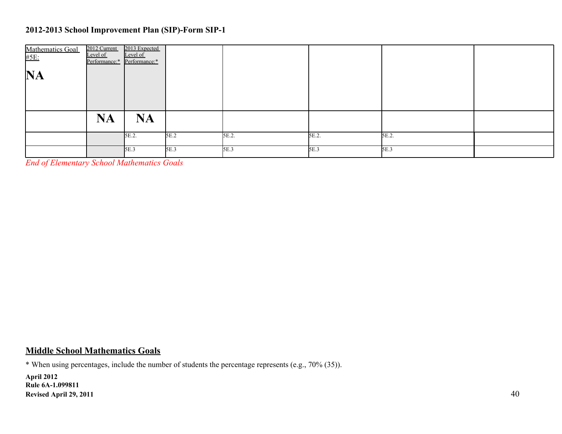| Mathematics Goal<br>#5E: | 2012 Current<br>Level of<br>Performance:* Performance:* | 2013 Expected<br>Level of |      |       |       |       |  |
|--------------------------|---------------------------------------------------------|---------------------------|------|-------|-------|-------|--|
| <b>NA</b>                |                                                         |                           |      |       |       |       |  |
|                          |                                                         |                           |      |       |       |       |  |
|                          | <b>NA</b>                                               | <b>NA</b>                 |      |       |       |       |  |
|                          |                                                         | 5E.2.                     | 5E.2 | 5E.2. | 5E.2. | 5E.2. |  |
|                          |                                                         | 5E.3                      | 5E.3 | 5E.3  | 5E.3  | 5E.3  |  |

*End of Elementary School Mathematics Goals*

#### **Middle School Mathematics Goals**

\* When using percentages, include the number of students the percentage represents (e.g., 70% (35)).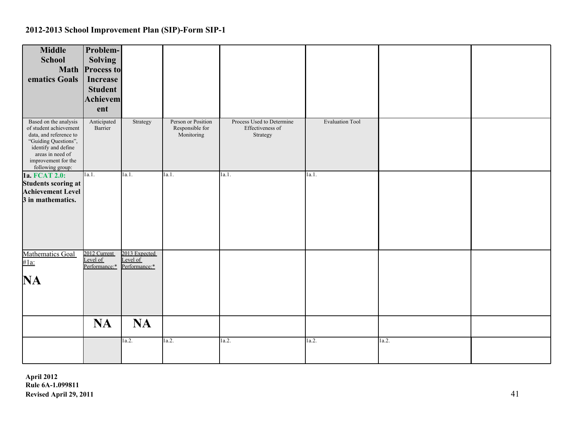| <b>Middle</b><br>Problem-<br><b>School</b><br><b>Solving</b><br><b>Math</b><br><b>Process to</b><br>ematics Goals<br><b>Increase</b><br><b>Student</b><br>Achievem<br>ent                                                                                                            |                                                           |                        |       |  |
|--------------------------------------------------------------------------------------------------------------------------------------------------------------------------------------------------------------------------------------------------------------------------------------|-----------------------------------------------------------|------------------------|-------|--|
| Person or Position<br>Based on the analysis<br>Anticipated<br>Strategy<br>of student achievement<br>Responsible for<br>Barrier<br>Monitoring<br>data, and reference to<br>"Guiding Questions",<br>identify and define<br>areas in need of<br>improvement for the<br>following group: | Process Used to Determine<br>Effectiveness of<br>Strategy | <b>Evaluation Tool</b> |       |  |
| $\vert$ la.1.<br>1a.1.<br>1a. FCAT 2.0:<br>1a.1.<br><b>Students scoring at</b><br><b>Achievement Level</b><br>3 in mathematics.                                                                                                                                                      | 1a.1.                                                     | 1a.1.                  |       |  |
| 2012 Current<br>2013 Expected<br><b>Mathematics Goal</b><br>Level of<br>Level of<br>$#1a$ :<br>Performance:*<br>Performance:*<br>NA                                                                                                                                                  |                                                           |                        |       |  |
| <b>NA</b><br><b>NA</b><br>1a.2.<br>1a.2.                                                                                                                                                                                                                                             | 1a.2.                                                     | 1a.2.                  | 1a.2. |  |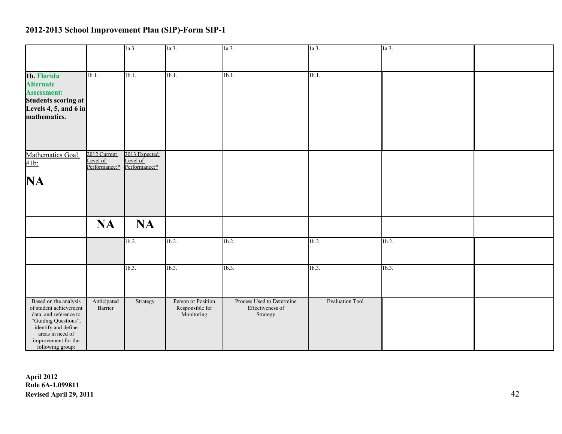|                                                                                                                                                                                         |                                           | 1a.3.                                      | 1a.3.                                               | $\vert 1a.3. \vert$                                       | 1a.3.                  | 1a.3.    |  |
|-----------------------------------------------------------------------------------------------------------------------------------------------------------------------------------------|-------------------------------------------|--------------------------------------------|-----------------------------------------------------|-----------------------------------------------------------|------------------------|----------|--|
|                                                                                                                                                                                         |                                           |                                            |                                                     |                                                           |                        |          |  |
| 1b. Florida<br><b>Alternate</b><br><b>Assessment:</b><br>Students scoring at<br>Levels $4, 5$ , and $6$ in<br>mathematics.                                                              | 1 <sub>b.1</sub>                          | 1b.1.                                      | 1 <sub>b.1</sub>                                    | 1 <sub>b.1</sub>                                          | 1b.1.                  |          |  |
| Mathematics Goal<br>$#1b$ :<br>NA                                                                                                                                                       | 2012 Current<br>Level of<br>Performance:* | 2013 Expected<br>Level of<br>Performance:* |                                                     |                                                           |                        |          |  |
|                                                                                                                                                                                         | <b>NA</b>                                 | <b>NA</b>                                  |                                                     |                                                           |                        |          |  |
|                                                                                                                                                                                         |                                           | $1b.2$ .                                   | 1b.2.                                               | $1b.2$ .                                                  | $1b.2$ .               | $1b.2$ . |  |
|                                                                                                                                                                                         |                                           | 1b.3.                                      | 1b.3.                                               | 1b.3.                                                     | 1b.3.                  | 1b.3.    |  |
| Based on the analysis<br>of student achievement<br>data, and reference to<br>"Guiding Questions",<br>identify and define<br>areas in need of<br>improvement for the<br>following group: | Anticipated<br>Barrier                    | Strategy                                   | Person or Position<br>Responsible for<br>Monitoring | Process Used to Determine<br>Effectiveness of<br>Strategy | <b>Evaluation Tool</b> |          |  |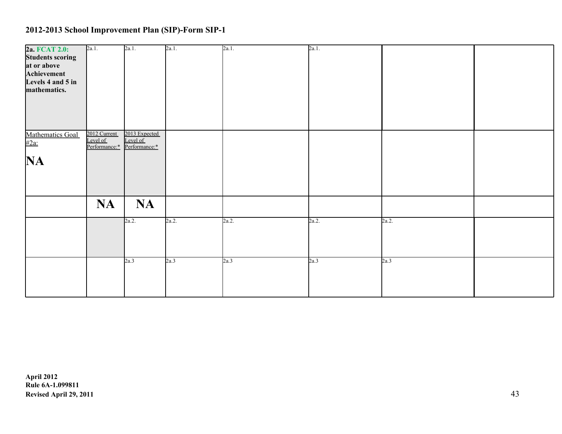| 2a. FCAT 2.0:           | 2a.1.                       | 2a.1.         | 2a.1. | 2a.1. | 2a.1. |       |  |
|-------------------------|-----------------------------|---------------|-------|-------|-------|-------|--|
| <b>Students scoring</b> |                             |               |       |       |       |       |  |
| at or above             |                             |               |       |       |       |       |  |
| Achievement             |                             |               |       |       |       |       |  |
| Levels 4 and 5 in       |                             |               |       |       |       |       |  |
| mathematics.            |                             |               |       |       |       |       |  |
|                         |                             |               |       |       |       |       |  |
|                         |                             |               |       |       |       |       |  |
|                         |                             |               |       |       |       |       |  |
|                         |                             |               |       |       |       |       |  |
|                         | 2012 Current                | 2013 Expected |       |       |       |       |  |
| Mathematics Goal        | Level of                    | Level of      |       |       |       |       |  |
|                         | Performance:* Performance:* |               |       |       |       |       |  |
|                         |                             |               |       |       |       |       |  |
| <b>NA</b>               |                             |               |       |       |       |       |  |
|                         |                             |               |       |       |       |       |  |
|                         |                             |               |       |       |       |       |  |
|                         |                             |               |       |       |       |       |  |
|                         | <b>NA</b>                   | <b>NA</b>     |       |       |       |       |  |
|                         |                             |               |       |       |       |       |  |
|                         |                             | 2a.2.         | 2a.2. | 2a.2. | 2a.2. | 2a.2. |  |
|                         |                             |               |       |       |       |       |  |
|                         |                             |               |       |       |       |       |  |
|                         |                             |               |       |       |       |       |  |
|                         |                             |               |       |       |       |       |  |
|                         |                             | 2a.3          | 2a.3  | 2a.3  | 2a.3  | 2a.3  |  |
|                         |                             |               |       |       |       |       |  |
|                         |                             |               |       |       |       |       |  |
|                         |                             |               |       |       |       |       |  |
|                         |                             |               |       |       |       |       |  |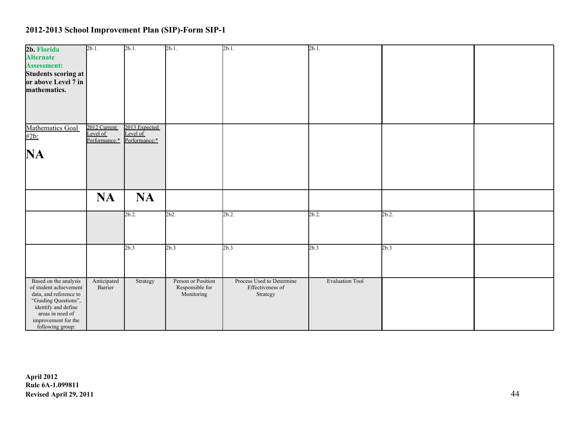| 2b. Florida                                 | $2b.1$ .      | $2b.1$ .                  | $2b.1$ .           | $2b.1$ .                  | $2b.1$ .               |       |  |
|---------------------------------------------|---------------|---------------------------|--------------------|---------------------------|------------------------|-------|--|
|                                             |               |                           |                    |                           |                        |       |  |
| <b>Alternate</b>                            |               |                           |                    |                           |                        |       |  |
| <b>Assessment:</b>                          |               |                           |                    |                           |                        |       |  |
| Students scoring at                         |               |                           |                    |                           |                        |       |  |
| or above Level 7 in                         |               |                           |                    |                           |                        |       |  |
| mathematics.                                |               |                           |                    |                           |                        |       |  |
|                                             |               |                           |                    |                           |                        |       |  |
|                                             |               |                           |                    |                           |                        |       |  |
|                                             |               |                           |                    |                           |                        |       |  |
|                                             |               |                           |                    |                           |                        |       |  |
|                                             |               |                           |                    |                           |                        |       |  |
| Mathematics Goal                            | 2012 Current  | 2013 Expected<br>Level of |                    |                           |                        |       |  |
| #2b:                                        | Level of      |                           |                    |                           |                        |       |  |
|                                             | Performance:* | Performance:*             |                    |                           |                        |       |  |
|                                             |               |                           |                    |                           |                        |       |  |
| NA                                          |               |                           |                    |                           |                        |       |  |
|                                             |               |                           |                    |                           |                        |       |  |
|                                             |               |                           |                    |                           |                        |       |  |
|                                             |               |                           |                    |                           |                        |       |  |
|                                             |               |                           |                    |                           |                        |       |  |
|                                             |               |                           |                    |                           |                        |       |  |
|                                             | <b>NA</b>     | <b>NA</b>                 |                    |                           |                        |       |  |
|                                             |               |                           |                    |                           |                        |       |  |
|                                             |               | 2b.2                      | 2b2.               | 2b.2                      | $2b.2$ .               | 2b.2. |  |
|                                             |               |                           |                    |                           |                        |       |  |
|                                             |               |                           |                    |                           |                        |       |  |
|                                             |               |                           |                    |                           |                        |       |  |
|                                             |               |                           |                    |                           |                        |       |  |
|                                             |               | 2b.3                      | 2b.3               | 2b.3                      | 2b.3                   | 2b.3  |  |
|                                             |               |                           |                    |                           |                        |       |  |
|                                             |               |                           |                    |                           |                        |       |  |
|                                             |               |                           |                    |                           |                        |       |  |
|                                             |               |                           |                    |                           |                        |       |  |
| Based on the analysis                       | Anticipated   | Strategy                  | Person or Position | Process Used to Determine | <b>Evaluation Tool</b> |       |  |
| of student achievement                      | Barrier       |                           | Responsible for    | Effectiveness of          |                        |       |  |
| data, and reference to                      |               |                           | Monitoring         | Strategy                  |                        |       |  |
| "Guiding Questions",<br>identify and define |               |                           |                    |                           |                        |       |  |
|                                             |               |                           |                    |                           |                        |       |  |
| areas in need of                            |               |                           |                    |                           |                        |       |  |
| improvement for the                         |               |                           |                    |                           |                        |       |  |
| following group:                            |               |                           |                    |                           |                        |       |  |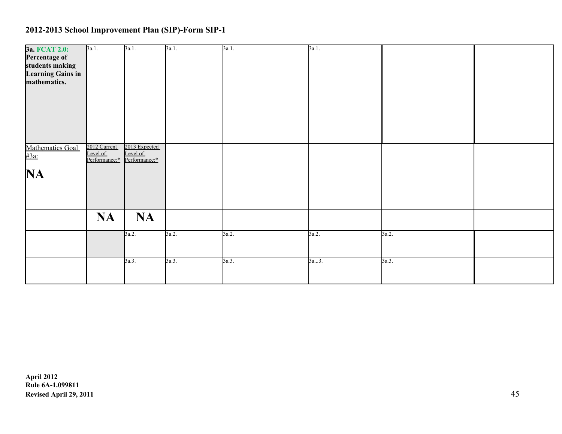| 3a. FCAT 2.0:<br>Percentage of<br>students making<br>Learning Gains in<br>mathematics. | 3a.1.                                     | 3a.1.                                      | 3a.1. | 3a.1. | 3a.1. |       |  |
|----------------------------------------------------------------------------------------|-------------------------------------------|--------------------------------------------|-------|-------|-------|-------|--|
| Mathematics Goal<br>#3a:<br><b>NA</b>                                                  | 2012 Current<br>Level of<br>Performance:* | 2013 Expected<br>Level of<br>Performance:* |       |       |       |       |  |
|                                                                                        | <b>NA</b>                                 | <b>NA</b>                                  |       |       |       |       |  |
|                                                                                        |                                           | 3a.2.                                      | 3a.2. | 3a.2. | 3a.2. | 3a.2. |  |
|                                                                                        |                                           | 3a.3.                                      | 3a.3. | 3a.3. | 3a3.  | 3a.3. |  |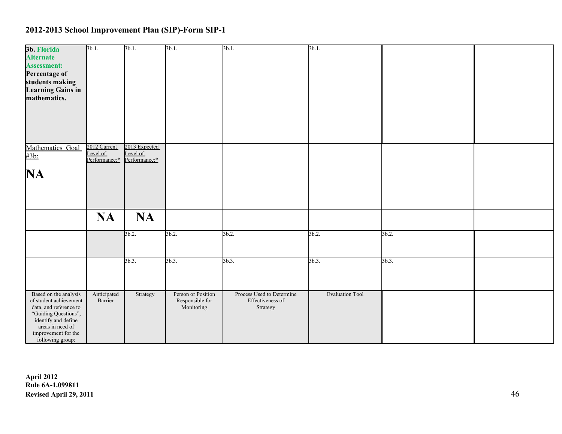| 3b. Florida                                     | $3b.1$ .                 | $3b.1$ .                  | 3b.1.                                 | $3b.1$ .                                      | $3b.1$ .               |       |  |
|-------------------------------------------------|--------------------------|---------------------------|---------------------------------------|-----------------------------------------------|------------------------|-------|--|
| <b>Alternate</b>                                |                          |                           |                                       |                                               |                        |       |  |
| <b>Assessment:</b>                              |                          |                           |                                       |                                               |                        |       |  |
| Percentage of<br>students making                |                          |                           |                                       |                                               |                        |       |  |
| <b>Learning Gains in</b>                        |                          |                           |                                       |                                               |                        |       |  |
| mathematics.                                    |                          |                           |                                       |                                               |                        |       |  |
|                                                 |                          |                           |                                       |                                               |                        |       |  |
|                                                 |                          |                           |                                       |                                               |                        |       |  |
|                                                 |                          |                           |                                       |                                               |                        |       |  |
|                                                 |                          |                           |                                       |                                               |                        |       |  |
|                                                 |                          |                           |                                       |                                               |                        |       |  |
| Mathematics Goal                                | 2012 Current<br>Level of | 2013 Expected<br>Level of |                                       |                                               |                        |       |  |
| #3b:                                            | Performance:*            | Performance:*             |                                       |                                               |                        |       |  |
|                                                 |                          |                           |                                       |                                               |                        |       |  |
| NA                                              |                          |                           |                                       |                                               |                        |       |  |
|                                                 |                          |                           |                                       |                                               |                        |       |  |
|                                                 |                          |                           |                                       |                                               |                        |       |  |
|                                                 |                          |                           |                                       |                                               |                        |       |  |
|                                                 | <b>NA</b>                | <b>NA</b>                 |                                       |                                               |                        |       |  |
|                                                 |                          |                           |                                       |                                               |                        |       |  |
|                                                 |                          | 3b.2                      | 3b.2.                                 | 3b.2.                                         | $3b.2$ .               | 3b.2. |  |
|                                                 |                          |                           |                                       |                                               |                        |       |  |
|                                                 |                          |                           |                                       |                                               |                        |       |  |
|                                                 |                          | $3b.3$ .                  | 3b.3.                                 | 3b.3.                                         | $3b.3$ .               | 3b.3. |  |
|                                                 |                          |                           |                                       |                                               |                        |       |  |
|                                                 |                          |                           |                                       |                                               |                        |       |  |
|                                                 |                          |                           |                                       |                                               |                        |       |  |
| Based on the analysis<br>of student achievement | Anticipated<br>Barrier   | Strategy                  | Person or Position<br>Responsible for | Process Used to Determine<br>Effectiveness of | <b>Evaluation Tool</b> |       |  |
| data, and reference to                          |                          |                           | Monitoring                            | Strategy                                      |                        |       |  |
| "Guiding Questions",<br>identify and define     |                          |                           |                                       |                                               |                        |       |  |
| areas in need of                                |                          |                           |                                       |                                               |                        |       |  |
| improvement for the                             |                          |                           |                                       |                                               |                        |       |  |
| following group:                                |                          |                           |                                       |                                               |                        |       |  |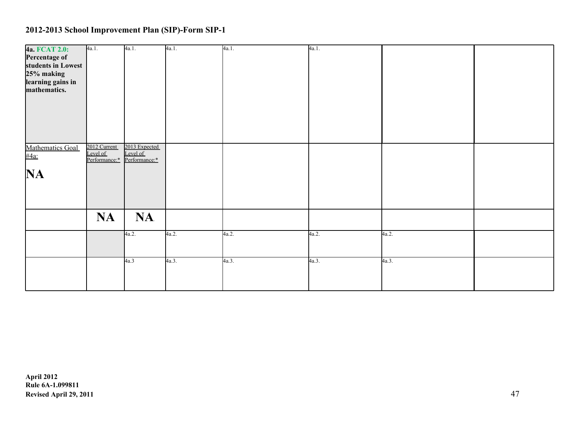| 4a. FCAT 2.0:            | 4a.1.                     | 4a.1.                     | 4a.1. | 4a.1. | 4a.1. |       |  |
|--------------------------|---------------------------|---------------------------|-------|-------|-------|-------|--|
| Percentage of            |                           |                           |       |       |       |       |  |
| students in Lowest       |                           |                           |       |       |       |       |  |
| 25% making               |                           |                           |       |       |       |       |  |
| learning gains in        |                           |                           |       |       |       |       |  |
| mathematics.             |                           |                           |       |       |       |       |  |
|                          |                           |                           |       |       |       |       |  |
| Mathematics Goal<br>#4a: | 2012 Current              | 2013 Expected             |       |       |       |       |  |
|                          | Level of<br>Performance:* | Level of<br>Performance:* |       |       |       |       |  |
| <b>NA</b>                |                           |                           |       |       |       |       |  |
|                          |                           |                           |       |       |       |       |  |
|                          | <b>NA</b>                 | <b>NA</b>                 |       |       |       |       |  |
|                          |                           | 4a.2.                     | 4a.2. | 4a.2. | 4a.2. | 4a.2. |  |
|                          |                           |                           |       |       |       |       |  |
|                          |                           | 4a.3                      | 4a.3. | 4a.3. | 4a.3. | 4a.3. |  |
|                          |                           |                           |       |       |       |       |  |
|                          |                           |                           |       |       |       |       |  |
|                          |                           |                           |       |       |       |       |  |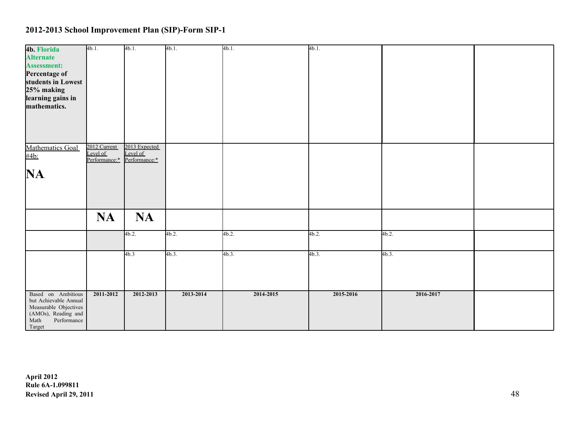| 4b. Florida           | 4b.1.         | 4b.1.         | $4b.1$ .  | 4b.1.     | 4b.1.     |           |  |
|-----------------------|---------------|---------------|-----------|-----------|-----------|-----------|--|
| <b>Alternate</b>      |               |               |           |           |           |           |  |
|                       |               |               |           |           |           |           |  |
| <b>Assessment:</b>    |               |               |           |           |           |           |  |
| Percentage of         |               |               |           |           |           |           |  |
|                       |               |               |           |           |           |           |  |
| students in Lowest    |               |               |           |           |           |           |  |
| 25% making            |               |               |           |           |           |           |  |
|                       |               |               |           |           |           |           |  |
| learning gains in     |               |               |           |           |           |           |  |
| mathematics.          |               |               |           |           |           |           |  |
|                       |               |               |           |           |           |           |  |
|                       |               |               |           |           |           |           |  |
|                       |               |               |           |           |           |           |  |
|                       |               |               |           |           |           |           |  |
|                       |               |               |           |           |           |           |  |
|                       |               |               |           |           |           |           |  |
|                       | 2012 Current  | 2013 Expected |           |           |           |           |  |
| Mathematics Goal      |               |               |           |           |           |           |  |
| #4b:                  | Level of      | Level of      |           |           |           |           |  |
|                       | Performance:* | Performance:* |           |           |           |           |  |
|                       |               |               |           |           |           |           |  |
| NA.                   |               |               |           |           |           |           |  |
|                       |               |               |           |           |           |           |  |
|                       |               |               |           |           |           |           |  |
|                       |               |               |           |           |           |           |  |
|                       |               |               |           |           |           |           |  |
|                       |               |               |           |           |           |           |  |
|                       |               |               |           |           |           |           |  |
|                       |               | <b>NA</b>     |           |           |           |           |  |
|                       | <b>NA</b>     |               |           |           |           |           |  |
|                       |               |               |           |           |           |           |  |
|                       |               | 4b.2.         | 4b.2.     | 4b.2.     | 4b.2.     | 4b.2.     |  |
|                       |               |               |           |           |           |           |  |
|                       |               |               |           |           |           |           |  |
|                       |               |               |           |           |           |           |  |
|                       |               | 4b.3          | $4b.3$ .  | $4b.3$ .  | 4b.3.     | $4b.3$ .  |  |
|                       |               |               |           |           |           |           |  |
|                       |               |               |           |           |           |           |  |
|                       |               |               |           |           |           |           |  |
|                       |               |               |           |           |           |           |  |
|                       |               |               |           |           |           |           |  |
|                       |               |               |           |           |           |           |  |
| Based on Ambitious    | 2011-2012     | 2012-2013     | 2013-2014 | 2014-2015 | 2015-2016 | 2016-2017 |  |
| but Achievable Annual |               |               |           |           |           |           |  |
| Measurable Objectives |               |               |           |           |           |           |  |
| (AMOs), Reading and   |               |               |           |           |           |           |  |
| Math<br>Performance   |               |               |           |           |           |           |  |
|                       |               |               |           |           |           |           |  |
| Target                |               |               |           |           |           |           |  |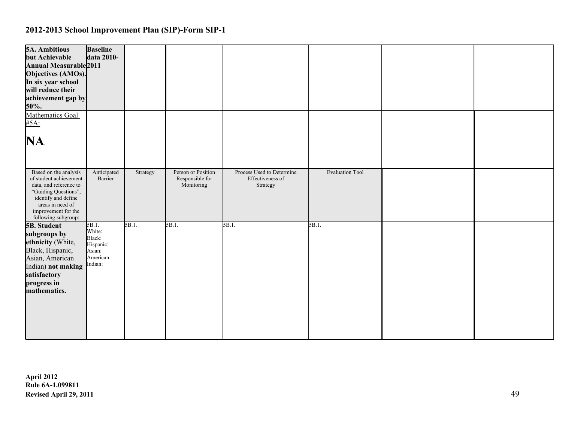| <b>5A. Ambitious</b><br>but Achievable<br>Annual Measurable 2011<br>Objectives (AMOs).<br>In six year school<br>will reduce their<br>achievement gap by<br>50%.<br>Mathematics Goal        | <b>Baseline</b><br>data 2010-                                           |          |                                                     |                                                           |                        |  |
|--------------------------------------------------------------------------------------------------------------------------------------------------------------------------------------------|-------------------------------------------------------------------------|----------|-----------------------------------------------------|-----------------------------------------------------------|------------------------|--|
| #5A:                                                                                                                                                                                       |                                                                         |          |                                                     |                                                           |                        |  |
| NA.                                                                                                                                                                                        |                                                                         |          |                                                     |                                                           |                        |  |
| Based on the analysis<br>of student achievement<br>data, and reference to<br>"Guiding Questions",<br>identify and define<br>areas in need of<br>improvement for the<br>following subgroup: | Anticipated<br>Barrier                                                  | Strategy | Person or Position<br>Responsible for<br>Monitoring | Process Used to Determine<br>Effectiveness of<br>Strategy | <b>Evaluation Tool</b> |  |
| <b>5B.</b> Student<br>subgroups by<br>ethnicity (White,<br>Black, Hispanic,<br>Asian, American<br>Indian) not making<br>satisfactory<br>progress in<br>mathematics.                        | 5B.1.<br>White:<br>Black:<br>Hispanic:<br>Asian:<br>American<br>Indian: | 5B.1.    | 5B.1.                                               | 5B.1.                                                     | $5B.1$ .               |  |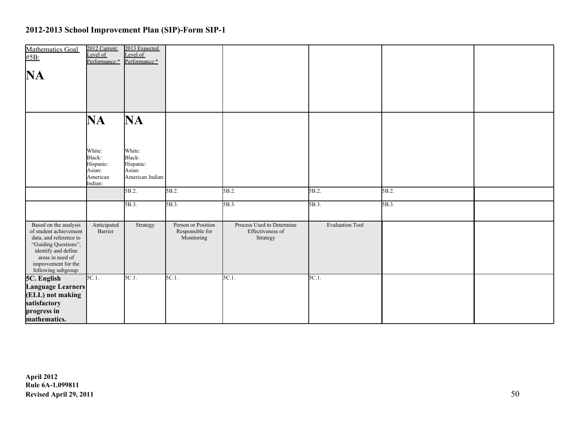| Mathematics Goal<br>#5B:                                                                                                                                                                   | 2012 Current<br>Level of<br>Performance:* Performance:*        | 2013 Expected<br>Level of                                   |                                                     |                                                           |                        |       |  |
|--------------------------------------------------------------------------------------------------------------------------------------------------------------------------------------------|----------------------------------------------------------------|-------------------------------------------------------------|-----------------------------------------------------|-----------------------------------------------------------|------------------------|-------|--|
| NA.                                                                                                                                                                                        |                                                                |                                                             |                                                     |                                                           |                        |       |  |
|                                                                                                                                                                                            |                                                                |                                                             |                                                     |                                                           |                        |       |  |
|                                                                                                                                                                                            | NA                                                             | NA                                                          |                                                     |                                                           |                        |       |  |
|                                                                                                                                                                                            | White:<br>Black:<br>Hispanic:<br>Asian:<br>American<br>Indian: | White:<br>Black:<br>Hispanic:<br>Asian:<br>American Indian: |                                                     |                                                           |                        |       |  |
|                                                                                                                                                                                            |                                                                | 5B.2.                                                       | 5B.2.                                               | 5B.2.                                                     | 5B.2.                  | 5B.2. |  |
|                                                                                                                                                                                            |                                                                | 5B.3.                                                       | 5B.3.                                               | 5B.3.                                                     | 5B.3.                  | 5B.3. |  |
| Based on the analysis<br>of student achievement<br>data, and reference to<br>"Guiding Questions",<br>identify and define<br>areas in need of<br>improvement for the<br>following subgroup: | Anticipated<br>Barrier                                         | Strategy                                                    | Person or Position<br>Responsible for<br>Monitoring | Process Used to Determine<br>Effectiveness of<br>Strategy | <b>Evaluation Tool</b> |       |  |
| 5C. English<br>Language Learners                                                                                                                                                           | $5C.1$ .                                                       | 5C.1.                                                       | $5C.1$ .                                            | $5C.1$ .                                                  | 5C.1.                  |       |  |
| (ELL) not making                                                                                                                                                                           |                                                                |                                                             |                                                     |                                                           |                        |       |  |
| satisfactory                                                                                                                                                                               |                                                                |                                                             |                                                     |                                                           |                        |       |  |
| progress in<br>mathematics.                                                                                                                                                                |                                                                |                                                             |                                                     |                                                           |                        |       |  |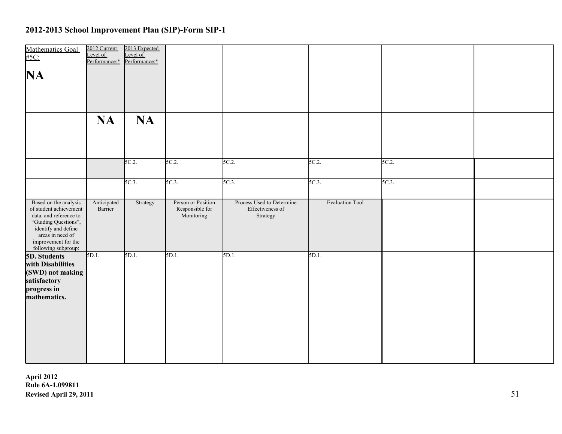| Mathematics Goal<br>#5C:<br>NA                                                                                                                                                             | 2012 Current<br>Level of<br>Performance:* | 2013 Expected<br>Level of<br>Performance:* |                                                     |                                                           |                        |          |  |
|--------------------------------------------------------------------------------------------------------------------------------------------------------------------------------------------|-------------------------------------------|--------------------------------------------|-----------------------------------------------------|-----------------------------------------------------------|------------------------|----------|--|
|                                                                                                                                                                                            | <b>NA</b>                                 | <b>NA</b>                                  |                                                     |                                                           |                        |          |  |
|                                                                                                                                                                                            |                                           | 5C.2.                                      | 5C.2.                                               | $5C.2$ .                                                  | 5C.2.                  | 5C.2.    |  |
|                                                                                                                                                                                            |                                           | 5C.3.                                      | $5C.3$ .                                            | $5C.3$ .                                                  | $5C.3$ .               | $5C.3$ . |  |
| Based on the analysis<br>of student achievement<br>data, and reference to<br>"Guiding Questions",<br>identify and define<br>areas in need of<br>improvement for the<br>following subgroup: | Anticipated<br>Barrier                    | Strategy                                   | Person or Position<br>Responsible for<br>Monitoring | Process Used to Determine<br>Effectiveness of<br>Strategy | <b>Evaluation Tool</b> |          |  |
| 5D. Students<br>with Disabilities<br>(SWD) not making<br>satisfactory<br>progress in<br>mathematics.                                                                                       | $5D.1$ .                                  | 5D.1.                                      | 5D.1.                                               | 5D.1.                                                     | 5D.1.                  |          |  |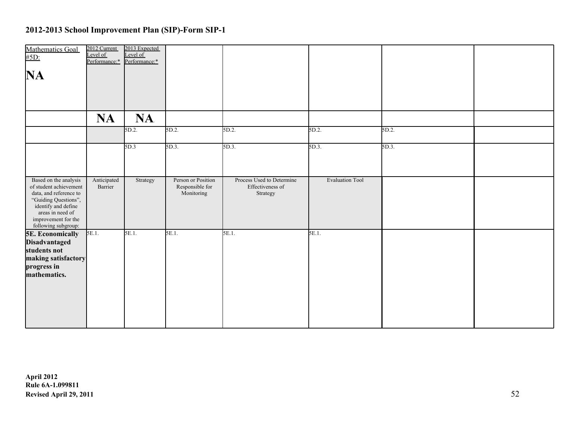| Mathematics Goal<br>#5D:                                                                                                                                                                   | 2012 Current<br>Level of<br>Performance:* | 2013 Expected<br>evel of<br>Performance:* |                                                     |                                                           |                        |       |  |
|--------------------------------------------------------------------------------------------------------------------------------------------------------------------------------------------|-------------------------------------------|-------------------------------------------|-----------------------------------------------------|-----------------------------------------------------------|------------------------|-------|--|
| NA                                                                                                                                                                                         |                                           |                                           |                                                     |                                                           |                        |       |  |
|                                                                                                                                                                                            | <b>NA</b>                                 | <b>NA</b>                                 |                                                     |                                                           |                        |       |  |
|                                                                                                                                                                                            |                                           | 5D.2.                                     | 5D.2.                                               | 5D.2.                                                     | 5D.2.                  | 5D.2. |  |
|                                                                                                                                                                                            |                                           | 5D.3                                      | 5D.3.                                               | $5D.3$ .                                                  | $5D.3$ .               | 5D.3. |  |
| Based on the analysis<br>of student achievement<br>data, and reference to<br>"Guiding Questions",<br>identify and define<br>areas in need of<br>improvement for the<br>following subgroup: | Anticipated<br>Barrier                    | Strategy                                  | Person or Position<br>Responsible for<br>Monitoring | Process Used to Determine<br>Effectiveness of<br>Strategy | <b>Evaluation Tool</b> |       |  |
| <b>5E. Economically</b><br>Disadvantaged<br>students not<br>making satisfactory<br>progress in<br>mathematics.                                                                             | 5E.1.                                     | 5E.1.                                     | 5E.1.                                               | $5E.1$ .                                                  | 5E.1.                  |       |  |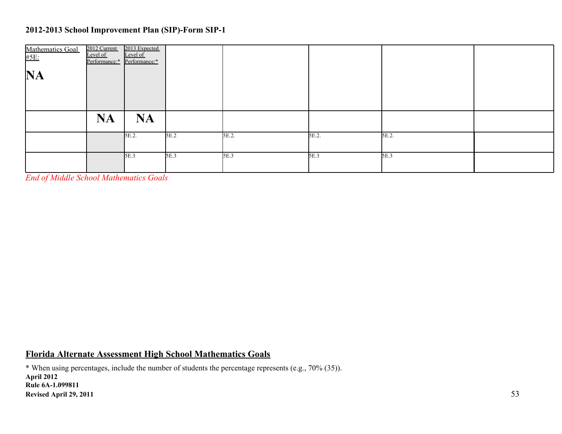| Mathematics Goal<br>#5E: | 2012 Current<br>Level of<br>Performance:* | 2013 Expected<br>Level of<br>Performance:* |      |       |       |       |  |
|--------------------------|-------------------------------------------|--------------------------------------------|------|-------|-------|-------|--|
| <b>NA</b>                |                                           |                                            |      |       |       |       |  |
|                          |                                           |                                            |      |       |       |       |  |
|                          | <b>NA</b>                                 | <b>NA</b>                                  |      |       |       |       |  |
|                          |                                           | 5E.2.                                      | 5E.2 | 5E.2. | 5E.2. | 5E.2. |  |
|                          |                                           | 5E.3                                       | 5E.3 | 5E.3  | 5E.3  | 5E.3  |  |

*End of Middle School Mathematics Goals*

### **Florida Alternate Assessment High School Mathematics Goals**

\* When using percentages, include the number of students the percentage represents (e.g., 70% (35)). **April 2012 Rule 6A-1.099811 Revised April 29, 2011** 53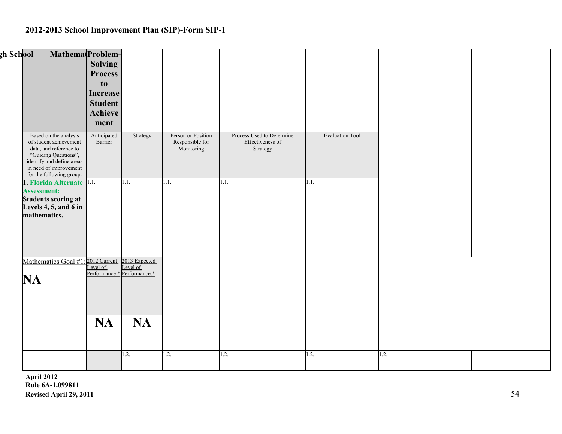| <u>zh School</u>                                                                                                                                                                     | Mathema <sub>(Problem-</sub><br><b>Solving</b><br><b>Process</b><br>to<br>Increase<br><b>Student</b><br>Achieve<br>ment |                                                          |                                                     |                                                           |                        |      |  |
|--------------------------------------------------------------------------------------------------------------------------------------------------------------------------------------|-------------------------------------------------------------------------------------------------------------------------|----------------------------------------------------------|-----------------------------------------------------|-----------------------------------------------------------|------------------------|------|--|
| Based on the analysis<br>of student achievement<br>data, and reference to<br>"Guiding Questions",<br>identify and define areas<br>in need of improvement<br>for the following group: | Anticipated<br>Barrier                                                                                                  | Strategy                                                 | Person or Position<br>Responsible for<br>Monitoring | Process Used to Determine<br>Effectiveness of<br>Strategy | <b>Evaluation Tool</b> |      |  |
| 1. Florida Alternate 1.1.<br>Assessment:<br><b>Students scoring at</b><br>Levels 4, 5, and 6 in<br>mathematics.                                                                      |                                                                                                                         | 1.1.                                                     | 1.1.                                                | 1.1.                                                      | 1.1.                   |      |  |
| Mathematics Goal #1: 2012 Current<br>NA                                                                                                                                              | Level of                                                                                                                | 2013 Expected<br>Level of<br>Performance:* Performance:* |                                                     |                                                           |                        |      |  |
|                                                                                                                                                                                      | <b>NA</b>                                                                                                               | <b>NA</b>                                                |                                                     |                                                           |                        |      |  |
|                                                                                                                                                                                      |                                                                                                                         | 1.2.                                                     | 1.2.                                                | 1.2.                                                      | 1.2.                   | 1.2. |  |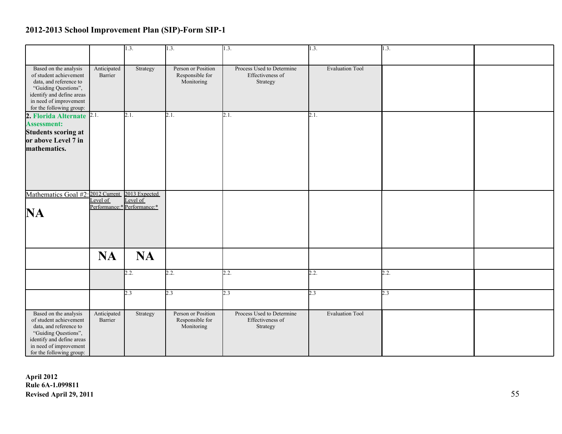|                                                                                                                                                                                      |                        | 1.3.                                    | 1.3.                                                | 1.3.                                                      | 1.3.                   | 1.3. |  |
|--------------------------------------------------------------------------------------------------------------------------------------------------------------------------------------|------------------------|-----------------------------------------|-----------------------------------------------------|-----------------------------------------------------------|------------------------|------|--|
| Based on the analysis<br>of student achievement<br>data, and reference to<br>"Guiding Questions",<br>identify and define areas<br>in need of improvement<br>for the following group: | Anticipated<br>Barrier | Strategy                                | Person or Position<br>Responsible for<br>Monitoring | Process Used to Determine<br>Effectiveness of<br>Strategy | <b>Evaluation Tool</b> |      |  |
| 2. Florida Alternate 2.1.<br><b>Assessment:</b><br><b>Students scoring at</b><br>or above Level 7 in<br>mathematics.                                                                 |                        | 2.1.                                    | 2.1.                                                | 2.1.                                                      | 2.1.                   |      |  |
| Mathematics Goal #2: 2012 Current 2013 Expected<br><b>NA</b>                                                                                                                         | Level of               | Level of<br>Performance:* Performance:* |                                                     |                                                           |                        |      |  |
|                                                                                                                                                                                      | <b>NA</b>              | <b>NA</b>                               |                                                     |                                                           |                        |      |  |
|                                                                                                                                                                                      |                        | 2.2.                                    | 2.2.                                                | 2.2.                                                      | 2.2.                   | 2.2. |  |
|                                                                                                                                                                                      |                        | 2.3                                     | 2.3                                                 | 2.3                                                       | 2.3                    | 2.3  |  |
| Based on the analysis<br>of student achievement<br>data, and reference to<br>"Guiding Questions",<br>identify and define areas<br>in need of improvement<br>for the following group: | Anticipated<br>Barrier | Strategy                                | Person or Position<br>Responsible for<br>Monitoring | Process Used to Determine<br>Effectiveness of<br>Strategy | <b>Evaluation Tool</b> |      |  |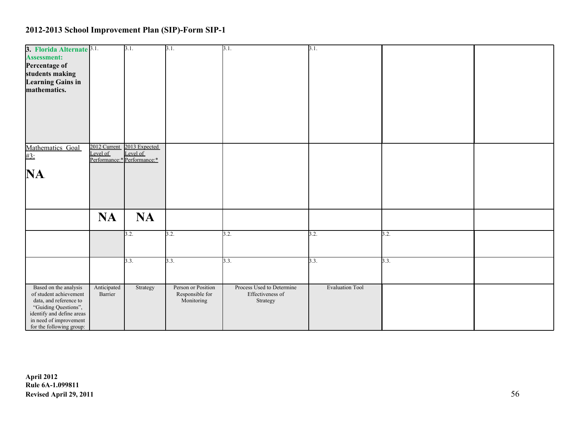| 3. Florida Alternate <sup>3.1.</sup>                |              | 3.1.                                    | 3.1.               | 3.1.                      | 3.1.                   |      |  |
|-----------------------------------------------------|--------------|-----------------------------------------|--------------------|---------------------------|------------------------|------|--|
| <b>Assessment:</b>                                  |              |                                         |                    |                           |                        |      |  |
| Percentage of                                       |              |                                         |                    |                           |                        |      |  |
| students making                                     |              |                                         |                    |                           |                        |      |  |
| <b>Learning Gains in</b>                            |              |                                         |                    |                           |                        |      |  |
| mathematics.                                        |              |                                         |                    |                           |                        |      |  |
|                                                     |              |                                         |                    |                           |                        |      |  |
|                                                     |              |                                         |                    |                           |                        |      |  |
|                                                     |              |                                         |                    |                           |                        |      |  |
|                                                     |              |                                         |                    |                           |                        |      |  |
|                                                     |              |                                         |                    |                           |                        |      |  |
|                                                     |              |                                         |                    |                           |                        |      |  |
| Mathematics Goal                                    | 2012 Current | 2013 Expected                           |                    |                           |                        |      |  |
| #3:                                                 | Level of     | Level of<br>Performance:* Performance:* |                    |                           |                        |      |  |
|                                                     |              |                                         |                    |                           |                        |      |  |
| NA.                                                 |              |                                         |                    |                           |                        |      |  |
|                                                     |              |                                         |                    |                           |                        |      |  |
|                                                     |              |                                         |                    |                           |                        |      |  |
|                                                     |              |                                         |                    |                           |                        |      |  |
|                                                     |              |                                         |                    |                           |                        |      |  |
|                                                     | <b>NA</b>    | <b>NA</b>                               |                    |                           |                        |      |  |
|                                                     |              |                                         |                    |                           |                        |      |  |
|                                                     |              | 3.2.                                    | 3.2.               | 3.2.                      | 3.2.                   | 3.2. |  |
|                                                     |              |                                         |                    |                           |                        |      |  |
|                                                     |              |                                         |                    |                           |                        |      |  |
|                                                     |              | 3.3.                                    | 3.3.               | 3.3.                      | 3.3.                   | 3.3. |  |
|                                                     |              |                                         |                    |                           |                        |      |  |
|                                                     |              |                                         |                    |                           |                        |      |  |
| Based on the analysis                               | Anticipated  | Strategy                                | Person or Position | Process Used to Determine | <b>Evaluation Tool</b> |      |  |
| of student achievement                              | Barrier      |                                         | Responsible for    | Effectiveness of          |                        |      |  |
| data, and reference to                              |              |                                         | Monitoring         | Strategy                  |                        |      |  |
| "Guiding Questions",                                |              |                                         |                    |                           |                        |      |  |
| identify and define areas<br>in need of improvement |              |                                         |                    |                           |                        |      |  |
| for the following group:                            |              |                                         |                    |                           |                        |      |  |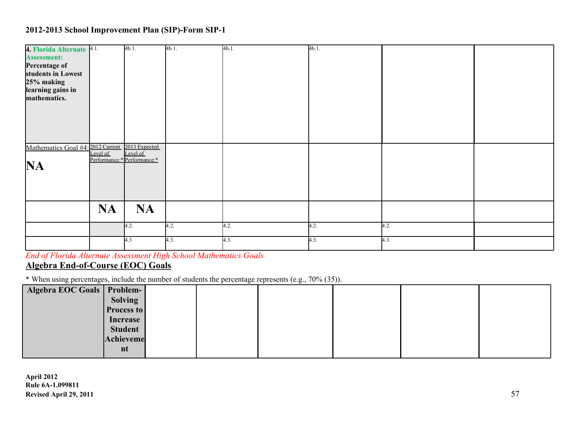| 4. Florida Alternate 4.1.                       |           | 4b.1.                           | 4b.1. | 4b.1. | 4b.1. |      |  |
|-------------------------------------------------|-----------|---------------------------------|-------|-------|-------|------|--|
| <b>Assessment:</b>                              |           |                                 |       |       |       |      |  |
| Percentage of                                   |           |                                 |       |       |       |      |  |
| students in Lowest                              |           |                                 |       |       |       |      |  |
| 25% making                                      |           |                                 |       |       |       |      |  |
| learning gains in                               |           |                                 |       |       |       |      |  |
| mathematics.                                    |           |                                 |       |       |       |      |  |
|                                                 |           |                                 |       |       |       |      |  |
|                                                 |           |                                 |       |       |       |      |  |
|                                                 |           |                                 |       |       |       |      |  |
|                                                 |           |                                 |       |       |       |      |  |
|                                                 |           |                                 |       |       |       |      |  |
| Mathematics Goal #4: 2012 Current 2013 Expected |           |                                 |       |       |       |      |  |
|                                                 |           | Level of Level of Performance:* |       |       |       |      |  |
| <b>NA</b>                                       |           |                                 |       |       |       |      |  |
|                                                 |           |                                 |       |       |       |      |  |
|                                                 |           |                                 |       |       |       |      |  |
|                                                 |           |                                 |       |       |       |      |  |
|                                                 |           |                                 |       |       |       |      |  |
|                                                 | <b>NA</b> | <b>NA</b>                       |       |       |       |      |  |
|                                                 |           |                                 |       |       |       |      |  |
|                                                 |           | 4.2.                            | 4.2.  | 4.2.  | 4.2.  | 4.2. |  |
|                                                 |           |                                 |       |       |       |      |  |
|                                                 |           | 4.3                             | 4.3.  | 4.3.  | 4.3.  | 4.3. |  |
|                                                 |           |                                 |       |       |       |      |  |

*End of Florida Alternate Assessment High School Mathematics Goals* **Algebra End-of-Course (EOC) Goals**

\* When using percentages, include the number of students the percentage represents (e.g., 70% (35)).

| Algebra EOC Goals   Problem- |                   |  |  |  |
|------------------------------|-------------------|--|--|--|
|                              | Solving           |  |  |  |
|                              | <b>Process to</b> |  |  |  |
|                              | Increase          |  |  |  |
|                              | <b>Student</b>    |  |  |  |
|                              | Achieveme         |  |  |  |
|                              | nt                |  |  |  |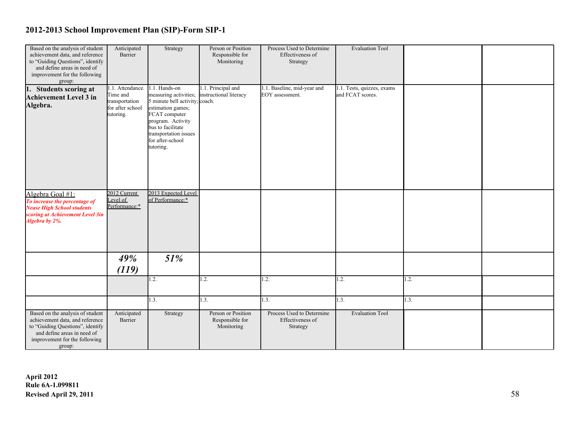| Based on the analysis of student  | Anticipated      | Strategy                       | Person or Position     | Process Used to Determine   | <b>Evaluation Tool</b>     |      |  |
|-----------------------------------|------------------|--------------------------------|------------------------|-----------------------------|----------------------------|------|--|
| achievement data, and reference   | Barrier          |                                | Responsible for        | Effectiveness of            |                            |      |  |
| to "Guiding Questions", identify  |                  |                                | Monitoring             | Strategy                    |                            |      |  |
| and define areas in need of       |                  |                                |                        |                             |                            |      |  |
| improvement for the following     |                  |                                |                        |                             |                            |      |  |
| group:                            |                  |                                |                        |                             |                            |      |  |
| 1. Students scoring at            | 1.1. Attendance. | 1.1. Hands-on                  | 1.1. Principal and     | 1.1. Baseline, mid-year and | 1.1. Tests, quizzes, exams |      |  |
| <b>Achievement Level 3 in</b>     | Time and         | measuring activities;          | instructional literacy | EOY assessment.             | and FCAT scores.           |      |  |
|                                   | transportation   | 5 minute bell activity; coach. |                        |                             |                            |      |  |
| Algebra.                          | for after school | estimation games;              |                        |                             |                            |      |  |
|                                   | tutoring.        | FCAT computer                  |                        |                             |                            |      |  |
|                                   |                  | program. Activity              |                        |                             |                            |      |  |
|                                   |                  | bus to facilitate              |                        |                             |                            |      |  |
|                                   |                  | transportation issues          |                        |                             |                            |      |  |
|                                   |                  | for after-school               |                        |                             |                            |      |  |
|                                   |                  | tutoring.                      |                        |                             |                            |      |  |
|                                   |                  |                                |                        |                             |                            |      |  |
|                                   |                  |                                |                        |                             |                            |      |  |
|                                   |                  |                                |                        |                             |                            |      |  |
|                                   |                  |                                |                        |                             |                            |      |  |
|                                   |                  |                                |                        |                             |                            |      |  |
|                                   |                  |                                |                        |                             |                            |      |  |
| Algebra Goal #1:                  | 2012 Current     | 2013 Expected Level            |                        |                             |                            |      |  |
| To increase the percentage of     | Level of         | of Performance:*               |                        |                             |                            |      |  |
| <b>Nease High School students</b> | Performance:*    |                                |                        |                             |                            |      |  |
| scoring at Achievement Level 3in  |                  |                                |                        |                             |                            |      |  |
| Algebra by 2%.                    |                  |                                |                        |                             |                            |      |  |
|                                   |                  |                                |                        |                             |                            |      |  |
|                                   |                  |                                |                        |                             |                            |      |  |
|                                   |                  |                                |                        |                             |                            |      |  |
|                                   |                  |                                |                        |                             |                            |      |  |
|                                   |                  |                                |                        |                             |                            |      |  |
|                                   | 49%              | 51%                            |                        |                             |                            |      |  |
|                                   |                  |                                |                        |                             |                            |      |  |
|                                   | (119)            |                                |                        |                             |                            |      |  |
|                                   |                  | 1.2.                           | 1.2.                   | $\overline{1.2}$ .          | 1.2.                       | 1.2. |  |
|                                   |                  |                                |                        |                             |                            |      |  |
|                                   |                  |                                |                        |                             |                            |      |  |
|                                   |                  | 1.3.                           | 1.3.                   | $\overline{1.3}$ .          | 1.3.                       | 1.3. |  |
|                                   |                  |                                |                        |                             |                            |      |  |
| Based on the analysis of student  | Anticipated      | Strategy                       | Person or Position     | Process Used to Determine   | <b>Evaluation Tool</b>     |      |  |
| achievement data, and reference   | Barrier          |                                | Responsible for        | Effectiveness of            |                            |      |  |
| to "Guiding Questions", identify  |                  |                                | Monitoring             | Strategy                    |                            |      |  |
| and define areas in need of       |                  |                                |                        |                             |                            |      |  |
| improvement for the following     |                  |                                |                        |                             |                            |      |  |
| group:                            |                  |                                |                        |                             |                            |      |  |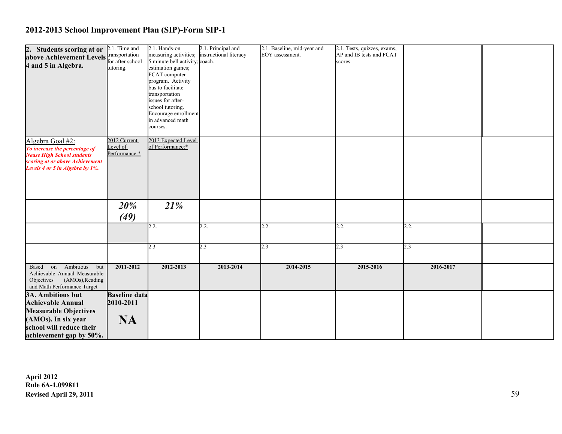| 2. Students scoring at or 2.1. Time and |                          | 2.1. Hands-on                           | 2.1. Principal and     | 2.1. Baseline, mid-year and | 2.1. Tests, quizzes, exams, |           |  |
|-----------------------------------------|--------------------------|-----------------------------------------|------------------------|-----------------------------|-----------------------------|-----------|--|
| above Achievement Levels ransportation  |                          | measuring activities;                   | instructional literacy | EOY assessment.             | AP and IB tests and FCAT    |           |  |
|                                         | for after school         | 5 minute bell activity; coach.          |                        |                             | scores.                     |           |  |
| 4 and 5 in Algebra.                     | tutoring.                | estimation games;                       |                        |                             |                             |           |  |
|                                         |                          | FCAT computer                           |                        |                             |                             |           |  |
|                                         |                          | program. Activity                       |                        |                             |                             |           |  |
|                                         |                          | bus to facilitate                       |                        |                             |                             |           |  |
|                                         |                          | transportation                          |                        |                             |                             |           |  |
|                                         |                          | issues for after-                       |                        |                             |                             |           |  |
|                                         |                          | school tutoring.                        |                        |                             |                             |           |  |
|                                         |                          | Encourage enrollment                    |                        |                             |                             |           |  |
|                                         |                          | in advanced math                        |                        |                             |                             |           |  |
|                                         |                          | courses.                                |                        |                             |                             |           |  |
|                                         |                          |                                         |                        |                             |                             |           |  |
| Algebra Goal #2:                        | 2012 Current<br>Level of | 2013 Expected Level<br>of Performance:* |                        |                             |                             |           |  |
| To increase the percentage of           | Performance:*            |                                         |                        |                             |                             |           |  |
| <b>Nease High School students</b>       |                          |                                         |                        |                             |                             |           |  |
| scoring at or above Achievement         |                          |                                         |                        |                             |                             |           |  |
| Levels 4 or 5 in Algebra by 1%.         |                          |                                         |                        |                             |                             |           |  |
|                                         |                          |                                         |                        |                             |                             |           |  |
|                                         |                          |                                         |                        |                             |                             |           |  |
|                                         |                          |                                         |                        |                             |                             |           |  |
|                                         |                          |                                         |                        |                             |                             |           |  |
|                                         | 20%                      | 21%                                     |                        |                             |                             |           |  |
|                                         | (49)                     |                                         |                        |                             |                             |           |  |
|                                         |                          | 2.2.                                    | 2.2.                   | 2.2.                        | 2.2.                        | 2.2.      |  |
|                                         |                          |                                         |                        |                             |                             |           |  |
|                                         |                          |                                         |                        |                             |                             |           |  |
|                                         |                          | 2.3                                     | 2.3                    | 2.3                         | 2.3                         | 2.3       |  |
|                                         |                          |                                         |                        |                             |                             |           |  |
|                                         |                          |                                         |                        |                             |                             |           |  |
| Ambitious but<br>Based on               | 2011-2012                | 2012-2013                               | 2013-2014              | 2014-2015                   | 2015-2016                   | 2016-2017 |  |
| Achievable Annual Measurable            |                          |                                         |                        |                             |                             |           |  |
| Objectives (AMOs), Reading              |                          |                                         |                        |                             |                             |           |  |
| and Math Performance Target             |                          |                                         |                        |                             |                             |           |  |
| 3A. Ambitious but                       | <b>Baseline data</b>     |                                         |                        |                             |                             |           |  |
| <b>Achievable Annual</b>                | 2010-2011                |                                         |                        |                             |                             |           |  |
| <b>Measurable Objectives</b>            |                          |                                         |                        |                             |                             |           |  |
| (AMOs). In six year                     | <b>NA</b>                |                                         |                        |                             |                             |           |  |
| school will reduce their                |                          |                                         |                        |                             |                             |           |  |
|                                         |                          |                                         |                        |                             |                             |           |  |
| achievement gap by 50%.                 |                          |                                         |                        |                             |                             |           |  |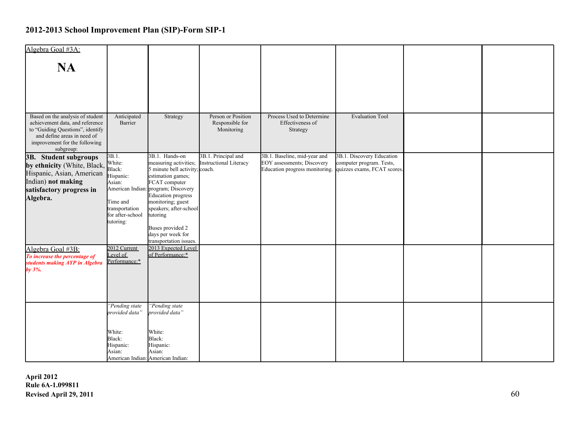| Algebra Goal #3A:                                                   |                                    |                                                         |                                       |                                                              |                                                         |  |
|---------------------------------------------------------------------|------------------------------------|---------------------------------------------------------|---------------------------------------|--------------------------------------------------------------|---------------------------------------------------------|--|
| <b>NA</b>                                                           |                                    |                                                         |                                       |                                                              |                                                         |  |
|                                                                     |                                    |                                                         |                                       |                                                              |                                                         |  |
|                                                                     |                                    |                                                         |                                       |                                                              |                                                         |  |
|                                                                     |                                    |                                                         |                                       |                                                              |                                                         |  |
|                                                                     |                                    |                                                         |                                       |                                                              |                                                         |  |
| Based on the analysis of student<br>achievement data, and reference | Anticipated<br>Barrier             | Strategy                                                | Person or Position<br>Responsible for | Process Used to Determine<br>Effectiveness of                | <b>Evaluation Tool</b>                                  |  |
| to "Guiding Questions", identify<br>and define areas in need of     |                                    |                                                         | Monitoring                            | Strategy                                                     |                                                         |  |
| improvement for the following                                       |                                    |                                                         |                                       |                                                              |                                                         |  |
| subgroup:<br>3B. Student subgroups                                  | 3B.1.                              | 3B.1. Hands-on                                          | 3B.1. Principal and                   | 3B.1. Baseline, mid-year and                                 | 3B.1. Discovery Education                               |  |
| by ethnicity (White, Black,                                         | White:<br>Black:                   | measuring activities;<br>5 minute bell activity; coach. | Instructional Literacy                | EOY assessments; Discovery<br>Education progress monitoring. | computer program. Tests,<br>quizzes exams, FCAT scores. |  |
| Hispanic, Asian, American<br>Indian) not making                     | Hispanic:<br>Asian:                | estimation games;<br>FCAT computer                      |                                       |                                                              |                                                         |  |
| satisfactory progress in                                            | American Indian:                   | program; Discovery                                      |                                       |                                                              |                                                         |  |
| Algebra.                                                            | Time and                           | <b>Education</b> progress<br>monitoring; guest          |                                       |                                                              |                                                         |  |
|                                                                     | transportation<br>for after-school | speakers; after-school<br>tutoring                      |                                       |                                                              |                                                         |  |
|                                                                     | tutoring:                          |                                                         |                                       |                                                              |                                                         |  |
|                                                                     |                                    | Buses provided 2<br>days per week for                   |                                       |                                                              |                                                         |  |
| Algebra Goal #3B:                                                   | 2012 Current                       | transportation issues.<br>2013 Expected Level           |                                       |                                                              |                                                         |  |
| To increase the percentage of                                       | Level of<br>Performance:*          | of Performance:*                                        |                                       |                                                              |                                                         |  |
| students making AYP in Algebra<br>by $3\%$ .                        |                                    |                                                         |                                       |                                                              |                                                         |  |
|                                                                     |                                    |                                                         |                                       |                                                              |                                                         |  |
|                                                                     |                                    |                                                         |                                       |                                                              |                                                         |  |
|                                                                     | "Pending state                     | "Pending state                                          |                                       |                                                              |                                                         |  |
|                                                                     | provided data"                     | provided data"                                          |                                       |                                                              |                                                         |  |
|                                                                     |                                    |                                                         |                                       |                                                              |                                                         |  |
|                                                                     | White:<br>Black:                   | White:<br>Black:                                        |                                       |                                                              |                                                         |  |
|                                                                     | Hispanic:<br>Asian:                | Hispanic:<br>Asian:                                     |                                       |                                                              |                                                         |  |
|                                                                     |                                    | American Indian: American Indian:                       |                                       |                                                              |                                                         |  |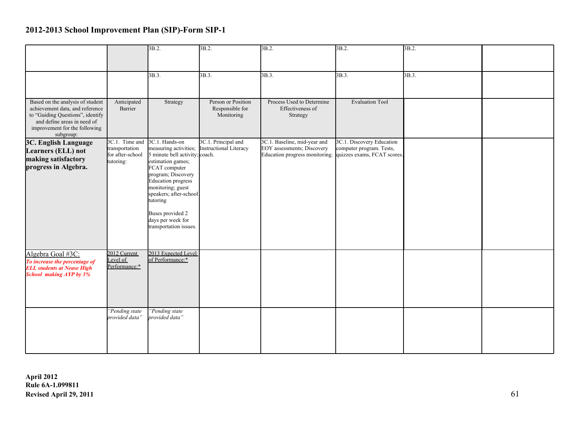|                                                                     |                               | 3B.2.                                               | $3B.2$ .               | 3B.2.                                                      | 3B.2.                     | 3B.2. |  |
|---------------------------------------------------------------------|-------------------------------|-----------------------------------------------------|------------------------|------------------------------------------------------------|---------------------------|-------|--|
|                                                                     |                               |                                                     |                        |                                                            |                           |       |  |
|                                                                     |                               |                                                     |                        |                                                            |                           |       |  |
|                                                                     |                               | 3B.3.                                               | 3B.3.                  | 3B.3.                                                      | 3B.3.                     | 3B.3. |  |
|                                                                     |                               |                                                     |                        |                                                            |                           |       |  |
| Based on the analysis of student                                    | Anticipated                   | Strategy                                            | Person or Position     | Process Used to Determine                                  | <b>Evaluation Tool</b>    |       |  |
| achievement data, and reference                                     | Barrier                       |                                                     | Responsible for        | Effectiveness of                                           |                           |       |  |
| to "Guiding Questions", identify<br>and define areas in need of     |                               |                                                     | Monitoring             | Strategy                                                   |                           |       |  |
| improvement for the following                                       |                               |                                                     |                        |                                                            |                           |       |  |
| subgroup:                                                           | 3C.1. Time and                | 3C.1. Hands-on                                      | 3C.1. Principal and    | 3C.1. Baseline, mid-year and                               | 3C.1. Discovery Education |       |  |
| <b>3C. English Language</b><br>Learners (ELL) not                   | transportation                | measuring activities;                               | Instructional Literacy | EOY assessments; Discovery                                 | computer program. Tests,  |       |  |
| making satisfactory                                                 | for after-school<br>tutoring: | 5 minute bell activity; coach.<br>estimation games; |                        | Education progress monitoring. quizzes exams, FCAT scores. |                           |       |  |
| progress in Algebra.                                                |                               | FCAT computer                                       |                        |                                                            |                           |       |  |
|                                                                     |                               | program; Discovery<br><b>Education</b> progress     |                        |                                                            |                           |       |  |
|                                                                     |                               | monitoring; guest                                   |                        |                                                            |                           |       |  |
|                                                                     |                               | speakers; after-school<br>tutoring                  |                        |                                                            |                           |       |  |
|                                                                     |                               |                                                     |                        |                                                            |                           |       |  |
|                                                                     |                               | Buses provided 2<br>days per week for               |                        |                                                            |                           |       |  |
|                                                                     |                               | transportation issues.                              |                        |                                                            |                           |       |  |
|                                                                     |                               |                                                     |                        |                                                            |                           |       |  |
| Algebra Goal #3C:                                                   | 2012 Current                  | 2013 Expected Level                                 |                        |                                                            |                           |       |  |
| To increase the percentage of                                       | Level of                      | of Performance:*                                    |                        |                                                            |                           |       |  |
| <b>ELL students at Nease High</b><br><b>School making AYP by 3%</b> | Performance:*                 |                                                     |                        |                                                            |                           |       |  |
|                                                                     |                               |                                                     |                        |                                                            |                           |       |  |
|                                                                     |                               |                                                     |                        |                                                            |                           |       |  |
|                                                                     |                               |                                                     |                        |                                                            |                           |       |  |
|                                                                     | "Pending state                | "Pending state                                      |                        |                                                            |                           |       |  |
|                                                                     | provided data"                | provided data"                                      |                        |                                                            |                           |       |  |
|                                                                     |                               |                                                     |                        |                                                            |                           |       |  |
|                                                                     |                               |                                                     |                        |                                                            |                           |       |  |
|                                                                     |                               |                                                     |                        |                                                            |                           |       |  |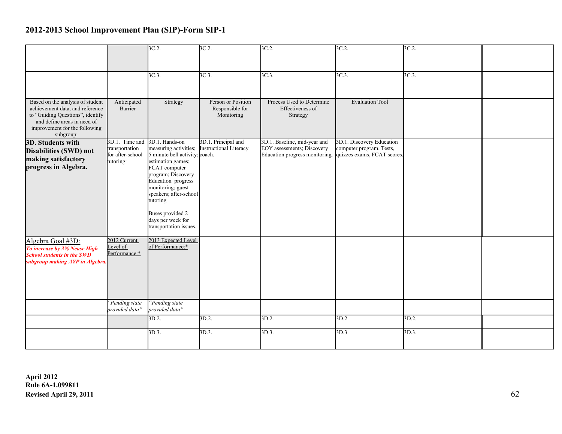|                                                                     |                                    | 3C.2                                                    | $3C.2$ .                      | $3C.2$ .                                                                                 | 3C.2.                     | 3C.2     |  |
|---------------------------------------------------------------------|------------------------------------|---------------------------------------------------------|-------------------------------|------------------------------------------------------------------------------------------|---------------------------|----------|--|
|                                                                     |                                    |                                                         |                               |                                                                                          |                           |          |  |
|                                                                     |                                    |                                                         |                               |                                                                                          |                           |          |  |
|                                                                     |                                    | 3C.3.                                                   | 3C.3.                         | 3C.3.                                                                                    | $3C.3$ .                  | $3C.3$ . |  |
|                                                                     |                                    |                                                         |                               |                                                                                          |                           |          |  |
|                                                                     |                                    |                                                         |                               |                                                                                          |                           |          |  |
| Based on the analysis of student                                    | Anticipated<br>Barrier             | Strategy                                                | Person or Position            | Process Used to Determine<br>Effectiveness of                                            | <b>Evaluation Tool</b>    |          |  |
| achievement data, and reference<br>to "Guiding Questions", identify |                                    |                                                         | Responsible for<br>Monitoring | Strategy                                                                                 |                           |          |  |
| and define areas in need of                                         |                                    |                                                         |                               |                                                                                          |                           |          |  |
| improvement for the following<br>subgroup:                          |                                    |                                                         |                               |                                                                                          |                           |          |  |
| 3D. Students with                                                   | 3D.1. Time and 3D.1. Hands-on      |                                                         | 3D.1. Principal and           | 3D.1. Baseline, mid-year and                                                             | 3D.1. Discovery Education |          |  |
| Disabilities (SWD) not                                              | transportation<br>for after-school | measuring activities;<br>5 minute bell activity; coach. | Instructional Literacy        | EOY assessments; Discovery<br>Education progress monitoring. quizzes exams, FCAT scores. | computer program. Tests,  |          |  |
| making satisfactory                                                 | tutoring:                          | estimation games;                                       |                               |                                                                                          |                           |          |  |
| progress in Algebra.                                                |                                    | FCAT computer                                           |                               |                                                                                          |                           |          |  |
|                                                                     |                                    | program; Discovery<br>Education progress                |                               |                                                                                          |                           |          |  |
|                                                                     |                                    | monitoring; guest                                       |                               |                                                                                          |                           |          |  |
|                                                                     |                                    | speakers; after-school<br>tutoring                      |                               |                                                                                          |                           |          |  |
|                                                                     |                                    |                                                         |                               |                                                                                          |                           |          |  |
|                                                                     |                                    | Buses provided 2                                        |                               |                                                                                          |                           |          |  |
|                                                                     |                                    | days per week for<br>transportation issues.             |                               |                                                                                          |                           |          |  |
|                                                                     |                                    |                                                         |                               |                                                                                          |                           |          |  |
| Algebra Goal #3D:                                                   | 2012 Current<br>Level of           | 2013 Expected Level<br>of Performance:*                 |                               |                                                                                          |                           |          |  |
| To increase by 3% Nease High<br><b>School students in the SWD</b>   | Performance:*                      |                                                         |                               |                                                                                          |                           |          |  |
| subgroup making AYP in Algebra.                                     |                                    |                                                         |                               |                                                                                          |                           |          |  |
|                                                                     |                                    |                                                         |                               |                                                                                          |                           |          |  |
|                                                                     |                                    |                                                         |                               |                                                                                          |                           |          |  |
|                                                                     |                                    |                                                         |                               |                                                                                          |                           |          |  |
|                                                                     | "Pending state                     | "Pending state                                          |                               |                                                                                          |                           |          |  |
|                                                                     | provided data"                     | provided data"                                          |                               |                                                                                          |                           |          |  |
|                                                                     |                                    | 3D.2.                                                   | 3D.2.                         | 3D.2.                                                                                    | 3D.2.                     | 3D.2.    |  |
|                                                                     |                                    | 3D.3.                                                   | $3D.3$ .                      | 3D.3.                                                                                    | 3D.3.                     | 3D.3.    |  |
|                                                                     |                                    |                                                         |                               |                                                                                          |                           |          |  |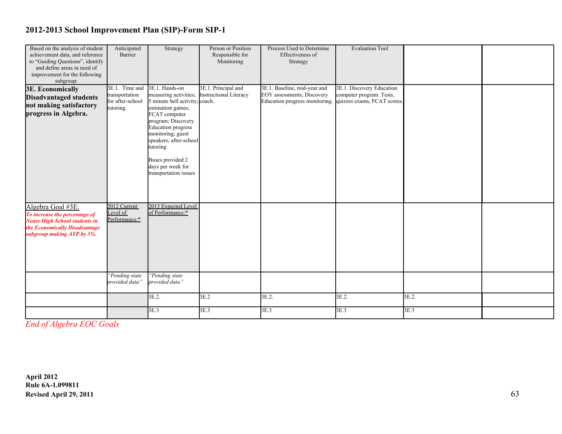| Based on the analysis of student<br>achievement data, and reference<br>to "Guiding Questions", identify<br>and define areas in need of<br>improvement for the following<br>subgroup: | Anticipated<br>Barrier                                            | Strategy                                                                                                                                                                                                                                                                                        | Person or Position<br>Responsible for<br>Monitoring  | Process Used to Determine<br>Effectiveness of<br>Strategy                                    | <b>Evaluation Tool</b>                                                               |       |  |
|--------------------------------------------------------------------------------------------------------------------------------------------------------------------------------------|-------------------------------------------------------------------|-------------------------------------------------------------------------------------------------------------------------------------------------------------------------------------------------------------------------------------------------------------------------------------------------|------------------------------------------------------|----------------------------------------------------------------------------------------------|--------------------------------------------------------------------------------------|-------|--|
| <b>3E. Economically</b><br><b>Disadvantaged students</b><br>not making satisfactory<br>progress in Algebra.                                                                          | 3E.1. Time and<br>transportation<br>for after-school<br>tutoring: | 3E.1. Hands-on<br>measuring activities;<br>5 minute bell activity; coach.<br>estimation games;<br>FCAT computer<br>program; Discovery<br><b>Education</b> progress<br>monitoring; guest<br>speakers; after-school<br>tutoring<br>Buses provided 2<br>days per week for<br>transportation issues | 3E.1. Principal and<br><b>Instructional Literacy</b> | 3E.1. Baseline, mid-year and<br>EOY assessments; Discovery<br>Education progress monitoring. | 3E.1. Discovery Education<br>computer program. Tests,<br>quizzes exams, FCAT scores. |       |  |
| Algebra Goal #3E:<br>To increase the percentage of<br><b>Nease High School students in</b><br>the Economically Disadvantage<br>subgroup making AYP by 3%.                            | 2012 Current<br>Level of<br>Performance:*<br>"Pending state       | 2013 Expected Level<br>of Performance:*<br>"Pending state                                                                                                                                                                                                                                       |                                                      |                                                                                              |                                                                                      |       |  |
|                                                                                                                                                                                      | provided data"                                                    | provided data"                                                                                                                                                                                                                                                                                  |                                                      |                                                                                              |                                                                                      |       |  |
|                                                                                                                                                                                      |                                                                   | 3E.2                                                                                                                                                                                                                                                                                            | 3E.2                                                 | 3E.2.                                                                                        | 3E.2.                                                                                | 3E.2. |  |
|                                                                                                                                                                                      |                                                                   | 3E.3                                                                                                                                                                                                                                                                                            | 3E.3                                                 | 3E.3                                                                                         | 3E.3                                                                                 | 3E.3  |  |

*End of Algebra EOC Goals*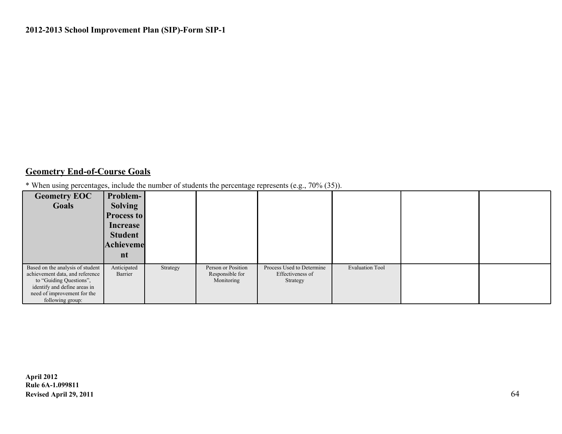#### **Geometry End-of-Course Goals**

\* When using percentages, include the number of students the percentage represents (e.g., 70% (35)).

| <b>Geometry EOC</b><br>Goals                                                                                                                                                      | Problem-<br><b>Solving</b><br>Process to<br>Increase<br><b>Student</b><br>Achieveme<br>nt |          |                                                     |                                                           |                        |  |
|-----------------------------------------------------------------------------------------------------------------------------------------------------------------------------------|-------------------------------------------------------------------------------------------|----------|-----------------------------------------------------|-----------------------------------------------------------|------------------------|--|
| Based on the analysis of student<br>achievement data, and reference<br>to "Guiding Questions",<br>identify and define areas in<br>need of improvement for the<br>following group: | Anticipated<br>Barrier                                                                    | Strategy | Person or Position<br>Responsible for<br>Monitoring | Process Used to Determine<br>Effectiveness of<br>Strategy | <b>Evaluation Tool</b> |  |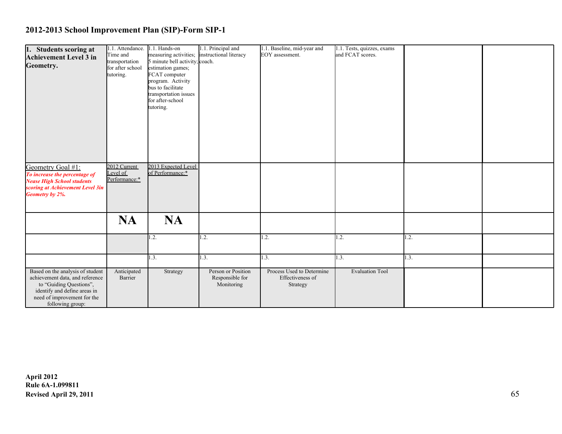| 1. Students scoring at<br><b>Achievement Level 3 in</b><br>Geometry.                                                                                                              | 1.1. Attendance.<br>Time and<br>transportation<br>for after school<br>tutoring. | 1.1. Hands-on<br>measuring activities;<br>5 minute bell activity; coach.<br>estimation games;<br>FCAT computer<br>program. Activity<br>bus to facilitate<br>transportation issues<br>for after-school<br>tutoring. | 1.1. Principal and<br>instructional literacy        | 1.1. Baseline, mid-year and<br>EOY assessment.            | 1.1. Tests, quizzes, exams<br>and FCAT scores. |      |  |
|-----------------------------------------------------------------------------------------------------------------------------------------------------------------------------------|---------------------------------------------------------------------------------|--------------------------------------------------------------------------------------------------------------------------------------------------------------------------------------------------------------------|-----------------------------------------------------|-----------------------------------------------------------|------------------------------------------------|------|--|
| Geometry Goal #1:<br>To increase the percentage of<br><b>Nease High School students</b><br>scoring at Achievement Level 3in<br>Geometry by 2%.                                    | 2012 Current<br>Level of<br>Performance:*                                       | 2013 Expected Level<br>of Performance:*                                                                                                                                                                            |                                                     |                                                           |                                                |      |  |
|                                                                                                                                                                                   | <b>NA</b>                                                                       | <b>NA</b><br>1.2.                                                                                                                                                                                                  | 1.2.                                                | 1.2.                                                      | 1.2.                                           | 1.2. |  |
|                                                                                                                                                                                   |                                                                                 | 1.3.                                                                                                                                                                                                               | 1.3.                                                | 1.3.                                                      | 1.3.                                           | 1.3. |  |
| Based on the analysis of student<br>achievement data, and reference<br>to "Guiding Questions",<br>identify and define areas in<br>need of improvement for the<br>following group: | Anticipated<br>Barrier                                                          | Strategy                                                                                                                                                                                                           | Person or Position<br>Responsible for<br>Monitoring | Process Used to Determine<br>Effectiveness of<br>Strategy | <b>Evaluation Tool</b>                         |      |  |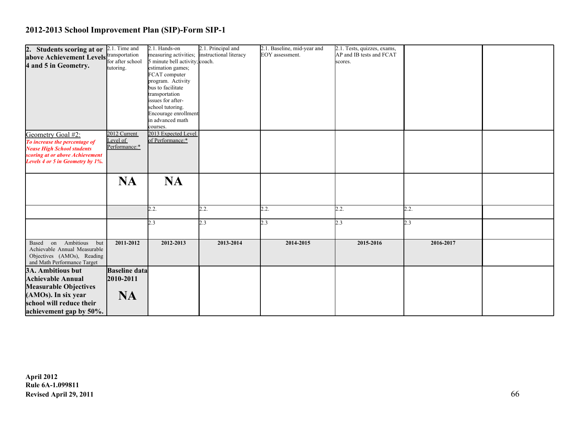| 2. Students scoring at or               | 2.1. Time and            | 2.1. Hands-on                           | 2.1. Principal and     | 2.1. Baseline, mid-year and | 2.1. Tests, quizzes, exams, |           |  |
|-----------------------------------------|--------------------------|-----------------------------------------|------------------------|-----------------------------|-----------------------------|-----------|--|
| above Achievement Levels transportation |                          | measuring activities;                   | instructional literacy | EOY assessment.             | AP and IB tests and FCAT    |           |  |
|                                         | for after school         | 5 minute bell activity; coach.          |                        |                             | scores.                     |           |  |
| 4 and 5 in Geometry.                    | tutoring.                | estimation games;                       |                        |                             |                             |           |  |
|                                         |                          | FCAT computer                           |                        |                             |                             |           |  |
|                                         |                          | program. Activity                       |                        |                             |                             |           |  |
|                                         |                          | bus to facilitate                       |                        |                             |                             |           |  |
|                                         |                          | transportation                          |                        |                             |                             |           |  |
|                                         |                          | issues for after-                       |                        |                             |                             |           |  |
|                                         |                          | school tutoring.                        |                        |                             |                             |           |  |
|                                         |                          | Encourage enrollment                    |                        |                             |                             |           |  |
|                                         |                          | in advanced math                        |                        |                             |                             |           |  |
|                                         |                          | courses.                                |                        |                             |                             |           |  |
| Geometry Goal #2:                       | 2012 Current<br>Level of | 2013 Expected Level<br>of Performance:* |                        |                             |                             |           |  |
| To increase the percentage of           | Performance:*            |                                         |                        |                             |                             |           |  |
| <b>Nease High School students</b>       |                          |                                         |                        |                             |                             |           |  |
| scoring at or above Achievement         |                          |                                         |                        |                             |                             |           |  |
| Levels 4 or 5 in Geometry by 1%.        |                          |                                         |                        |                             |                             |           |  |
|                                         |                          |                                         |                        |                             |                             |           |  |
|                                         | <b>NA</b>                | <b>NA</b>                               |                        |                             |                             |           |  |
|                                         |                          |                                         |                        |                             |                             |           |  |
|                                         |                          |                                         |                        |                             |                             |           |  |
|                                         |                          |                                         |                        |                             |                             |           |  |
|                                         |                          | 2.2.                                    | 2.2.                   | 2.2.                        | 2.2.                        | 2.2.      |  |
|                                         |                          |                                         |                        |                             |                             |           |  |
|                                         |                          | 2.3                                     | 2.3                    | 2.3                         | 2.3                         | 2.3       |  |
|                                         |                          |                                         |                        |                             |                             |           |  |
|                                         |                          |                                         |                        |                             |                             |           |  |
| Based on Ambitious<br>but               | 2011-2012                | 2012-2013                               | 2013-2014              | 2014-2015                   | 2015-2016                   | 2016-2017 |  |
| Achievable Annual Measurable            |                          |                                         |                        |                             |                             |           |  |
| Objectives (AMOs), Reading              |                          |                                         |                        |                             |                             |           |  |
| and Math Performance Target             |                          |                                         |                        |                             |                             |           |  |
| 3A. Ambitious but                       | <b>Baseline data</b>     |                                         |                        |                             |                             |           |  |
| <b>Achievable Annual</b>                | 2010-2011                |                                         |                        |                             |                             |           |  |
| <b>Measurable Objectives</b>            |                          |                                         |                        |                             |                             |           |  |
| (AMOs). In six year                     | <b>NA</b>                |                                         |                        |                             |                             |           |  |
| school will reduce their                |                          |                                         |                        |                             |                             |           |  |
|                                         |                          |                                         |                        |                             |                             |           |  |
| achievement gap by 50%.                 |                          |                                         |                        |                             |                             |           |  |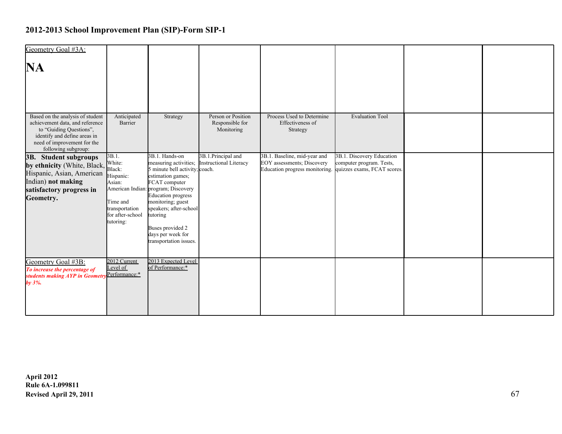| Geometry Goal #3A:                                                                                                                                                                   |                                                                                                                 |                                                                                                                                                                                                                                                                                                                   |                                                     |                                                                                                                          |                                                       |  |
|--------------------------------------------------------------------------------------------------------------------------------------------------------------------------------------|-----------------------------------------------------------------------------------------------------------------|-------------------------------------------------------------------------------------------------------------------------------------------------------------------------------------------------------------------------------------------------------------------------------------------------------------------|-----------------------------------------------------|--------------------------------------------------------------------------------------------------------------------------|-------------------------------------------------------|--|
| <b>NA</b>                                                                                                                                                                            |                                                                                                                 |                                                                                                                                                                                                                                                                                                                   |                                                     |                                                                                                                          |                                                       |  |
| Based on the analysis of student<br>achievement data, and reference<br>to "Guiding Questions",<br>identify and define areas in<br>need of improvement for the<br>following subgroup: | Anticipated<br>Barrier                                                                                          | Strategy                                                                                                                                                                                                                                                                                                          | Person or Position<br>Responsible for<br>Monitoring | Process Used to Determine<br>Effectiveness of<br>Strategy                                                                | <b>Evaluation Tool</b>                                |  |
| 3B. Student subgroups<br>by ethnicity (White, Black,<br>Hispanic, Asian, American<br>Indian) not making<br>satisfactory progress in<br>Geometry.                                     | 3B.1.<br>White:<br>Black:<br>Hispanic:<br>Asian:<br>Time and<br>transportation<br>for after-school<br>tutoring: | 3B.1. Hands-on<br>measuring activities;<br>5 minute bell activity; coach.<br>estimation games;<br>FCAT computer<br>American Indian: program; Discovery<br><b>Education</b> progress<br>monitoring; guest<br>speakers; after-school<br>tutoring<br>Buses provided 2<br>days per week for<br>transportation issues. | 3B.1.Principal and<br><b>Instructional Literacy</b> | 3B.1. Baseline, mid-year and<br>EOY assessments; Discovery<br>Education progress monitoring. quizzes exams, FCAT scores. | 3B.1. Discovery Education<br>computer program. Tests, |  |
| Geometry Goal #3B:<br>To increase the percentage of<br>students making AYP in Geometry<br>by $3\%$ .                                                                                 | $2012$ Current<br>Level of<br>Performance:*                                                                     | 2013 Expected Level<br>of Performance:*                                                                                                                                                                                                                                                                           |                                                     |                                                                                                                          |                                                       |  |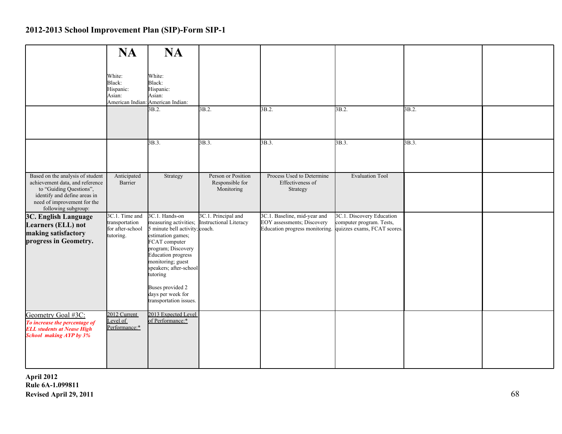|                                                                                                                                                                                      | <b>NA</b>                                                         | <b>NA</b>                                                                                                                                                                                                                                                                                        |                                                      |                                                                                              |                                                                                      |       |  |
|--------------------------------------------------------------------------------------------------------------------------------------------------------------------------------------|-------------------------------------------------------------------|--------------------------------------------------------------------------------------------------------------------------------------------------------------------------------------------------------------------------------------------------------------------------------------------------|------------------------------------------------------|----------------------------------------------------------------------------------------------|--------------------------------------------------------------------------------------|-------|--|
|                                                                                                                                                                                      | White:<br>Black:<br>Hispanic:<br>Asian:                           | White:<br>Black:<br>Hispanic:<br>Asian:<br>American Indian: American Indian:                                                                                                                                                                                                                     |                                                      |                                                                                              |                                                                                      |       |  |
|                                                                                                                                                                                      |                                                                   | $\overline{3B.2}$ .                                                                                                                                                                                                                                                                              | $\overline{3B.2}$ .                                  | 3B.2.                                                                                        | 3B.2.                                                                                | 3B.2. |  |
|                                                                                                                                                                                      |                                                                   | 3B.3.                                                                                                                                                                                                                                                                                            | 3B.3.                                                | 3B.3.                                                                                        | 3B.3.                                                                                | 3B.3. |  |
| Based on the analysis of student<br>achievement data, and reference<br>to "Guiding Questions",<br>identify and define areas in<br>need of improvement for the<br>following subgroup: | Anticipated<br>Barrier                                            | Strategy                                                                                                                                                                                                                                                                                         | Person or Position<br>Responsible for<br>Monitoring  | Process Used to Determine<br>Effectiveness of<br>Strategy                                    | <b>Evaluation Tool</b>                                                               |       |  |
| 3C. English Language<br>Learners (ELL) not<br>making satisfactory<br>progress in Geometry.                                                                                           | 3C.1. Time and<br>transportation<br>for after-school<br>tutoring. | 3C.1. Hands-on<br>measuring activities;<br>5 minute bell activity; coach.<br>estimation games;<br>FCAT computer<br>program; Discovery<br><b>Education</b> progress<br>monitoring; guest<br>speakers; after-school<br>tutoring<br>Buses provided 2<br>days per week for<br>transportation issues. | 3C.1. Principal and<br><b>Instructional Literacy</b> | 3C.1. Baseline, mid-year and<br>EOY assessments; Discovery<br>Education progress monitoring. | 3C.1. Discovery Education<br>computer program. Tests,<br>quizzes exams, FCAT scores. |       |  |
| Geometry Goal #3C:<br>To increase the percentage of<br><b>ELL students at Nease High</b><br><b>School making AYP</b> by 3%                                                           | 2012 Current<br>Level of<br>Performance:*                         | 2013 Expected Level<br>of Performance:*                                                                                                                                                                                                                                                          |                                                      |                                                                                              |                                                                                      |       |  |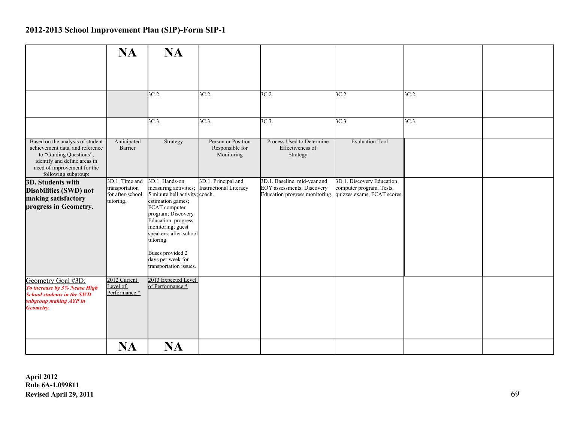|                                                                                                                                                                                      | <b>NA</b>                                                         | <b>NA</b>                                                                                                                                                                                                                                                                                 |                                                     |                                                                                                                          |                                                       |          |  |
|--------------------------------------------------------------------------------------------------------------------------------------------------------------------------------------|-------------------------------------------------------------------|-------------------------------------------------------------------------------------------------------------------------------------------------------------------------------------------------------------------------------------------------------------------------------------------|-----------------------------------------------------|--------------------------------------------------------------------------------------------------------------------------|-------------------------------------------------------|----------|--|
|                                                                                                                                                                                      |                                                                   |                                                                                                                                                                                                                                                                                           |                                                     |                                                                                                                          |                                                       |          |  |
|                                                                                                                                                                                      |                                                                   | 3C.2                                                                                                                                                                                                                                                                                      | 3C.2                                                | 3C.2                                                                                                                     | 3C.2.                                                 | 3C.2     |  |
|                                                                                                                                                                                      |                                                                   | 3C.3                                                                                                                                                                                                                                                                                      | $3C.3$ .                                            | $3C.3$ .                                                                                                                 | 3C.3.                                                 | $3C.3$ . |  |
| Based on the analysis of student<br>achievement data, and reference<br>to "Guiding Questions",<br>identify and define areas in<br>need of improvement for the<br>following subgroup: | Anticipated<br>Barrier                                            | Strategy                                                                                                                                                                                                                                                                                  | Person or Position<br>Responsible for<br>Monitoring | Process Used to Determine<br>Effectiveness of<br>Strategy                                                                | <b>Evaluation Tool</b>                                |          |  |
| 3D. Students with<br>Disabilities (SWD) not<br>making satisfactory<br>progress in Geometry.                                                                                          | 3D.1. Time and<br>transportation<br>for after-school<br>tutoring. | 3D.1. Hands-on<br>measuring activities;<br>5 minute bell activity; coach.<br>estimation games;<br>FCAT computer<br>program; Discovery<br>Education progress<br>monitoring; guest<br>speakers; after-school<br>tutoring<br>Buses provided 2<br>days per week for<br>transportation issues. | 3D.1. Principal and<br>Instructional Literacy       | 3D.1. Baseline, mid-year and<br>EOY assessments; Discovery<br>Education progress monitoring. quizzes exams, FCAT scores. | 3D.1. Discovery Education<br>computer program. Tests, |          |  |
| Geometry Goal #3D:<br>To increase by 3% Nease High<br><b>School students in the SWD</b><br>subgroup making AYP in<br><b>Geometry.</b>                                                | 2012 Current<br>Level of<br>Performance:*                         | 2013 Expected Level<br>of Performance:*                                                                                                                                                                                                                                                   |                                                     |                                                                                                                          |                                                       |          |  |
|                                                                                                                                                                                      | <b>NA</b>                                                         | <b>NA</b>                                                                                                                                                                                                                                                                                 |                                                     |                                                                                                                          |                                                       |          |  |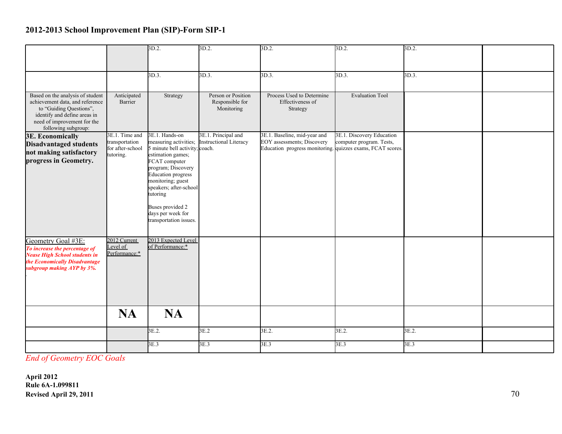|                                                                                                                                                                                      |                                                                   | 3D.2.                                                                                                                                                                                                                                                                                            | 3D.2.                                                | $3D.2$ .                                                                                                                | 3D.2.                                                 | 3D.2. |  |
|--------------------------------------------------------------------------------------------------------------------------------------------------------------------------------------|-------------------------------------------------------------------|--------------------------------------------------------------------------------------------------------------------------------------------------------------------------------------------------------------------------------------------------------------------------------------------------|------------------------------------------------------|-------------------------------------------------------------------------------------------------------------------------|-------------------------------------------------------|-------|--|
|                                                                                                                                                                                      |                                                                   |                                                                                                                                                                                                                                                                                                  |                                                      |                                                                                                                         |                                                       |       |  |
|                                                                                                                                                                                      |                                                                   | 3D.3.                                                                                                                                                                                                                                                                                            | 3D.3.                                                | 3D.3.                                                                                                                   | 3D.3.                                                 | 3D.3. |  |
|                                                                                                                                                                                      |                                                                   |                                                                                                                                                                                                                                                                                                  |                                                      |                                                                                                                         |                                                       |       |  |
| Based on the analysis of student<br>achievement data, and reference<br>to "Guiding Questions",<br>identify and define areas in<br>need of improvement for the<br>following subgroup: | Anticipated<br>Barrier                                            | Strategy                                                                                                                                                                                                                                                                                         | Person or Position<br>Responsible for<br>Monitoring  | Process Used to Determine<br>Effectiveness of<br>Strategy                                                               | <b>Evaluation Tool</b>                                |       |  |
| <b>3E. Economically</b><br><b>Disadvantaged students</b><br>not making satisfactory<br>progress in Geometry.                                                                         | 3E.1. Time and<br>transportation<br>for after-school<br>tutoring. | 3E.1. Hands-on<br>measuring activities;<br>5 minute bell activity; coach.<br>estimation games;<br>FCAT computer<br>program; Discovery<br><b>Education</b> progress<br>monitoring; guest<br>speakers; after-school<br>tutoring<br>Buses provided 2<br>days per week for<br>transportation issues. | 3E.1. Principal and<br><b>Instructional Literacy</b> | 3E.1. Baseline, mid-year and<br>EOY assessments; Discovery<br>Education progress monitoring quizzes exams, FCAT scores. | 3E.1. Discovery Education<br>computer program. Tests, |       |  |
| Geometry Goal #3E:<br>To increase the percentage of<br><b>Nease High School students in</b><br>the Economically Disadvantage<br>subgroup making AYP by 3%.                           | 2012 Current<br>Level of<br>Performance:*                         | 2013 Expected Level<br>of Performance:*                                                                                                                                                                                                                                                          |                                                      |                                                                                                                         |                                                       |       |  |
|                                                                                                                                                                                      | <b>NA</b>                                                         | <b>NA</b>                                                                                                                                                                                                                                                                                        |                                                      |                                                                                                                         |                                                       |       |  |
|                                                                                                                                                                                      |                                                                   | 3E.2.                                                                                                                                                                                                                                                                                            | 3E.2                                                 | 3E.2.                                                                                                                   | 3E.2.                                                 | 3E.2. |  |
|                                                                                                                                                                                      |                                                                   | 3E.3                                                                                                                                                                                                                                                                                             | 3E.3                                                 | 3E.3                                                                                                                    | 3E.3                                                  | 3E.3  |  |

*End of Geometry EOC Goals*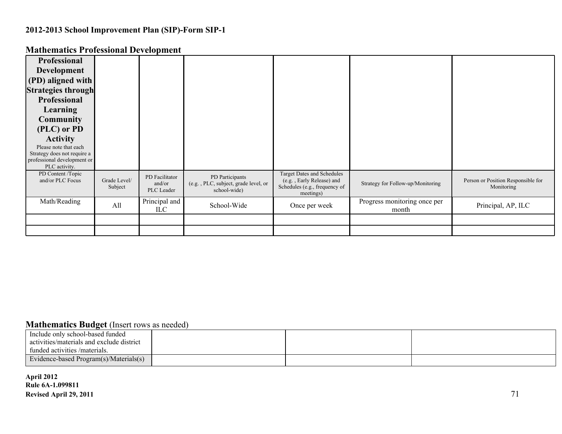| Professional                                 |                         |                                        |                                                                         |                                                                                                       |                                       |                                                  |
|----------------------------------------------|-------------------------|----------------------------------------|-------------------------------------------------------------------------|-------------------------------------------------------------------------------------------------------|---------------------------------------|--------------------------------------------------|
| <b>Development</b>                           |                         |                                        |                                                                         |                                                                                                       |                                       |                                                  |
| (PD) aligned with                            |                         |                                        |                                                                         |                                                                                                       |                                       |                                                  |
| <b>Strategies through</b>                    |                         |                                        |                                                                         |                                                                                                       |                                       |                                                  |
| <b>Professional</b>                          |                         |                                        |                                                                         |                                                                                                       |                                       |                                                  |
| Learning                                     |                         |                                        |                                                                         |                                                                                                       |                                       |                                                  |
| <b>Community</b>                             |                         |                                        |                                                                         |                                                                                                       |                                       |                                                  |
| (PLC) or PD                                  |                         |                                        |                                                                         |                                                                                                       |                                       |                                                  |
| <b>Activity</b>                              |                         |                                        |                                                                         |                                                                                                       |                                       |                                                  |
| Please note that each                        |                         |                                        |                                                                         |                                                                                                       |                                       |                                                  |
| Strategy does not require a                  |                         |                                        |                                                                         |                                                                                                       |                                       |                                                  |
| professional development or<br>PLC activity. |                         |                                        |                                                                         |                                                                                                       |                                       |                                                  |
| PD Content /Topic<br>and/or PLC Focus        | Grade Level/<br>Subject | PD Facilitator<br>and/or<br>PLC Leader | PD Participants<br>(e.g., PLC, subject, grade level, or<br>school-wide) | Target Dates and Schedules<br>(e.g., Early Release) and<br>Schedules (e.g., frequency of<br>meetings) | Strategy for Follow-up/Monitoring     | Person or Position Responsible for<br>Monitoring |
| Math/Reading                                 | All                     | Principal and<br>ILC.                  | School-Wide                                                             | Once per week                                                                                         | Progress monitoring once per<br>month | Principal, AP, ILC                               |
|                                              |                         |                                        |                                                                         |                                                                                                       |                                       |                                                  |
|                                              |                         |                                        |                                                                         |                                                                                                       |                                       |                                                  |
|                                              |                         |                                        |                                                                         |                                                                                                       |                                       |                                                  |

#### **Mathematics Professional Development**

#### **Mathematics Budget** (Insert rows as needed)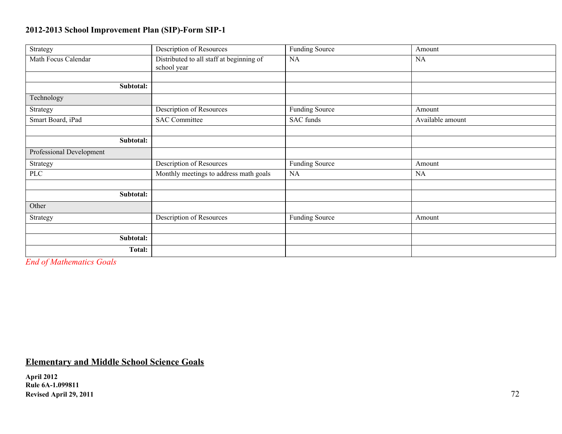| Strategy                 | Description of Resources                                | Funding Source        | Amount           |
|--------------------------|---------------------------------------------------------|-----------------------|------------------|
| Math Focus Calendar      | Distributed to all staff at beginning of<br>school year | NA                    | NA               |
|                          |                                                         |                       |                  |
| Subtotal:                |                                                         |                       |                  |
| Technology               |                                                         |                       |                  |
| Strategy                 | Description of Resources                                | <b>Funding Source</b> | Amount           |
| Smart Board, iPad        | <b>SAC Committee</b>                                    | SAC funds             | Available amount |
|                          |                                                         |                       |                  |
| Subtotal:                |                                                         |                       |                  |
| Professional Development |                                                         |                       |                  |
| Strategy                 | Description of Resources                                | <b>Funding Source</b> | Amount           |
| <b>PLC</b>               | Monthly meetings to address math goals                  | NA                    | NA               |
|                          |                                                         |                       |                  |
| Subtotal:                |                                                         |                       |                  |
| Other                    |                                                         |                       |                  |
| Strategy                 | Description of Resources                                | <b>Funding Source</b> | Amount           |
|                          |                                                         |                       |                  |
| Subtotal:                |                                                         |                       |                  |
| Total:                   |                                                         |                       |                  |
|                          |                                                         |                       |                  |

*End of Mathematics Goals*

### **Elementary and Middle School Science Goals**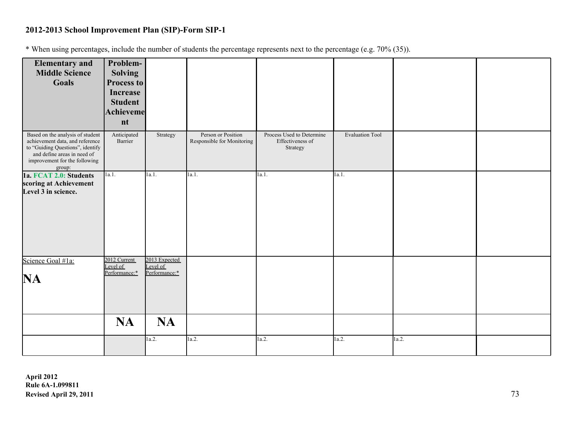\* When using percentages, include the number of students the percentage represents next to the percentage (e.g. 70% (35)).

| <b>Elementary and</b>                                               | Problem-                 |                           |                            |                              |                        |       |  |
|---------------------------------------------------------------------|--------------------------|---------------------------|----------------------------|------------------------------|------------------------|-------|--|
| <b>Middle Science</b>                                               | <b>Solving</b>           |                           |                            |                              |                        |       |  |
| Goals                                                               | Process to               |                           |                            |                              |                        |       |  |
|                                                                     | <b>Increase</b>          |                           |                            |                              |                        |       |  |
|                                                                     | <b>Student</b>           |                           |                            |                              |                        |       |  |
|                                                                     |                          |                           |                            |                              |                        |       |  |
|                                                                     | <b>Achieveme</b>         |                           |                            |                              |                        |       |  |
|                                                                     | nt                       |                           |                            |                              |                        |       |  |
| Based on the analysis of student                                    | Anticipated              | Strategy                  | Person or Position         | Process Used to Determine    | <b>Evaluation Tool</b> |       |  |
| achievement data, and reference<br>to "Guiding Questions", identify | Barrier                  |                           | Responsible for Monitoring | Effectiveness of<br>Strategy |                        |       |  |
| and define areas in need of                                         |                          |                           |                            |                              |                        |       |  |
| improvement for the following                                       |                          |                           |                            |                              |                        |       |  |
| group:                                                              |                          |                           |                            |                              |                        |       |  |
| 1a. FCAT 2.0: Students                                              | 1a.1.                    | 1a.1.                     | 1a.1.                      | 1a.1.                        | 1a.1.                  |       |  |
| scoring at Achievement                                              |                          |                           |                            |                              |                        |       |  |
| Level 3 in science.                                                 |                          |                           |                            |                              |                        |       |  |
|                                                                     |                          |                           |                            |                              |                        |       |  |
|                                                                     |                          |                           |                            |                              |                        |       |  |
|                                                                     |                          |                           |                            |                              |                        |       |  |
|                                                                     |                          |                           |                            |                              |                        |       |  |
|                                                                     |                          |                           |                            |                              |                        |       |  |
|                                                                     |                          |                           |                            |                              |                        |       |  |
|                                                                     |                          |                           |                            |                              |                        |       |  |
| Science Goal #1a:                                                   | 2012 Current<br>Level of | 2013 Expected<br>Level of |                            |                              |                        |       |  |
|                                                                     | Performance:*            | Performance:*             |                            |                              |                        |       |  |
| <b>NA</b>                                                           |                          |                           |                            |                              |                        |       |  |
|                                                                     |                          |                           |                            |                              |                        |       |  |
|                                                                     |                          |                           |                            |                              |                        |       |  |
|                                                                     |                          |                           |                            |                              |                        |       |  |
|                                                                     | <b>NA</b>                | <b>NA</b>                 |                            |                              |                        |       |  |
|                                                                     |                          |                           |                            |                              |                        |       |  |
|                                                                     |                          | 1a.2.                     | 1a.2.                      | 1a.2.                        | 1a.2.                  | 1a.2. |  |
|                                                                     |                          |                           |                            |                              |                        |       |  |
|                                                                     |                          |                           |                            |                              |                        |       |  |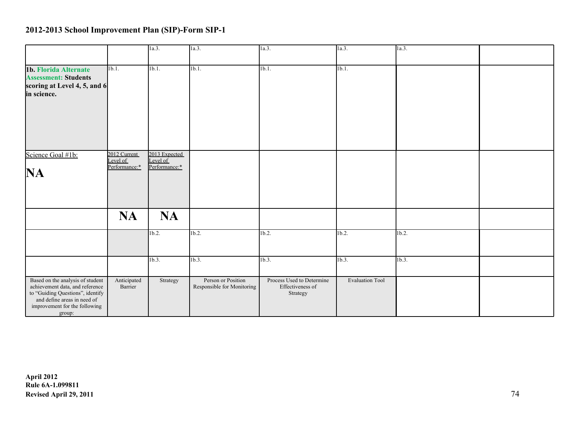|                                                                                                                                                                                   |                                           | 1a.3.                                      | la.3.                                            | 1a.3.                                                     | la.3.                  | 1a.3.    |  |
|-----------------------------------------------------------------------------------------------------------------------------------------------------------------------------------|-------------------------------------------|--------------------------------------------|--------------------------------------------------|-----------------------------------------------------------|------------------------|----------|--|
| 1b. Florida Alternate<br><b>Assessment: Students</b><br>scoring at Level 4, 5, and 6<br>in science.                                                                               | 1b.1.                                     | 1 <sub>b.1</sub>                           | 1b.1.                                            | 1b.1.                                                     | 1b.1.                  |          |  |
| Science Goal #1b:<br><b>NA</b>                                                                                                                                                    | 2012 Current<br>Level of<br>Performance:* | 2013 Expected<br>Level of<br>Performance:* |                                                  |                                                           |                        |          |  |
|                                                                                                                                                                                   | <b>NA</b>                                 | <b>NA</b>                                  |                                                  |                                                           |                        |          |  |
|                                                                                                                                                                                   |                                           | 1 <sub>b.2</sub>                           | $1b.2$ .                                         | $1b.2$ .                                                  | $1b.2$ .               | $1b.2$ . |  |
|                                                                                                                                                                                   |                                           | $1b.3$ .                                   | 1b.3.                                            | 1b.3.                                                     | 1b.3.                  | 1b.3.    |  |
| Based on the analysis of student<br>achievement data, and reference<br>to "Guiding Questions", identify<br>and define areas in need of<br>improvement for the following<br>group: | Anticipated<br>Barrier                    | Strategy                                   | Person or Position<br>Responsible for Monitoring | Process Used to Determine<br>Effectiveness of<br>Strategy | <b>Evaluation Tool</b> |          |  |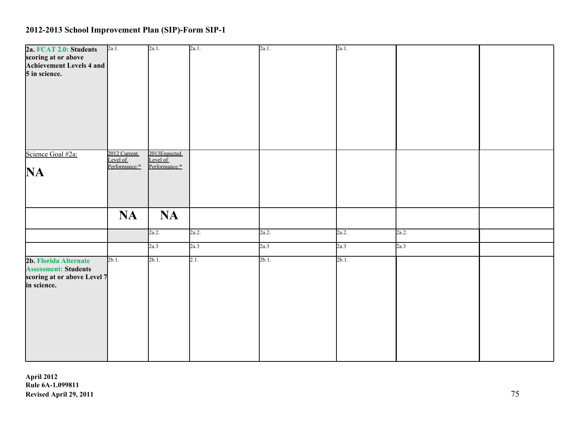| 2a. FCAT 2.0: Students      | 2a.1.                    | 2a.1.                    | 2a.1. | 2a.1.    | 2a.1.    |       |  |
|-----------------------------|--------------------------|--------------------------|-------|----------|----------|-------|--|
| scoring at or above         |                          |                          |       |          |          |       |  |
| Achievement Levels 4 and    |                          |                          |       |          |          |       |  |
| 5 in science.               |                          |                          |       |          |          |       |  |
|                             |                          |                          |       |          |          |       |  |
|                             |                          |                          |       |          |          |       |  |
|                             |                          |                          |       |          |          |       |  |
|                             |                          |                          |       |          |          |       |  |
|                             |                          |                          |       |          |          |       |  |
|                             |                          |                          |       |          |          |       |  |
|                             |                          |                          |       |          |          |       |  |
|                             |                          |                          |       |          |          |       |  |
| Science Goal #2a:           | 2012 Current<br>Level of | 2013Expected<br>Level of |       |          |          |       |  |
|                             | Performance:*            | Performance:*            |       |          |          |       |  |
| NA                          |                          |                          |       |          |          |       |  |
|                             |                          |                          |       |          |          |       |  |
|                             |                          |                          |       |          |          |       |  |
|                             |                          |                          |       |          |          |       |  |
|                             |                          |                          |       |          |          |       |  |
|                             | <b>NA</b>                | <b>NA</b>                |       |          |          |       |  |
|                             |                          |                          |       |          |          |       |  |
|                             |                          | 2a.2.                    | 2a.2. | 2a.2.    | 2a.2.    | 2a.2. |  |
|                             |                          | 2a.3                     | 2a.3  | 2a.3     | 2a.3     | 2a.3  |  |
|                             |                          |                          |       |          |          |       |  |
| 2b. Florida Alternate       | $2b.1$ .                 | $2b.1$ .                 | 2.1.  | $2b.1$ . | $2b.1$ . |       |  |
| <b>Assessment: Students</b> |                          |                          |       |          |          |       |  |
| scoring at or above Level 7 |                          |                          |       |          |          |       |  |
| in science.                 |                          |                          |       |          |          |       |  |
|                             |                          |                          |       |          |          |       |  |
|                             |                          |                          |       |          |          |       |  |
|                             |                          |                          |       |          |          |       |  |
|                             |                          |                          |       |          |          |       |  |
|                             |                          |                          |       |          |          |       |  |
|                             |                          |                          |       |          |          |       |  |
|                             |                          |                          |       |          |          |       |  |
|                             |                          |                          |       |          |          |       |  |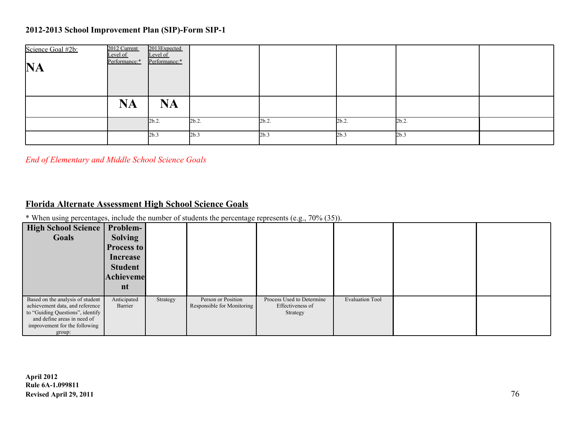| Science Goal #2b:<br><b>NA</b> | 2012 Current<br>Level of<br>Performance:* | 2013Expected<br>Level of<br>Performance:* |          |          |          |          |  |
|--------------------------------|-------------------------------------------|-------------------------------------------|----------|----------|----------|----------|--|
|                                | <b>NA</b>                                 | <b>NA</b>                                 |          |          |          |          |  |
|                                |                                           | $2b.2$ .                                  | $2b.2$ . | $2b.2$ . | $2b.2$ . | $2b.2$ . |  |
|                                |                                           | 2b.3                                      | 2b.3     | 2b.3     | 2b.3     | 2b.3     |  |

*End of Elementary and Middle School Science Goals*

#### **Florida Alternate Assessment High School Science Goals**

\* When using percentages, include the number of students the percentage represents (e.g., 70% (35)).

| High School Science<br>Goals                                                                                                                                                      | Problem-<br><b>Solving</b><br><b>Process to</b><br>Increase<br><b>Student</b><br>Achieveme<br>nt |          |                                                  |                                                           |                        |  |
|-----------------------------------------------------------------------------------------------------------------------------------------------------------------------------------|--------------------------------------------------------------------------------------------------|----------|--------------------------------------------------|-----------------------------------------------------------|------------------------|--|
| Based on the analysis of student<br>achievement data, and reference<br>to "Guiding Questions", identify<br>and define areas in need of<br>improvement for the following<br>group: | Anticipated<br>Barrier                                                                           | Strategy | Person or Position<br>Responsible for Monitoring | Process Used to Determine<br>Effectiveness of<br>Strategy | <b>Evaluation Tool</b> |  |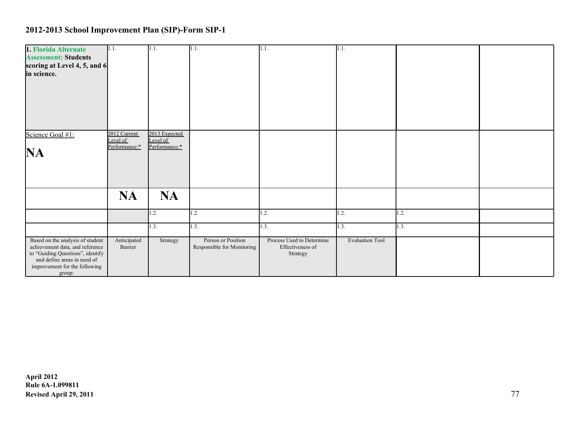| 1. Florida Alternate                                                | 1.1.                   | 1.1.          | 1.1.                                             | 1.1.                                          | 1.1.                   |                  |  |
|---------------------------------------------------------------------|------------------------|---------------|--------------------------------------------------|-----------------------------------------------|------------------------|------------------|--|
| <b>Assessment: Students</b>                                         |                        |               |                                                  |                                               |                        |                  |  |
| scoring at Level 4, 5, and 6                                        |                        |               |                                                  |                                               |                        |                  |  |
| in science.                                                         |                        |               |                                                  |                                               |                        |                  |  |
|                                                                     |                        |               |                                                  |                                               |                        |                  |  |
|                                                                     |                        |               |                                                  |                                               |                        |                  |  |
|                                                                     |                        |               |                                                  |                                               |                        |                  |  |
|                                                                     |                        |               |                                                  |                                               |                        |                  |  |
|                                                                     |                        |               |                                                  |                                               |                        |                  |  |
|                                                                     |                        |               |                                                  |                                               |                        |                  |  |
|                                                                     |                        |               |                                                  |                                               |                        |                  |  |
| Science Goal #1:                                                    | 2012 Current           | 2013 Expected |                                                  |                                               |                        |                  |  |
|                                                                     | Level of               | Level of      |                                                  |                                               |                        |                  |  |
|                                                                     | Performance:*          | Performance:* |                                                  |                                               |                        |                  |  |
| NA                                                                  |                        |               |                                                  |                                               |                        |                  |  |
|                                                                     |                        |               |                                                  |                                               |                        |                  |  |
|                                                                     |                        |               |                                                  |                                               |                        |                  |  |
|                                                                     |                        |               |                                                  |                                               |                        |                  |  |
|                                                                     |                        |               |                                                  |                                               |                        |                  |  |
|                                                                     | <b>NA</b>              | <b>NA</b>     |                                                  |                                               |                        |                  |  |
|                                                                     |                        |               |                                                  |                                               |                        |                  |  |
|                                                                     |                        | 1.2.          | $\overline{.2}$ .                                | 1.2.                                          | 1.2.                   | $\mathbf{1.2}$ . |  |
|                                                                     |                        |               |                                                  |                                               |                        |                  |  |
|                                                                     |                        | 1.3.          | $\overline{1.3}$ .                               | 1.3.                                          | 1.3.                   | 1.3.             |  |
|                                                                     |                        |               |                                                  |                                               |                        |                  |  |
| Based on the analysis of student<br>achievement data, and reference | Anticipated<br>Barrier | Strategy      | Person or Position<br>Responsible for Monitoring | Process Used to Determine<br>Effectiveness of | <b>Evaluation Tool</b> |                  |  |
| to "Guiding Questions", identify                                    |                        |               |                                                  | Strategy                                      |                        |                  |  |
| and define areas in need of                                         |                        |               |                                                  |                                               |                        |                  |  |
| improvement for the following                                       |                        |               |                                                  |                                               |                        |                  |  |
| group:                                                              |                        |               |                                                  |                                               |                        |                  |  |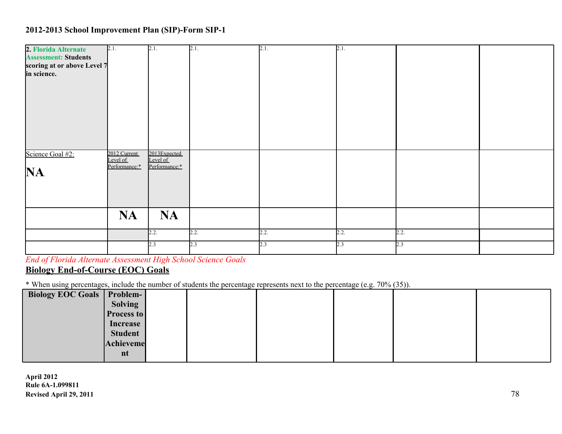| 2. Florida Alternate        | 2.1.                      | 2.1.                     | 2.1. | 2.1. | 2.1. |      |  |
|-----------------------------|---------------------------|--------------------------|------|------|------|------|--|
| <b>Assessment: Students</b> |                           |                          |      |      |      |      |  |
| scoring at or above Level 7 |                           |                          |      |      |      |      |  |
| in science.                 |                           |                          |      |      |      |      |  |
|                             |                           |                          |      |      |      |      |  |
|                             |                           |                          |      |      |      |      |  |
|                             |                           |                          |      |      |      |      |  |
|                             |                           |                          |      |      |      |      |  |
|                             |                           |                          |      |      |      |      |  |
|                             |                           |                          |      |      |      |      |  |
|                             |                           |                          |      |      |      |      |  |
| Science Goal #2:            | 2012 Current              | 2013Expected<br>Level of |      |      |      |      |  |
|                             | Level of<br>Performance:* | Performance:*            |      |      |      |      |  |
| NA.                         |                           |                          |      |      |      |      |  |
|                             |                           |                          |      |      |      |      |  |
|                             |                           |                          |      |      |      |      |  |
|                             |                           |                          |      |      |      |      |  |
|                             | <b>NA</b>                 | <b>NA</b>                |      |      |      |      |  |
|                             |                           |                          |      |      |      |      |  |
|                             |                           | 2.2.                     | 2.2. | 2.2. | 2.2. | 2.2. |  |
|                             |                           | 2.3                      | 2.3  | 2.3  | 2.3  | 2.3  |  |
|                             |                           |                          |      |      |      |      |  |

*End of Florida Alternate Assessment High School Science Goals* **Biology End-of-Course (EOC) Goals**

\* When using percentages, include the number of students the percentage represents next to the percentage (e.g. 70% (35)).

| Biology EOC Goals   Problem-  <br><b>Solving</b> |  |
|--------------------------------------------------|--|
|                                                  |  |
| <b>Process to</b>                                |  |
| Increase                                         |  |
| <b>Student</b>                                   |  |
| Achieveme                                        |  |
| nt                                               |  |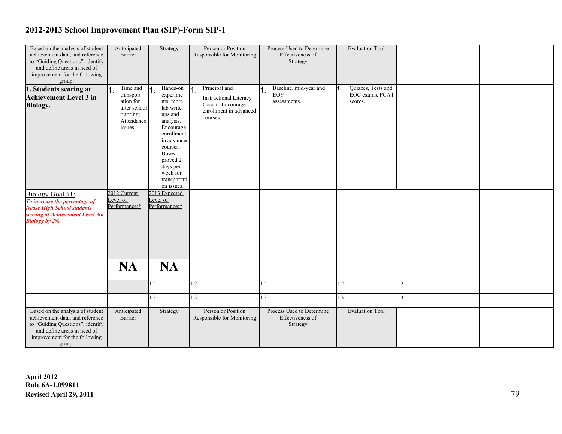| Based on the analysis of student  | Anticipated      | Strategy      | Person or Position            | Process Used to Determine | <b>Evaluation Tool</b>    |      |  |
|-----------------------------------|------------------|---------------|-------------------------------|---------------------------|---------------------------|------|--|
| achievement data, and reference   | Barrier          |               | Responsible for Monitoring    | Effectiveness of          |                           |      |  |
| to "Guiding Questions", identify  |                  |               |                               | Strategy                  |                           |      |  |
| and define areas in need of       |                  |               |                               |                           |                           |      |  |
| improvement for the following     |                  |               |                               |                           |                           |      |  |
| group:                            |                  |               |                               |                           |                           |      |  |
| 1. Students scoring at            | Time and         | Hands-on      | Principal and                 | Baseline, mid-year and    | Quizzes, Tests and<br>11. |      |  |
|                                   | 11.<br>transport | experime      |                               | <b>EOY</b>                | EOC exams, FCAT           |      |  |
| <b>Achievement Level 3 in</b>     | ation for        | nts; more     | <b>Instructional Literacy</b> | assessments.              | scores.                   |      |  |
| <b>Biology.</b>                   | after school     | lab write-    | Coach. Encourage              |                           |                           |      |  |
|                                   |                  |               | enrollment in advanced        |                           |                           |      |  |
|                                   | tutoring;        | ups and       | courses.                      |                           |                           |      |  |
|                                   | Attendance       | analysis.     |                               |                           |                           |      |  |
|                                   | issues           | Encourage     |                               |                           |                           |      |  |
|                                   |                  | enrollment    |                               |                           |                           |      |  |
|                                   |                  | in advanced   |                               |                           |                           |      |  |
|                                   |                  | courses.      |                               |                           |                           |      |  |
|                                   |                  | <b>Buses</b>  |                               |                           |                           |      |  |
|                                   |                  | proved 2      |                               |                           |                           |      |  |
|                                   |                  | days per      |                               |                           |                           |      |  |
|                                   |                  | week for      |                               |                           |                           |      |  |
|                                   |                  | transportati  |                               |                           |                           |      |  |
|                                   |                  | on issues.    |                               |                           |                           |      |  |
| Biology Goal #1:                  | 2012 Current     | 2013 Expected |                               |                           |                           |      |  |
| To increase the percentage of     | Level of         | Level of      |                               |                           |                           |      |  |
| <b>Nease High School students</b> | Performance:*    | Performance:* |                               |                           |                           |      |  |
| scoring at Achievement Level 3in  |                  |               |                               |                           |                           |      |  |
|                                   |                  |               |                               |                           |                           |      |  |
| <b>Biology by 2%.</b>             |                  |               |                               |                           |                           |      |  |
|                                   |                  |               |                               |                           |                           |      |  |
|                                   |                  |               |                               |                           |                           |      |  |
|                                   |                  |               |                               |                           |                           |      |  |
|                                   |                  |               |                               |                           |                           |      |  |
|                                   |                  |               |                               |                           |                           |      |  |
|                                   |                  |               |                               |                           |                           |      |  |
|                                   | <b>NA</b>        | <b>NA</b>     |                               |                           |                           |      |  |
|                                   |                  |               |                               |                           |                           |      |  |
|                                   |                  | 1.2.          | 1.2.                          | 1.2.                      | 1.2.                      | 1.2. |  |
|                                   |                  |               |                               |                           |                           |      |  |
|                                   |                  | 1.3.          | 1.3.                          | 1.3.                      | 1.3.                      | 1.3. |  |
|                                   |                  |               |                               |                           |                           |      |  |
|                                   |                  |               |                               |                           |                           |      |  |
| Based on the analysis of student  | Anticipated      | Strategy      | Person or Position            | Process Used to Determine | <b>Evaluation Tool</b>    |      |  |
| achievement data, and reference   | Barrier          |               | Responsible for Monitoring    | Effectiveness of          |                           |      |  |
| to "Guiding Questions", identify  |                  |               |                               | Strategy                  |                           |      |  |
| and define areas in need of       |                  |               |                               |                           |                           |      |  |
| improvement for the following     |                  |               |                               |                           |                           |      |  |
| group:                            |                  |               |                               |                           |                           |      |  |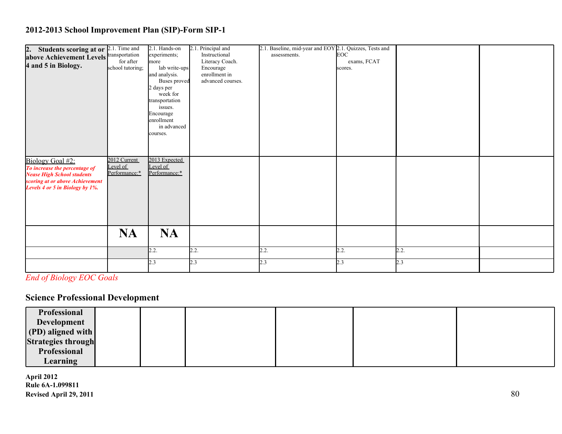| 2. Students scoring at or $2.\overline{1}$ . Time and<br>above Achievement Levels Transportation<br>4 and 5 in Biology.                                      | for after<br>school tutoring;             | 2.1. Hands-on<br>experiments;<br>more<br>lab write-ups<br>and analysis.<br>Buses proved<br>2 days per<br>week for<br>transportation<br>issues.<br>Encourage<br>enrollment<br>in advanced<br>courses. | 2.1. Principal and<br>Instructional<br>Literacy Coach.<br>Encourage<br>enrollment in<br>advanced courses. | 2.1. Baseline, mid-year and EOY 2.1. Quizzes, Tests and<br>assessments. | EOC<br>exams, FCAT<br>scores. |      |  |
|--------------------------------------------------------------------------------------------------------------------------------------------------------------|-------------------------------------------|------------------------------------------------------------------------------------------------------------------------------------------------------------------------------------------------------|-----------------------------------------------------------------------------------------------------------|-------------------------------------------------------------------------|-------------------------------|------|--|
| Biology Goal #2:<br>To increase the percentage of<br><b>Nease High School students</b><br>scoring at or above Achievement<br>Levels 4 or 5 in Biology by 1%. | 2012 Current<br>Level of<br>Performance:* | 2013 Expected<br>Level of<br>Performance:*<br><b>NA</b>                                                                                                                                              |                                                                                                           |                                                                         |                               |      |  |
|                                                                                                                                                              | <b>NA</b>                                 |                                                                                                                                                                                                      |                                                                                                           |                                                                         |                               |      |  |
|                                                                                                                                                              |                                           | 2.2.                                                                                                                                                                                                 | 2.2.                                                                                                      | 2.2.                                                                    | 2.2.                          | 2.2. |  |
|                                                                                                                                                              |                                           | 2.3                                                                                                                                                                                                  | 2.3                                                                                                       | 2.3                                                                     | 2.3                           | 2.3  |  |

*End of Biology EOC Goals*

# **Science Professional Development**

| Professional              |  |  |  |
|---------------------------|--|--|--|
| Development               |  |  |  |
| (PD) aligned with         |  |  |  |
| <b>Strategies through</b> |  |  |  |
| Professional              |  |  |  |
| <b>Learning</b>           |  |  |  |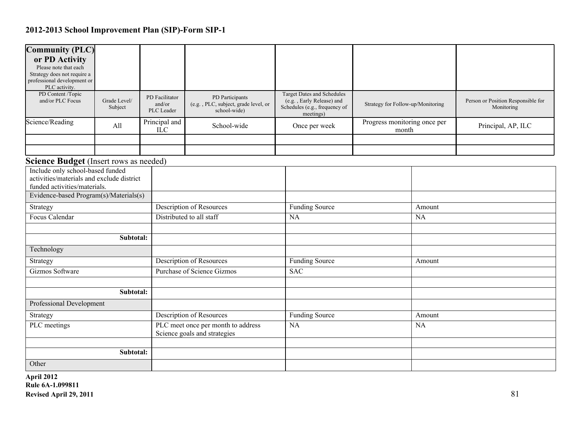| <b>Community (PLC)</b><br>or PD Activity<br>Please note that each<br>Strategy does not require a<br>professional development or<br>PLC activity.                                                  |                         |                                        |                                                                         |                                                                                                              |                                       |           |                                                  |
|---------------------------------------------------------------------------------------------------------------------------------------------------------------------------------------------------|-------------------------|----------------------------------------|-------------------------------------------------------------------------|--------------------------------------------------------------------------------------------------------------|---------------------------------------|-----------|--------------------------------------------------|
| PD Content /Topic<br>and/or PLC Focus                                                                                                                                                             | Grade Level/<br>Subject | PD Facilitator<br>and/or<br>PLC Leader | PD Participants<br>(e.g., PLC, subject, grade level, or<br>school-wide) | <b>Target Dates and Schedules</b><br>(e.g., Early Release) and<br>Schedules (e.g., frequency of<br>meetings) | Strategy for Follow-up/Monitoring     |           | Person or Position Responsible for<br>Monitoring |
| Science/Reading                                                                                                                                                                                   | All                     | Principal and<br><b>ILC</b>            | School-wide                                                             | Once per week                                                                                                | Progress monitoring once per<br>month |           | Principal, AP, ILC                               |
|                                                                                                                                                                                                   |                         |                                        |                                                                         |                                                                                                              |                                       |           |                                                  |
|                                                                                                                                                                                                   |                         |                                        |                                                                         |                                                                                                              |                                       |           |                                                  |
| Science Budget (Insert rows as needed)<br>Include only school-based funded<br>activities/materials and exclude district<br>funded activities/materials.<br>Evidence-based Program(s)/Materials(s) |                         |                                        |                                                                         |                                                                                                              |                                       |           |                                                  |
| Strategy                                                                                                                                                                                          |                         |                                        | Description of Resources                                                | <b>Funding Source</b>                                                                                        |                                       | Amount    |                                                  |
| <b>Focus Calendar</b>                                                                                                                                                                             |                         |                                        | Distributed to all staff                                                | <b>NA</b>                                                                                                    |                                       | <b>NA</b> |                                                  |
|                                                                                                                                                                                                   | Subtotal:               |                                        |                                                                         |                                                                                                              |                                       |           |                                                  |
| Technology                                                                                                                                                                                        |                         |                                        |                                                                         |                                                                                                              |                                       |           |                                                  |
| Strategy                                                                                                                                                                                          |                         |                                        | <b>Description of Resources</b>                                         | <b>Funding Source</b>                                                                                        |                                       | Amount    |                                                  |
| Gizmos Software                                                                                                                                                                                   |                         |                                        | <b>Purchase of Science Gizmos</b>                                       | <b>SAC</b>                                                                                                   |                                       |           |                                                  |
|                                                                                                                                                                                                   | Subtotal:               |                                        |                                                                         |                                                                                                              |                                       |           |                                                  |
| Professional Development                                                                                                                                                                          |                         |                                        |                                                                         |                                                                                                              |                                       |           |                                                  |
| Strategy                                                                                                                                                                                          |                         |                                        | Description of Resources                                                | <b>Funding Source</b>                                                                                        |                                       | Amount    |                                                  |
| PLC meetings                                                                                                                                                                                      |                         |                                        | PLC meet once per month to address<br>Science goals and strategies      | <b>NA</b>                                                                                                    |                                       |           |                                                  |
|                                                                                                                                                                                                   |                         |                                        |                                                                         |                                                                                                              |                                       |           |                                                  |
| Other                                                                                                                                                                                             | Subtotal:               |                                        |                                                                         |                                                                                                              |                                       |           |                                                  |
|                                                                                                                                                                                                   |                         |                                        |                                                                         |                                                                                                              |                                       |           |                                                  |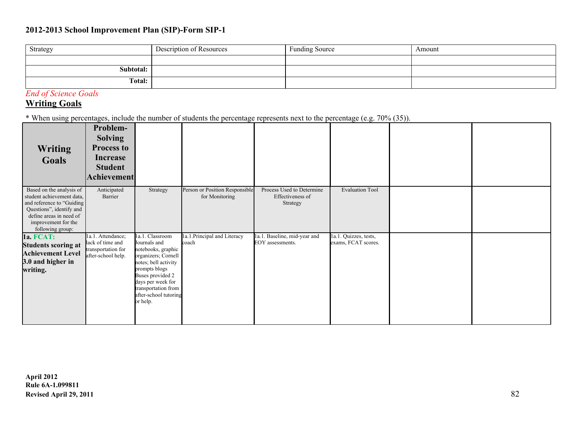| Strategy  | Description of Resources | <b>Funding Source</b> | Amount |
|-----------|--------------------------|-----------------------|--------|
|           |                          |                       |        |
| Subtotal: |                          |                       |        |
| Total:    |                          |                       |        |

### *End of Science Goals*

### **Writing Goals**

\* When using percentages, include the number of students the percentage represents next to the percentage (e.g. 70% (35)).

| Writing<br><b>Goals</b>                                                                                                                                                              | Problem-<br><b>Solving</b><br><b>Process to</b><br>Increase<br><b>Student</b><br><b>Achievement</b> |                                                                                                                                                                                                                            |                                                  |                                                           |                                              |  |
|--------------------------------------------------------------------------------------------------------------------------------------------------------------------------------------|-----------------------------------------------------------------------------------------------------|----------------------------------------------------------------------------------------------------------------------------------------------------------------------------------------------------------------------------|--------------------------------------------------|-----------------------------------------------------------|----------------------------------------------|--|
| Based on the analysis of<br>student achievement data,<br>and reference to "Guiding<br>Questions", identify and<br>define areas in need of<br>improvement for the<br>following group: | Anticipated<br>Barrier                                                                              | Strategy                                                                                                                                                                                                                   | Person or Position Responsible<br>for Monitoring | Process Used to Determine<br>Effectiveness of<br>Strategy | <b>Evaluation Tool</b>                       |  |
| <b>1a. FCAT:</b><br><b>Students scoring at</b><br><b>Achievement Level</b><br>3.0 and higher in<br>writing.                                                                          | 1a.1. Attendance;<br>lack of time and<br>transportation for<br>after-school help.                   | 1a.1. Classroom<br>Journals and<br>notebooks, graphic<br>organizers; Cornell<br>notes; bell activity<br>prompts blogs<br>Buses provided 2<br>days per week for<br>transportation from<br>after-school tutoring<br>or help. | 1a.1.Principal and Literacy<br>coach             | 1a.1. Baseline, mid-year and<br>EOY assessments.          | la.1. Quizzes, tests,<br>exams, FCAT scores. |  |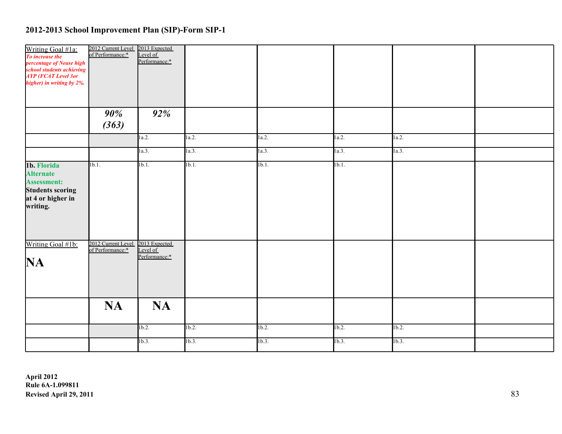| Writing Goal #1a:<br>To increase the<br>percentage of Nease high<br>school students achieving<br><b>AYP</b> (FCAT Level 3or<br>higher) in writing by 2%. | 2012 Current Level 2013 Expected<br>of Performance:* Level of | Performance:* |          |          |       |          |  |
|----------------------------------------------------------------------------------------------------------------------------------------------------------|---------------------------------------------------------------|---------------|----------|----------|-------|----------|--|
|                                                                                                                                                          | $90\%$<br>(363)                                               | 92%           |          |          |       |          |  |
|                                                                                                                                                          |                                                               | 1a.2.         | 1a.2.    | 1a.2.    | 1a.2. | 1a.2.    |  |
|                                                                                                                                                          |                                                               | 1a.3.         | 1a.3.    | 1a.3.    | 1a.3. | 1a.3.    |  |
| 1b. Florida<br><b>Alternate</b><br><b>Assessment:</b><br><b>Students scoring</b><br>at 4 or higher in<br>writing.                                        | 1b.1.                                                         | 1b.1.         | 1b.1.    | $1b.1$ . | 1b.1. |          |  |
| Writing Goal #1b:<br>NA                                                                                                                                  | 2012 Current Level 2013 Expected<br>of Performance:* Level of | Performance:* |          |          |       |          |  |
|                                                                                                                                                          | <b>NA</b>                                                     | <b>NA</b>     |          |          |       |          |  |
|                                                                                                                                                          |                                                               | $1b.2$ .      | $1b.2$ . | 1b.2.    | 1b.2. | $1b.2$ . |  |
|                                                                                                                                                          |                                                               | 1b.3.         | 1b.3.    | 1b.3.    | 1b.3. | 1b.3.    |  |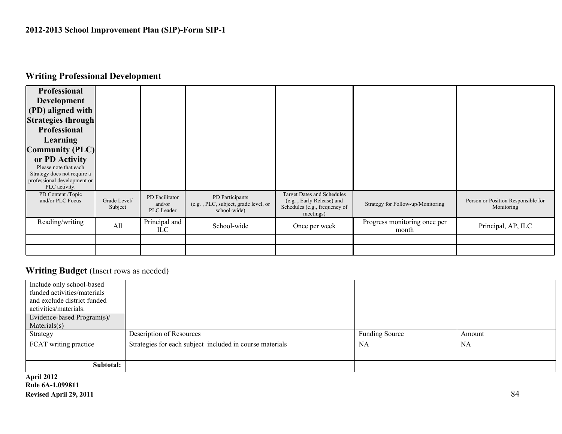# **Writing Professional Development**

| <b>Professional</b><br><b>Development</b><br>(PD) aligned with<br><b>Strategies through</b><br><b>Professional</b><br>Learning<br><b>Community (PLC)</b><br>or PD Activity<br>Please note that each<br>Strategy does not require a<br>professional development or<br>PLC activity. |                         |                                        |                                                                         |                                                                                                              |                                       |                                                  |
|------------------------------------------------------------------------------------------------------------------------------------------------------------------------------------------------------------------------------------------------------------------------------------|-------------------------|----------------------------------------|-------------------------------------------------------------------------|--------------------------------------------------------------------------------------------------------------|---------------------------------------|--------------------------------------------------|
| PD Content /Topic<br>and/or PLC Focus                                                                                                                                                                                                                                              | Grade Level/<br>Subject | PD Facilitator<br>and/or<br>PLC Leader | PD Participants<br>(e.g., PLC, subject, grade level, or<br>school-wide) | <b>Target Dates and Schedules</b><br>(e.g., Early Release) and<br>Schedules (e.g., frequency of<br>meetings) | Strategy for Follow-up/Monitoring     | Person or Position Responsible for<br>Monitoring |
| Reading/writing                                                                                                                                                                                                                                                                    | All                     | Principal and<br>ILC                   | School-wide                                                             | Once per week                                                                                                | Progress monitoring once per<br>month | Principal, AP, ILC                               |
|                                                                                                                                                                                                                                                                                    |                         |                                        |                                                                         |                                                                                                              |                                       |                                                  |
|                                                                                                                                                                                                                                                                                    |                         |                                        |                                                                         |                                                                                                              |                                       |                                                  |

#### **Writing Budget** (Insert rows as needed)

| Include only school-based   |                                                          |                       |           |
|-----------------------------|----------------------------------------------------------|-----------------------|-----------|
| funded activities/materials |                                                          |                       |           |
| and exclude district funded |                                                          |                       |           |
| activities/materials.       |                                                          |                       |           |
| Evidence-based Program(s)/  |                                                          |                       |           |
| Materials(s)                |                                                          |                       |           |
| Strategy                    | Description of Resources                                 | <b>Funding Source</b> | Amount    |
| FCAT writing practice       | Strategies for each subject included in course materials | NA                    | <b>NA</b> |
|                             |                                                          |                       |           |
| Subtotal:                   |                                                          |                       |           |
|                             |                                                          |                       |           |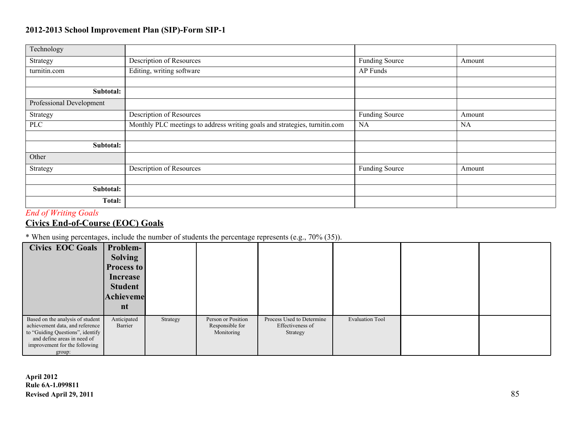| Technology               |                                                                            |                       |        |
|--------------------------|----------------------------------------------------------------------------|-----------------------|--------|
| Strategy                 | Description of Resources                                                   | <b>Funding Source</b> | Amount |
| turnitin.com             | Editing, writing software                                                  | AP Funds              |        |
|                          |                                                                            |                       |        |
| Subtotal:                |                                                                            |                       |        |
| Professional Development |                                                                            |                       |        |
| Strategy                 | Description of Resources                                                   | <b>Funding Source</b> | Amount |
| <b>PLC</b>               | Monthly PLC meetings to address writing goals and strategies, turnitin.com | <b>NA</b>             | NA     |
|                          |                                                                            |                       |        |
| Subtotal:                |                                                                            |                       |        |
| Other                    |                                                                            |                       |        |
| Strategy                 | Description of Resources                                                   | <b>Funding Source</b> | Amount |
|                          |                                                                            |                       |        |
| Subtotal:                |                                                                            |                       |        |
| <b>Total:</b>            |                                                                            |                       |        |
|                          |                                                                            |                       |        |

#### *End of Writing Goals*

# **Civics End-of-Course (EOC) Goals**

\* When using percentages, include the number of students the percentage represents (e.g., 70% (35)).

| <b>Civics EOC Goals</b>                                                                                                                                                           | Problem-<br><b>Solving</b><br><b>Process to</b><br>Increase<br><b>Student</b><br>Achieveme<br>nt |          |                                                     |                                                           |                        |  |
|-----------------------------------------------------------------------------------------------------------------------------------------------------------------------------------|--------------------------------------------------------------------------------------------------|----------|-----------------------------------------------------|-----------------------------------------------------------|------------------------|--|
| Based on the analysis of student<br>achievement data, and reference<br>to "Guiding Questions", identify<br>and define areas in need of<br>improvement for the following<br>group: | Anticipated<br>Barrier                                                                           | Strategy | Person or Position<br>Responsible for<br>Monitoring | Process Used to Determine<br>Effectiveness of<br>Strategy | <b>Evaluation Tool</b> |  |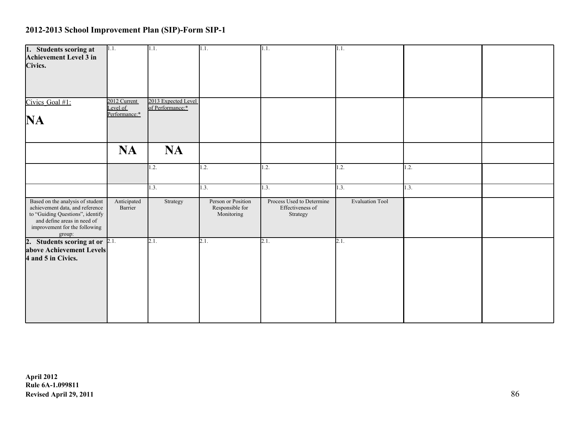| 1. Students scoring at<br>Achievement Level 3 in<br>Civics.                                                                                                                       | 1.1.                                      | 1.1.                                    | 1.1.                                                | 1.1.                                                      | 1.1.                   |      |  |
|-----------------------------------------------------------------------------------------------------------------------------------------------------------------------------------|-------------------------------------------|-----------------------------------------|-----------------------------------------------------|-----------------------------------------------------------|------------------------|------|--|
| Civics Goal #1:<br>NA                                                                                                                                                             | 2012 Current<br>Level of<br>Performance:* | 2013 Expected Level<br>of Performance:* |                                                     |                                                           |                        |      |  |
|                                                                                                                                                                                   | <b>NA</b>                                 | <b>NA</b>                               |                                                     |                                                           |                        |      |  |
|                                                                                                                                                                                   |                                           | 1.2.                                    | 1.2.                                                | 1.2.                                                      | 1.2.                   | 1.2. |  |
|                                                                                                                                                                                   |                                           | 1.3.                                    | 1.3.                                                | 1.3.                                                      | 1.3.                   | 1.3. |  |
| Based on the analysis of student<br>achievement data, and reference<br>to "Guiding Questions", identify<br>and define areas in need of<br>improvement for the following<br>group: | Anticipated<br>Barrier                    | Strategy                                | Person or Position<br>Responsible for<br>Monitoring | Process Used to Determine<br>Effectiveness of<br>Strategy | <b>Evaluation Tool</b> |      |  |
| 2. Students scoring at or $2.1$ .<br>above Achievement Levels<br>4 and 5 in Civics.                                                                                               |                                           | 2.1.                                    | 2.1.                                                | 2.1.                                                      | 2.1.                   |      |  |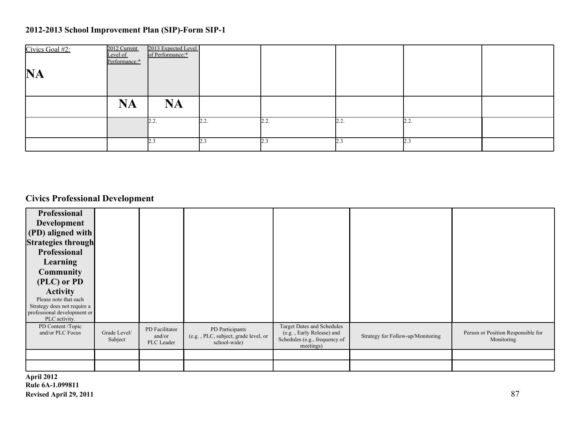| Civics Goal #2:<br><b>NA</b> | 2012 Current<br>Level of<br>Performance:* | 2013 Expected Level<br>of Performance:* |      |      |      |      |  |
|------------------------------|-------------------------------------------|-----------------------------------------|------|------|------|------|--|
|                              | <b>NA</b>                                 | <b>NA</b>                               |      |      |      |      |  |
|                              |                                           | 2.2.                                    | 2.2. | 2.2. | 2.2. | 2.2. |  |
|                              |                                           | 2.3                                     |      | 23   | 2.3  | 2.3  |  |

# **Civics Professional Development**

| Professional<br>Development<br>(PD) aligned with<br><b>Strategies through</b><br>Professional<br><b>Learning</b><br><b>Community</b><br>(PLC) or PD<br><b>Activity</b><br>Please note that each<br>Strategy does not require a<br>professional development or<br>PLC activity. |                         |                                        |                                                                         |                                                                                                       |                                   |                                                  |
|--------------------------------------------------------------------------------------------------------------------------------------------------------------------------------------------------------------------------------------------------------------------------------|-------------------------|----------------------------------------|-------------------------------------------------------------------------|-------------------------------------------------------------------------------------------------------|-----------------------------------|--------------------------------------------------|
| PD Content /Topic<br>and/or PLC Focus                                                                                                                                                                                                                                          | Grade Level/<br>Subject | PD Facilitator<br>and/or<br>PLC Leader | PD Participants<br>(e.g., PLC, subject, grade level, or<br>school-wide) | Target Dates and Schedules<br>(e.g., Early Release) and<br>Schedules (e.g., frequency of<br>meetings) | Strategy for Follow-up/Monitoring | Person or Position Responsible for<br>Monitoring |
|                                                                                                                                                                                                                                                                                |                         |                                        |                                                                         |                                                                                                       |                                   |                                                  |
|                                                                                                                                                                                                                                                                                |                         |                                        |                                                                         |                                                                                                       |                                   |                                                  |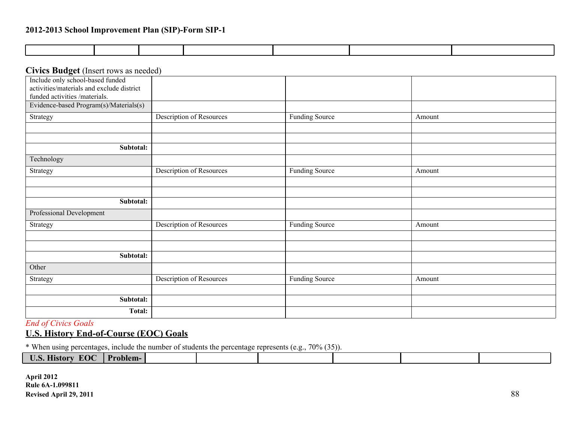#### **Civics Budget** (Insert rows as needed)

| Include only school-based funded          |                                 |                       |        |
|-------------------------------------------|---------------------------------|-----------------------|--------|
| activities/materials and exclude district |                                 |                       |        |
| funded activities /materials.             |                                 |                       |        |
| Evidence-based Program(s)/Materials(s)    |                                 |                       |        |
| Strategy                                  | Description of Resources        | <b>Funding Source</b> | Amount |
|                                           |                                 |                       |        |
|                                           |                                 |                       |        |
| Subtotal:                                 |                                 |                       |        |
| Technology                                |                                 |                       |        |
| Strategy                                  | Description of Resources        | <b>Funding Source</b> | Amount |
|                                           |                                 |                       |        |
|                                           |                                 |                       |        |
| Subtotal:                                 |                                 |                       |        |
| Professional Development                  |                                 |                       |        |
| Strategy                                  | <b>Description of Resources</b> | <b>Funding Source</b> | Amount |
|                                           |                                 |                       |        |
|                                           |                                 |                       |        |
| Subtotal:                                 |                                 |                       |        |
| Other                                     |                                 |                       |        |
| Strategy                                  | <b>Description of Resources</b> | <b>Funding Source</b> | Amount |
|                                           |                                 |                       |        |
| Subtotal:                                 |                                 |                       |        |
| Total:                                    |                                 |                       |        |

*End of Civics Goals*

**U.S. History End-of-Course (EOC) Goals**

\* When using percentages, include the number of students the percentage represents (e.g., 70% (35)).

| ___                         |                |  |  |  |
|-----------------------------|----------------|--|--|--|
| T<br>EO C<br>$\blacksquare$ | D.,<br>roblem- |  |  |  |
|                             |                |  |  |  |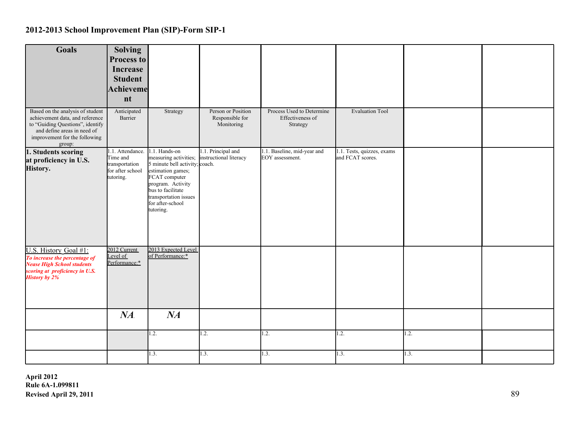| Goals                                                                                                                                                                             | <b>Solving</b><br><b>Process to</b><br><b>Increase</b><br><b>Student</b><br>Achieveme<br>nt |                                                                                                                                                                                                                    |                                                     |                                                           |                                                |      |  |
|-----------------------------------------------------------------------------------------------------------------------------------------------------------------------------------|---------------------------------------------------------------------------------------------|--------------------------------------------------------------------------------------------------------------------------------------------------------------------------------------------------------------------|-----------------------------------------------------|-----------------------------------------------------------|------------------------------------------------|------|--|
| Based on the analysis of student<br>achievement data, and reference<br>to "Guiding Questions", identify<br>and define areas in need of<br>improvement for the following<br>group: | Anticipated<br>Barrier                                                                      | Strategy                                                                                                                                                                                                           | Person or Position<br>Responsible for<br>Monitoring | Process Used to Determine<br>Effectiveness of<br>Strategy | <b>Evaluation Tool</b>                         |      |  |
| 1. Students scoring<br>at proficiency in U.S.<br>History.                                                                                                                         | 1.1. Attendance.<br>Time and<br>transportation<br>for after school<br>tutoring.             | 1.1. Hands-on<br>measuring activities;<br>5 minute bell activity; coach.<br>estimation games;<br>FCAT computer<br>program. Activity<br>bus to facilitate<br>transportation issues<br>for after-school<br>tutoring. | 1.1. Principal and<br>instructional literacy        | 1.1. Baseline, mid-year and<br>EOY assessment.            | 1.1. Tests, quizzes, exams<br>and FCAT scores. |      |  |
| U.S. History Goal #1:<br>To increase the percentage of<br><b>Nease High School students</b><br>scoring at proficiency in U.S.<br><b>History by 2%</b>                             | 2012 Current<br>Level of<br>Performance:*                                                   | 2013 Expected Level<br>of Performance:*                                                                                                                                                                            |                                                     |                                                           |                                                |      |  |
|                                                                                                                                                                                   | NA                                                                                          | NA                                                                                                                                                                                                                 |                                                     |                                                           |                                                |      |  |
|                                                                                                                                                                                   |                                                                                             | 1.2.                                                                                                                                                                                                               | 1.2.                                                | 1.2.                                                      | 1.2.                                           | 1.2. |  |
|                                                                                                                                                                                   |                                                                                             | 1.3.                                                                                                                                                                                                               | 1.3.                                                | 1.3.                                                      | 1.3.                                           | 1.3. |  |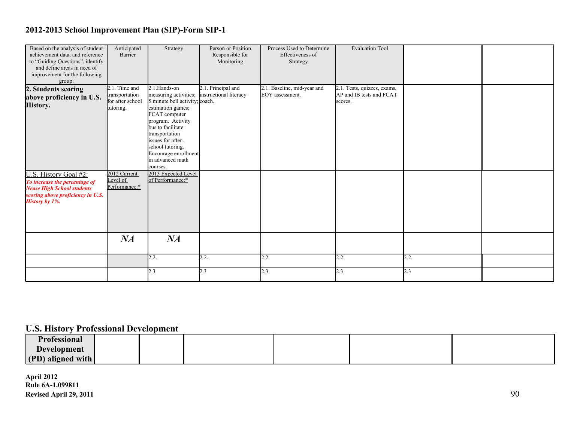| Based on the analysis of student<br>achievement data, and reference<br>to "Guiding Questions", identify<br>and define areas in need of<br>improvement for the following<br>group: | Anticipated<br>Barrier                                              | Strategy                                                                                                                                                                                                                                                                   | Person or Position<br>Responsible for<br>Monitoring | Process Used to Determine<br>Effectiveness of<br>Strategy | <b>Evaluation Tool</b>                                             |      |  |
|-----------------------------------------------------------------------------------------------------------------------------------------------------------------------------------|---------------------------------------------------------------------|----------------------------------------------------------------------------------------------------------------------------------------------------------------------------------------------------------------------------------------------------------------------------|-----------------------------------------------------|-----------------------------------------------------------|--------------------------------------------------------------------|------|--|
| 2. Students scoring<br>above proficiency in U.S.<br>History.                                                                                                                      | $2.1$ . Time and<br>transportation<br>for after school<br>tutoring. | 2.1.Hands-on<br>measuring activities;<br>5 minute bell activity; coach.<br>estimation games;<br>FCAT computer<br>program. Activity<br>bus to facilitate<br>transportation<br>issues for after-<br>school tutoring.<br>Encourage enrollment<br>in advanced math<br>courses. | 2.1. Principal and<br>instructional literacy        | 2.1. Baseline, mid-year and<br>EOY assessment.            | 2.1. Tests, quizzes, exams,<br>AP and IB tests and FCAT<br>scores. |      |  |
| U.S. History Goal #2:<br>To increase the percentage of<br><b>Nease High School students</b><br>scoring above proficiency in U.S.<br><b>History by 1%.</b>                         | 2012 Current<br>Level of<br>Performance:*                           | 2013 Expected Level<br>of Performance:*                                                                                                                                                                                                                                    |                                                     |                                                           |                                                                    |      |  |
|                                                                                                                                                                                   | NA                                                                  | NA                                                                                                                                                                                                                                                                         |                                                     |                                                           |                                                                    |      |  |
|                                                                                                                                                                                   |                                                                     | 2.2.                                                                                                                                                                                                                                                                       | 2.2.                                                | 2.2.                                                      | 2.2.                                                               | 2.2. |  |
|                                                                                                                                                                                   |                                                                     | 2.3                                                                                                                                                                                                                                                                        | 2.3                                                 | 2.3                                                       | 2.3                                                                | 2.3  |  |

### **U.S. History Professional Development**

| <b>Professional</b> |  |  |  |
|---------------------|--|--|--|
| <b>Development</b>  |  |  |  |
| (PD) aligned with   |  |  |  |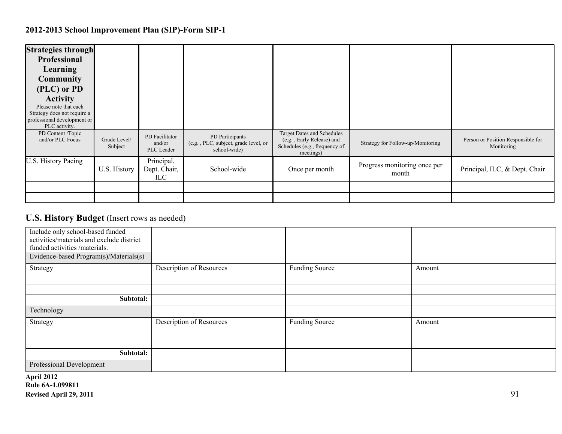| <b>Strategies through</b><br>Professional<br>Learning<br><b>Community</b><br>(PLC) or PD<br><b>Activity</b><br>Please note that each<br>Strategy does not require a<br>professional development or<br>PLC activity. |                         |                                        |                                                                         |                                                                                                              |                                       |                                                  |
|---------------------------------------------------------------------------------------------------------------------------------------------------------------------------------------------------------------------|-------------------------|----------------------------------------|-------------------------------------------------------------------------|--------------------------------------------------------------------------------------------------------------|---------------------------------------|--------------------------------------------------|
| PD Content /Topic<br>and/or PLC Focus                                                                                                                                                                               | Grade Level/<br>Subject | PD Facilitator<br>and/or<br>PLC Leader | PD Participants<br>(e.g., PLC, subject, grade level, or<br>school-wide) | <b>Target Dates and Schedules</b><br>(e.g., Early Release) and<br>Schedules (e.g., frequency of<br>meetings) | Strategy for Follow-up/Monitoring     | Person or Position Responsible for<br>Monitoring |
| U.S. History Pacing                                                                                                                                                                                                 | U.S. History            | Principal,<br>Dept. Chair,<br>ILC.     | School-wide                                                             | Once per month                                                                                               | Progress monitoring once per<br>month | Principal, ILC, & Dept. Chair                    |
|                                                                                                                                                                                                                     |                         |                                        |                                                                         |                                                                                                              |                                       |                                                  |
|                                                                                                                                                                                                                     |                         |                                        |                                                                         |                                                                                                              |                                       |                                                  |

### **U.S. History Budget** (Insert rows as needed)

| Include only school-based funded<br>activities/materials and exclude district<br>funded activities /materials. |                          |                       |        |
|----------------------------------------------------------------------------------------------------------------|--------------------------|-----------------------|--------|
| Evidence-based Program(s)/Materials(s)                                                                         |                          |                       |        |
| Strategy                                                                                                       | Description of Resources | <b>Funding Source</b> | Amount |
|                                                                                                                |                          |                       |        |
|                                                                                                                |                          |                       |        |
| Subtotal:                                                                                                      |                          |                       |        |
| Technology                                                                                                     |                          |                       |        |
| Strategy                                                                                                       | Description of Resources | <b>Funding Source</b> | Amount |
|                                                                                                                |                          |                       |        |
|                                                                                                                |                          |                       |        |
| Subtotal:                                                                                                      |                          |                       |        |
| Professional Development                                                                                       |                          |                       |        |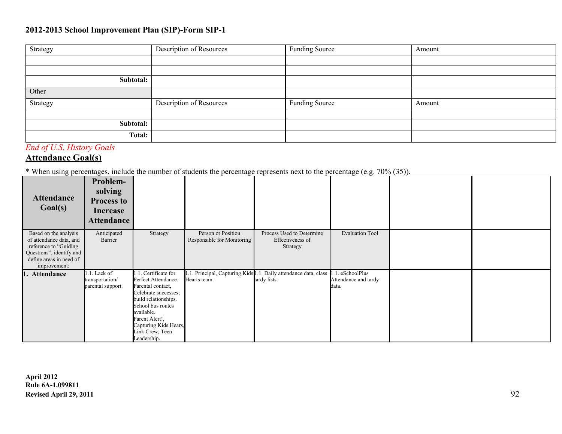| Strategy  | Description of Resources | Funding Source | Amount |
|-----------|--------------------------|----------------|--------|
|           |                          |                |        |
|           |                          |                |        |
| Subtotal: |                          |                |        |
| Other     |                          |                |        |
| Strategy  | Description of Resources | Funding Source | Amount |
|           |                          |                |        |
| Subtotal: |                          |                |        |
| Total:    |                          |                |        |

### *End of U.S. History Goals*

### **Attendance Goal(s)**

\* When using percentages, include the number of students the percentage represents next to the percentage (e.g. 70% (35)).

| <b>Attendance</b><br>Goal(s)                                                                                                                      | Problem-<br>solving<br><b>Process to</b><br><b>Increase</b><br><b>Attendance</b> |                                                                                                                                                                                                                             |                                                  |                                                                                 |                                                |  |
|---------------------------------------------------------------------------------------------------------------------------------------------------|----------------------------------------------------------------------------------|-----------------------------------------------------------------------------------------------------------------------------------------------------------------------------------------------------------------------------|--------------------------------------------------|---------------------------------------------------------------------------------|------------------------------------------------|--|
| Based on the analysis<br>of attendance data, and<br>reference to "Guiding"<br>Questions", identify and<br>define areas in need of<br>improvement: | Anticipated<br>Barrier                                                           | Strategy                                                                                                                                                                                                                    | Person or Position<br>Responsible for Monitoring | Process Used to Determine<br>Effectiveness of<br>Strategy                       | <b>Evaluation Tool</b>                         |  |
| Attendance                                                                                                                                        | 1.1. Lack of<br>transportation/<br>parental support.                             | Certificate for<br>Perfect Attendance.<br>Parental contact,<br>Celebrate successes;<br>build relationships.<br>School bus routes<br>available.<br>Parent Alert!,<br>Capturing Kids Hears,<br>Link Crew, Teen<br>Leadership. | Hearts team.                                     | .1. Principal, Capturing Kids 1.1. Daily attendance data, class<br>tardy lists. | . eSchoolPlus<br>Attendance and tardy<br>data. |  |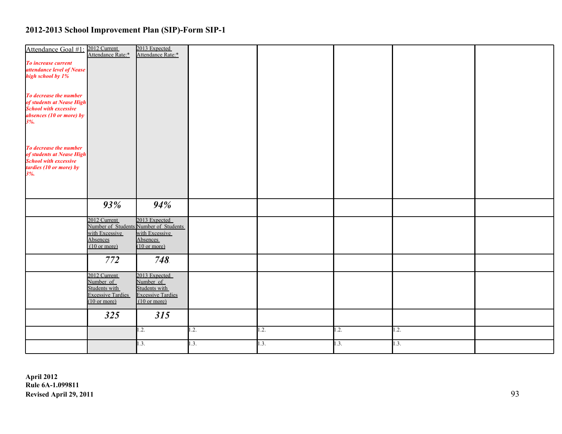| Attendance Goal #1: 2012 Current                                 | Attendance Rate:*                                  | 2013 Expected<br>Attendance Rate:*                     |      |      |      |      |  |
|------------------------------------------------------------------|----------------------------------------------------|--------------------------------------------------------|------|------|------|------|--|
| To increase current<br>attendance level of Nease                 |                                                    |                                                        |      |      |      |      |  |
| high school by 1%                                                |                                                    |                                                        |      |      |      |      |  |
|                                                                  |                                                    |                                                        |      |      |      |      |  |
| To decrease the number<br>of students at Nease High              |                                                    |                                                        |      |      |      |      |  |
| <b>School with excessive</b><br>absences (10 or more) by $3\%$ . |                                                    |                                                        |      |      |      |      |  |
|                                                                  |                                                    |                                                        |      |      |      |      |  |
|                                                                  |                                                    |                                                        |      |      |      |      |  |
| To decrease the number<br>of students at Nease High              |                                                    |                                                        |      |      |      |      |  |
| <b>School with excessive</b>                                     |                                                    |                                                        |      |      |      |      |  |
| tardies $(10 \text{ or more})$ by $3\%$ .                        |                                                    |                                                        |      |      |      |      |  |
|                                                                  |                                                    |                                                        |      |      |      |      |  |
|                                                                  | 93%                                                | 94%                                                    |      |      |      |      |  |
|                                                                  |                                                    |                                                        |      |      |      |      |  |
|                                                                  | 2012 Current                                       | 2013 Expected<br>Number of Students Number of Students |      |      |      |      |  |
|                                                                  | with Excessive<br>Absences                         | with Excessive<br>Absences                             |      |      |      |      |  |
|                                                                  | $(10 \text{ or more})$                             | $(10 \text{ or more})$                                 |      |      |      |      |  |
|                                                                  | 772                                                | 748.                                                   |      |      |      |      |  |
|                                                                  | 2012 Current                                       | 2013 Expected                                          |      |      |      |      |  |
|                                                                  | Number of<br>Students with                         | Number of<br>Students with                             |      |      |      |      |  |
|                                                                  | <b>Excessive Tardies</b><br>$(10 \text{ or more})$ | <b>Excessive Tardies</b><br>$(10 \text{ or more})$     |      |      |      |      |  |
|                                                                  | 325                                                | 315                                                    |      |      |      |      |  |
|                                                                  |                                                    | 1.2.                                                   | 1.2. |      |      | 1.2. |  |
|                                                                  |                                                    |                                                        |      | 1.2. | 1.2. |      |  |
|                                                                  |                                                    | 1.3.                                                   | 1.3. | 1.3. | 1.3. | 1.3. |  |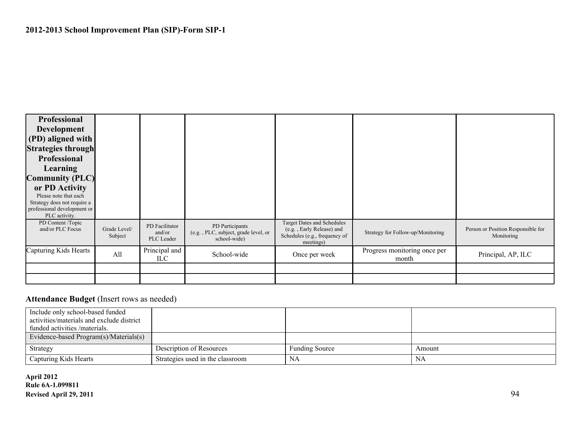

#### Attendance Budget (Insert rows as needed)

| Include only school-based funded          |                                  |                       |        |
|-------------------------------------------|----------------------------------|-----------------------|--------|
| activities/materials and exclude district |                                  |                       |        |
| funded activities /materials.             |                                  |                       |        |
| Evidence-based Program(s)/Materials(s)    |                                  |                       |        |
| Strategy                                  | Description of Resources         | <b>Funding Source</b> | Amount |
| Capturing Kids Hearts                     | Strategies used in the classroom | NA                    | NA     |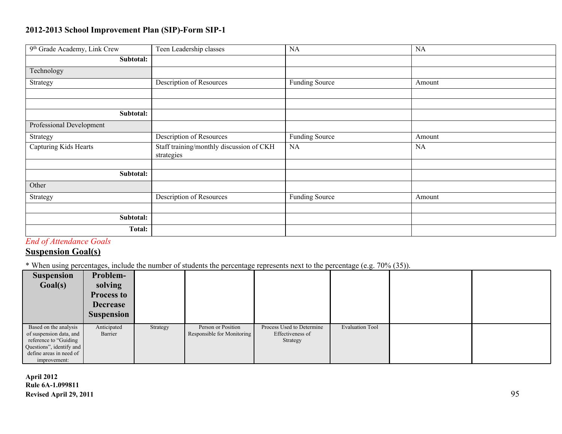| 9th Grade Academy, Link Crew | Teen Leadership classes                                | NA                    | NA        |
|------------------------------|--------------------------------------------------------|-----------------------|-----------|
| Subtotal:                    |                                                        |                       |           |
| Technology                   |                                                        |                       |           |
| Strategy                     | Description of Resources                               | <b>Funding Source</b> | Amount    |
|                              |                                                        |                       |           |
|                              |                                                        |                       |           |
| Subtotal:                    |                                                        |                       |           |
| Professional Development     |                                                        |                       |           |
| Strategy                     | Description of Resources                               | <b>Funding Source</b> | Amount    |
| Capturing Kids Hearts        | Staff training/monthly discussion of CKH<br>strategies | NA                    | <b>NA</b> |
|                              |                                                        |                       |           |
| Subtotal:                    |                                                        |                       |           |
| Other                        |                                                        |                       |           |
| Strategy                     | <b>Description of Resources</b>                        | Funding Source        | Amount    |
|                              |                                                        |                       |           |
| Subtotal:                    |                                                        |                       |           |
| <b>Total:</b>                |                                                        |                       |           |

*End of Attendance Goals*

### **Suspension Goal(s)**

\* When using percentages, include the number of students the percentage represents next to the percentage (e.g. 70% (35)).

| ັ<br><b>Suspension</b><br>Goal(s)                                                                                                                 | Problem-<br>solving<br><b>Process to</b><br><b>Decrease</b><br><b>Suspension</b> |          |                                                  |                                                           | <u>.</u>               |  |
|---------------------------------------------------------------------------------------------------------------------------------------------------|----------------------------------------------------------------------------------|----------|--------------------------------------------------|-----------------------------------------------------------|------------------------|--|
| Based on the analysis<br>of suspension data, and<br>reference to "Guiding"<br>Questions", identify and<br>define areas in need of<br>improvement: | Anticipated<br>Barrier                                                           | Strategy | Person or Position<br>Responsible for Monitoring | Process Used to Determine<br>Effectiveness of<br>Strategy | <b>Evaluation Tool</b> |  |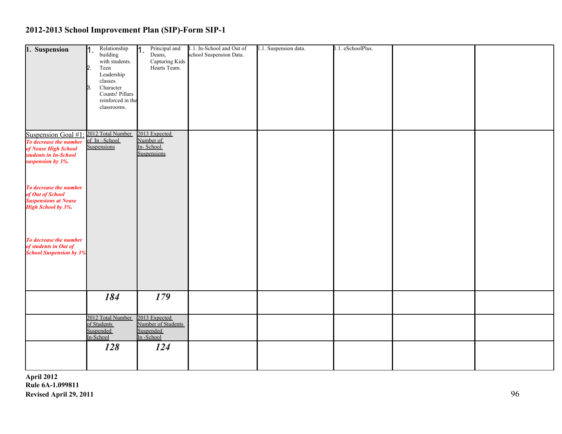| 1. Suspension                                                                            | h.<br>$\mathbf{b}$<br>$\beta$ . | Relationship<br>building<br>with students.<br>Teen<br>Leadership<br>classes.<br>Character<br>Counts! Pillars<br>reinforced in the | $\mathsf{M}$ . | Principal and<br>Deans,<br>Capturing Kids<br>Hearts Team.     | 1.1. In-School and Out of<br>school Suspension Data. | 1.1. Suspension data. | 1.1. eSchoolPlus. |  |
|------------------------------------------------------------------------------------------|---------------------------------|-----------------------------------------------------------------------------------------------------------------------------------|----------------|---------------------------------------------------------------|------------------------------------------------------|-----------------------|-------------------|--|
| Suspension Goal #1<br>To decrease the number<br>of Nease High School                     |                                 | classrooms.<br>2012 Total Number<br>of In-School<br>Suspensions                                                                   |                | 2013 Expected<br>Number of<br>In-School                       |                                                      |                       |                   |  |
| students in In-School<br>suspension by 3%.<br>To decrease the number<br>of Out of School |                                 |                                                                                                                                   |                | Suspensions                                                   |                                                      |                       |                   |  |
| <b>Suspensions at Nease</b><br><b>High School by 3%.</b><br>To decrease the number       |                                 |                                                                                                                                   |                |                                                               |                                                      |                       |                   |  |
| of students in Out of<br><b>School Suspension by 3%</b>                                  |                                 |                                                                                                                                   |                |                                                               |                                                      |                       |                   |  |
|                                                                                          |                                 | 184                                                                                                                               |                | 179                                                           |                                                      |                       |                   |  |
|                                                                                          |                                 | 2012 Total Number<br>of Students<br>Suspended<br>In-School                                                                        |                | 2013 Expected<br>Number of Students<br>Suspended<br>In-School |                                                      |                       |                   |  |
|                                                                                          |                                 | 128                                                                                                                               |                | 124                                                           |                                                      |                       |                   |  |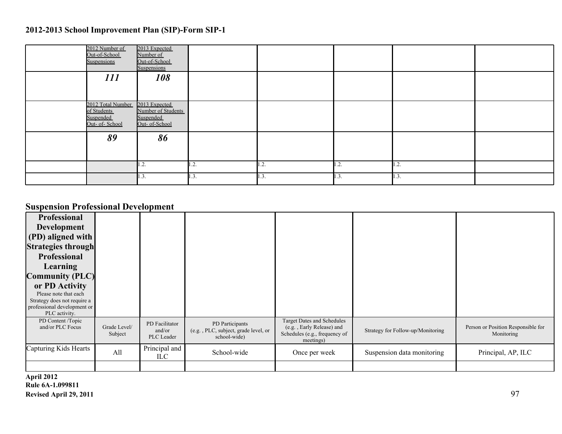| 2012 Number of<br>Out-of-School<br>Suspensions                  | 2013 Expected<br>Number of<br>Out-of-School<br>Suspensions         |      |      |      |      |  |
|-----------------------------------------------------------------|--------------------------------------------------------------------|------|------|------|------|--|
| 111                                                             | 108                                                                |      |      |      |      |  |
| 2012 Total Number<br>of Students<br>Suspended<br>Out- of-School | 2013 Expected<br>Number of Students<br>Suspended<br>Out- of-School |      |      |      |      |  |
| 89                                                              | 86                                                                 |      |      |      |      |  |
|                                                                 | 1.2.                                                               | 1.2. | 1.2. | 1.2. | 1.2. |  |
|                                                                 | 1.3.                                                               | 1.3. | 1.3. | 1.3. | 1.3. |  |

### **Suspension Professional Development**

| Professional                          |                         |                                        |                                                                         |                                                                                                              |                                   |                                                  |
|---------------------------------------|-------------------------|----------------------------------------|-------------------------------------------------------------------------|--------------------------------------------------------------------------------------------------------------|-----------------------------------|--------------------------------------------------|
| Development                           |                         |                                        |                                                                         |                                                                                                              |                                   |                                                  |
| (PD) aligned with                     |                         |                                        |                                                                         |                                                                                                              |                                   |                                                  |
| <b>Strategies through</b>             |                         |                                        |                                                                         |                                                                                                              |                                   |                                                  |
| <b>Professional</b>                   |                         |                                        |                                                                         |                                                                                                              |                                   |                                                  |
| Learning                              |                         |                                        |                                                                         |                                                                                                              |                                   |                                                  |
| <b>Community (PLC)</b>                |                         |                                        |                                                                         |                                                                                                              |                                   |                                                  |
| or PD Activity                        |                         |                                        |                                                                         |                                                                                                              |                                   |                                                  |
| Please note that each                 |                         |                                        |                                                                         |                                                                                                              |                                   |                                                  |
| Strategy does not require a           |                         |                                        |                                                                         |                                                                                                              |                                   |                                                  |
| professional development or           |                         |                                        |                                                                         |                                                                                                              |                                   |                                                  |
| PLC activity.                         |                         |                                        |                                                                         |                                                                                                              |                                   |                                                  |
| PD Content /Topic<br>and/or PLC Focus | Grade Level/<br>Subject | PD Facilitator<br>and/or<br>PLC Leader | PD Participants<br>(e.g., PLC, subject, grade level, or<br>school-wide) | <b>Target Dates and Schedules</b><br>(e.g., Early Release) and<br>Schedules (e.g., frequency of<br>meetings) | Strategy for Follow-up/Monitoring | Person or Position Responsible for<br>Monitoring |
| Capturing Kids Hearts                 | All                     | Principal and<br>ILC-                  | School-wide                                                             | Once per week                                                                                                | Suspension data monitoring        | Principal, AP, ILC                               |
|                                       |                         |                                        |                                                                         |                                                                                                              |                                   |                                                  |
|                                       |                         |                                        |                                                                         |                                                                                                              |                                   |                                                  |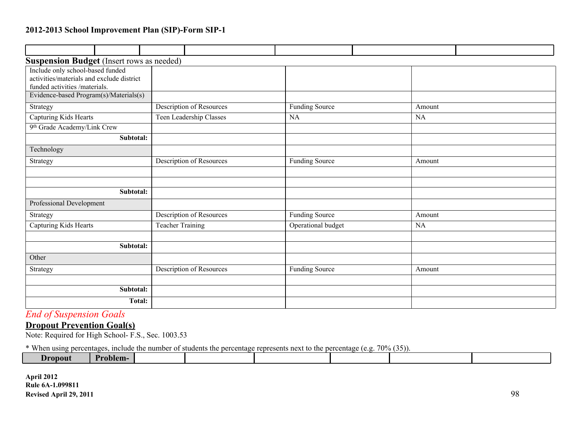| <b>Suspension Budget</b> (Insert rows as needed) |                         |                                 |                       |  |           |  |
|--------------------------------------------------|-------------------------|---------------------------------|-----------------------|--|-----------|--|
| Include only school-based funded                 |                         |                                 |                       |  |           |  |
| activities/materials and exclude district        |                         |                                 |                       |  |           |  |
| funded activities /materials.                    |                         |                                 |                       |  |           |  |
| Evidence-based Program(s)/Materials(s)           |                         |                                 |                       |  |           |  |
| Strategy                                         |                         | Description of Resources        | <b>Funding Source</b> |  | Amount    |  |
| Capturing Kids Hearts                            |                         | Teen Leadership Classes         | <b>NA</b>             |  |           |  |
| 9th Grade Academy/Link Crew                      |                         |                                 |                       |  |           |  |
| Subtotal:                                        |                         |                                 |                       |  |           |  |
| Technology                                       |                         |                                 |                       |  |           |  |
| Strategy                                         |                         | <b>Description of Resources</b> | <b>Funding Source</b> |  |           |  |
|                                                  |                         |                                 |                       |  |           |  |
|                                                  |                         |                                 |                       |  |           |  |
| Subtotal:                                        |                         |                                 |                       |  |           |  |
| Professional Development                         |                         |                                 |                       |  |           |  |
| Strategy                                         |                         | <b>Description of Resources</b> | <b>Funding Source</b> |  | Amount    |  |
| Capturing Kids Hearts                            | <b>Teacher Training</b> |                                 | Operational budget    |  | <b>NA</b> |  |
|                                                  |                         |                                 |                       |  |           |  |
| Subtotal:                                        |                         |                                 |                       |  |           |  |
| Other                                            |                         |                                 |                       |  |           |  |
| Strategy                                         |                         | Description of Resources        | <b>Funding Source</b> |  | Amount    |  |
|                                                  |                         |                                 |                       |  |           |  |
| Subtotal:                                        |                         |                                 |                       |  |           |  |
| <b>Total:</b>                                    |                         |                                 |                       |  |           |  |

### *End of Suspension Goals*

#### **Dropout Prevention Goal(s)**

Note: Required for High School- F.S., Sec. 1003.53

\* When using percentages, include the number of students the percentage represents next to the percentage (e.g. 70% (35)).

| <b>Propoll</b> | zopiem-z |  |  |  |
|----------------|----------|--|--|--|
|                |          |  |  |  |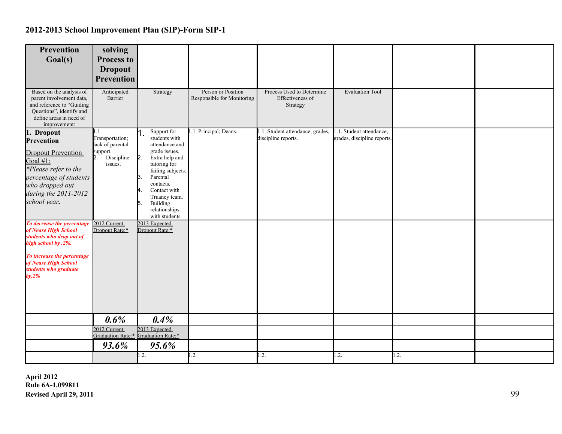| Prevention                                                                                                                                               | solving                           |                                                    |                                                  |                                                           |                                                         |     |  |
|----------------------------------------------------------------------------------------------------------------------------------------------------------|-----------------------------------|----------------------------------------------------|--------------------------------------------------|-----------------------------------------------------------|---------------------------------------------------------|-----|--|
| Goal(s)                                                                                                                                                  | Process to                        |                                                    |                                                  |                                                           |                                                         |     |  |
|                                                                                                                                                          | <b>Dropout</b>                    |                                                    |                                                  |                                                           |                                                         |     |  |
|                                                                                                                                                          | <b>Prevention</b>                 |                                                    |                                                  |                                                           |                                                         |     |  |
| Based on the analysis of<br>parent involvement data,<br>and reference to "Guiding<br>Questions", identify and<br>define areas in need of<br>improvement: | Anticipated<br>Barrier            | Strategy                                           | Person or Position<br>Responsible for Monitoring | Process Used to Determine<br>Effectiveness of<br>Strategy | <b>Evaluation Tool</b>                                  |     |  |
| 1. Dropout                                                                                                                                               | 1.1.<br>Transportation;           | Support for<br>students with                       | 1.1. Principal; Deans.                           | 1.1. Student attendance, grades,                          | 1.1. Student attendance,<br>grades, discipline reports. |     |  |
| Prevention                                                                                                                                               | lack of parental                  | attendance and                                     |                                                  | discipline reports.                                       |                                                         |     |  |
| <b>Dropout Prevention</b>                                                                                                                                | support.<br>Discipline            | grade issues.<br>$\mathbf{b}$<br>Extra help and    |                                                  |                                                           |                                                         |     |  |
| Goal #1:<br>*Please refer to the                                                                                                                         | issues.                           | tutoring for                                       |                                                  |                                                           |                                                         |     |  |
| percentage of students                                                                                                                                   |                                   | failing subjects.<br>Parental<br>B.                |                                                  |                                                           |                                                         |     |  |
| who dropped out                                                                                                                                          |                                   | contacts.<br>Contact with                          |                                                  |                                                           |                                                         |     |  |
| during the 2011-2012                                                                                                                                     |                                   | Truancy team.                                      |                                                  |                                                           |                                                         |     |  |
| school year.                                                                                                                                             |                                   | Building<br>15.<br>relationships<br>with students. |                                                  |                                                           |                                                         |     |  |
| To decrease the percentage<br>of Nease High School<br>students who drop out of<br>high school by .2%.                                                    | 2012 Current<br>Dropout Rate:*    | 2013 Expected<br>Dropout Rate:*                    |                                                  |                                                           |                                                         |     |  |
| To increase the percentage<br>of Nease High School<br>students who graduate<br>$by.2\%$                                                                  |                                   |                                                    |                                                  |                                                           |                                                         |     |  |
|                                                                                                                                                          |                                   |                                                    |                                                  |                                                           |                                                         |     |  |
|                                                                                                                                                          |                                   |                                                    |                                                  |                                                           |                                                         |     |  |
|                                                                                                                                                          | 0.6%                              | 0.4%                                               |                                                  |                                                           |                                                         |     |  |
|                                                                                                                                                          | 2012 Current<br>Graduation Rate:* | 2013 Expected<br>Graduation Rate:*                 |                                                  |                                                           |                                                         |     |  |
|                                                                                                                                                          | 93.6%                             | 95.6%                                              |                                                  |                                                           |                                                         |     |  |
|                                                                                                                                                          |                                   | 1.2.                                               | $\cdot$ .                                        | $\overline{1.2}$ .                                        | $\overline{1.2}$ .                                      | .2. |  |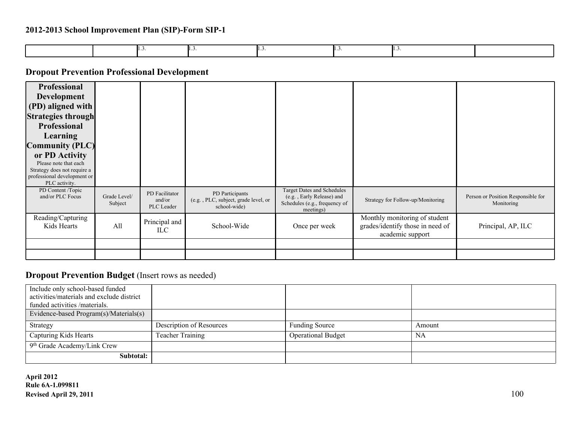### **Dropout Prevention Professional Development**

| <b>Professional</b><br><b>Development</b><br>(PD) aligned with<br><b>Strategies through</b><br><b>Professional</b><br>Learning<br><b>Community (PLC)</b><br>or PD Activity<br>Please note that each<br>Strategy does not require a<br>professional development or<br>PLC activity. |                         |                                        |                                                                         |                                                                                                              |                                                                                       |                                                  |
|------------------------------------------------------------------------------------------------------------------------------------------------------------------------------------------------------------------------------------------------------------------------------------|-------------------------|----------------------------------------|-------------------------------------------------------------------------|--------------------------------------------------------------------------------------------------------------|---------------------------------------------------------------------------------------|--------------------------------------------------|
| PD Content /Topic<br>and/or PLC Focus                                                                                                                                                                                                                                              | Grade Level/<br>Subject | PD Facilitator<br>and/or<br>PLC Leader | PD Participants<br>(e.g., PLC, subject, grade level, or<br>school-wide) | <b>Target Dates and Schedules</b><br>(e.g., Early Release) and<br>Schedules (e.g., frequency of<br>meetings) | Strategy for Follow-up/Monitoring                                                     | Person or Position Responsible for<br>Monitoring |
| Reading/Capturing<br>Kids Hearts                                                                                                                                                                                                                                                   | All                     | Principal and<br>ILC                   | School-Wide                                                             | Once per week                                                                                                | Monthly monitoring of student<br>grades/identify those in need of<br>academic support | Principal, AP, ILC                               |
|                                                                                                                                                                                                                                                                                    |                         |                                        |                                                                         |                                                                                                              |                                                                                       |                                                  |
|                                                                                                                                                                                                                                                                                    |                         |                                        |                                                                         |                                                                                                              |                                                                                       |                                                  |

#### **Dropout Prevention Budget** (Insert rows as needed)

| Include only school-based funded<br>activities/materials and exclude district<br>funded activities /materials. |                          |                           |        |
|----------------------------------------------------------------------------------------------------------------|--------------------------|---------------------------|--------|
| Evidence-based Program(s)/Materials(s)                                                                         |                          |                           |        |
| Strategy                                                                                                       | Description of Resources | <b>Funding Source</b>     | Amount |
| Capturing Kids Hearts                                                                                          | <b>Teacher Training</b>  | <b>Operational Budget</b> | NA     |
| 9 <sup>th</sup> Grade Academy/Link Crew                                                                        |                          |                           |        |
| Subtotal:                                                                                                      |                          |                           |        |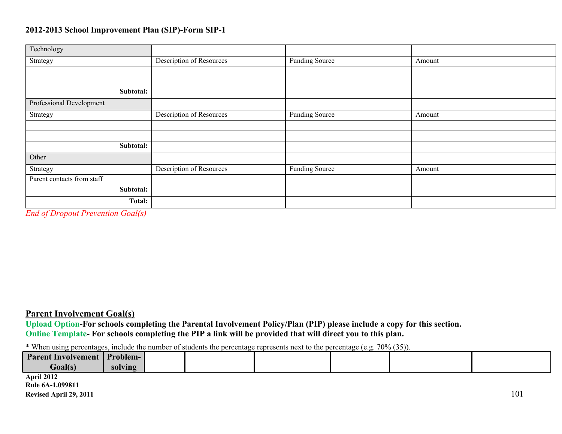| Technology                                                                |                                 |                       |        |  |
|---------------------------------------------------------------------------|---------------------------------|-----------------------|--------|--|
| Strategy                                                                  | Description of Resources        | Funding Source        | Amount |  |
|                                                                           |                                 |                       |        |  |
|                                                                           |                                 |                       |        |  |
| Subtotal:                                                                 |                                 |                       |        |  |
| Professional Development                                                  |                                 |                       |        |  |
| Strategy                                                                  | Description of Resources        | Funding Source        | Amount |  |
|                                                                           |                                 |                       |        |  |
|                                                                           |                                 |                       |        |  |
| Subtotal:                                                                 |                                 |                       |        |  |
| Other                                                                     |                                 |                       |        |  |
| Strategy                                                                  | <b>Description of Resources</b> | <b>Funding Source</b> | Amount |  |
| Parent contacts from staff                                                |                                 |                       |        |  |
| Subtotal:                                                                 |                                 |                       |        |  |
| Total:                                                                    |                                 |                       |        |  |
| - - - -<br><b>Contract Contract</b><br>$\sim$<br>$\overline{\phantom{a}}$ |                                 |                       |        |  |

*End of Dropout Prevention Goal(s)*

#### **Parent Involvement Goal(s)**

**Upload Option-For schools completing the Parental Involvement Policy/Plan (PIP) please include a copy for this section. Online Template- For schools completing the PIP a link will be provided that will direct you to this plan.**

\* When using percentages, include the number of students the percentage represents next to the percentage (e.g. 70% (35)).

| ___                       |                 |  |  |  |
|---------------------------|-----------------|--|--|--|
| <b>Parent Involvement</b> | <b>Problem-</b> |  |  |  |
| Goal(s)                   | solving         |  |  |  |
| April 2012                |                 |  |  |  |
|                           |                 |  |  |  |

**Rule 6A-1.099811 Revised April 29, 2011** 101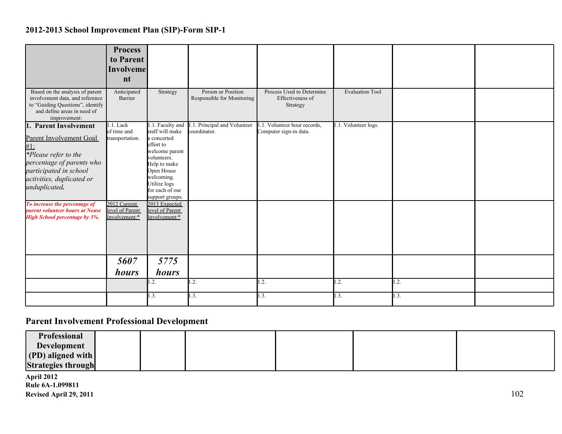| Based on the analysis of parent<br>involvement data, and reference<br>to "Guiding Questions", identify<br>and define areas in need of                                                                          | <b>Process</b><br>to Parent<br><b>Involveme</b><br>nt<br>Anticipated<br>Barrier | Strategy                                                                                                                                                                                           | Person or Position<br>Responsible for Monitoring | Process Used to Determine<br>Effectiveness of<br>Strategy | <b>Evaluation Tool</b> |      |  |
|----------------------------------------------------------------------------------------------------------------------------------------------------------------------------------------------------------------|---------------------------------------------------------------------------------|----------------------------------------------------------------------------------------------------------------------------------------------------------------------------------------------------|--------------------------------------------------|-----------------------------------------------------------|------------------------|------|--|
| improvement:<br>1. Parent Involvement<br><b>Parent Involvement Goal</b><br>$#1$ :<br>*Please refer to the<br>percentage of parents who<br>participated in school<br>activities, duplicated or<br>unduplicated. | 1.1. Lack<br>of time and<br>transportation.                                     | 1.1. Faculty and<br>staff will make<br>a concerted<br>effort to<br>welcome parent<br>volunteers.<br>Help to make<br>Open House<br>welcoming.<br>Utilize logs<br>for each of our<br>support groups. | .1. Principal and Volunteer<br>coordinator.      | .1. Volunteer hour records,<br>Computer sign-in data.     | 1.1. Volunteer logs.   |      |  |
| To increase the percentage of<br>parent volunteer hours at Nease<br><b>High School percentage by 3%.</b>                                                                                                       | 2012 Current<br>level of Parent<br>Involvement:*<br>5607<br>hours               | 2013 Expected<br>level of Parent<br>Involvement:*<br>5775<br><i>hours</i><br>$\cdot$ .                                                                                                             | 1.2.                                             | 1.2.                                                      | 1.2.                   | 1.2. |  |
|                                                                                                                                                                                                                |                                                                                 | $\mathbf{.3}$ .                                                                                                                                                                                    | 1.3.                                             | 1.3.                                                      | 1.3.                   | 1.3. |  |

# **Parent Involvement Professional Development**

| <b>Professional</b>               |  |  |  |
|-----------------------------------|--|--|--|
| <b>Development</b>                |  |  |  |
| $\vert$ (PD) aligned with $\vert$ |  |  |  |
| <b>Strategies through</b>         |  |  |  |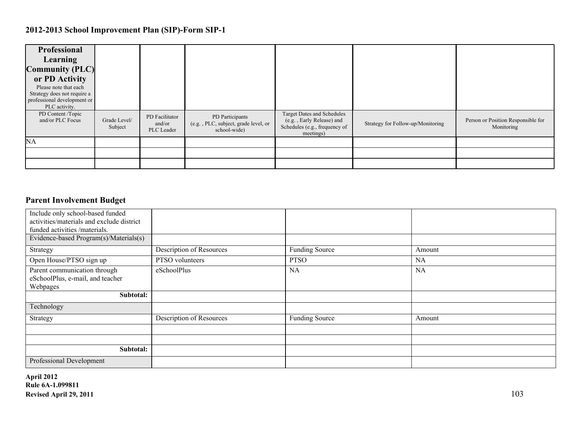| Professional<br>Learning<br><b>Community (PLC)</b><br>or PD Activity<br>Please note that each<br>Strategy does not require a<br>professional development or<br>PLC activity. |                         |                                        |                                                                         |                                                                                                              |                                   |                                                  |
|------------------------------------------------------------------------------------------------------------------------------------------------------------------------------|-------------------------|----------------------------------------|-------------------------------------------------------------------------|--------------------------------------------------------------------------------------------------------------|-----------------------------------|--------------------------------------------------|
| PD Content /Topic<br>and/or PLC Focus                                                                                                                                        | Grade Level/<br>Subject | PD Facilitator<br>and/or<br>PLC Leader | PD Participants<br>(e.g., PLC, subject, grade level, or<br>school-wide) | <b>Target Dates and Schedules</b><br>(e.g., Early Release) and<br>Schedules (e.g., frequency of<br>meetings) | Strategy for Follow-up/Monitoring | Person or Position Responsible for<br>Monitoring |
| <b>NA</b>                                                                                                                                                                    |                         |                                        |                                                                         |                                                                                                              |                                   |                                                  |
|                                                                                                                                                                              |                         |                                        |                                                                         |                                                                                                              |                                   |                                                  |
|                                                                                                                                                                              |                         |                                        |                                                                         |                                                                                                              |                                   |                                                  |

### **Parent Involvement Budget**

| Include only school-based funded          |                          |                       |           |
|-------------------------------------------|--------------------------|-----------------------|-----------|
| activities/materials and exclude district |                          |                       |           |
| funded activities /materials.             |                          |                       |           |
| Evidence-based Program(s)/Materials(s)    |                          |                       |           |
| Strategy                                  | Description of Resources | <b>Funding Source</b> | Amount    |
| Open House/PTSO sign up                   | PTSO volunteers          | <b>PTSO</b>           | <b>NA</b> |
| Parent communication through              | eSchoolPlus              | <b>NA</b>             | <b>NA</b> |
| eSchoolPlus, e-mail, and teacher          |                          |                       |           |
| Webpages                                  |                          |                       |           |
| Subtotal:                                 |                          |                       |           |
| Technology                                |                          |                       |           |
| Strategy                                  | Description of Resources | <b>Funding Source</b> | Amount    |
|                                           |                          |                       |           |
|                                           |                          |                       |           |
| Subtotal:                                 |                          |                       |           |
| Professional Development                  |                          |                       |           |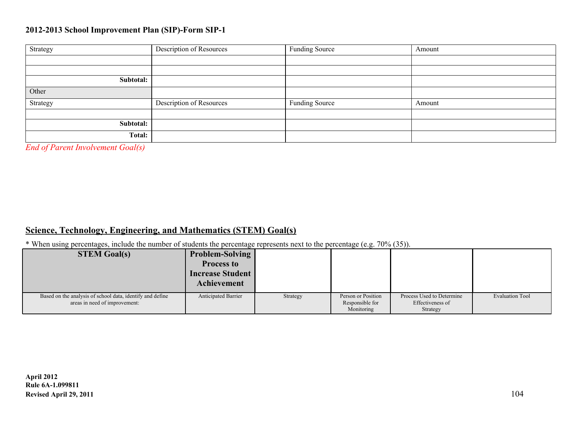| Strategy  | Description of Resources | Funding Source | Amount |
|-----------|--------------------------|----------------|--------|
|           |                          |                |        |
|           |                          |                |        |
| Subtotal: |                          |                |        |
| Other     |                          |                |        |
| Strategy  | Description of Resources | Funding Source | Amount |
|           |                          |                |        |
| Subtotal: |                          |                |        |
| Total:    |                          |                |        |

*End of Parent Involvement Goal(s)*

#### **Science, Technology, Engineering, and Mathematics (STEM) Goal(s)**

\* When using percentages, include the number of students the percentage represents next to the percentage (e.g. 70% (35)).

| <b>STEM Goal(s)</b>                                                                        | <b>Problem-Solving</b><br><b>Process to</b><br><b>Increase Student</b><br><b>Achievement</b> |          |                                                     |                                                           |                        |
|--------------------------------------------------------------------------------------------|----------------------------------------------------------------------------------------------|----------|-----------------------------------------------------|-----------------------------------------------------------|------------------------|
| Based on the analysis of school data, identify and define<br>areas in need of improvement: | <b>Anticipated Barrier</b>                                                                   | Strategy | Person or Position<br>Responsible for<br>Monitoring | Process Used to Determine<br>Effectiveness of<br>Strategy | <b>Evaluation Tool</b> |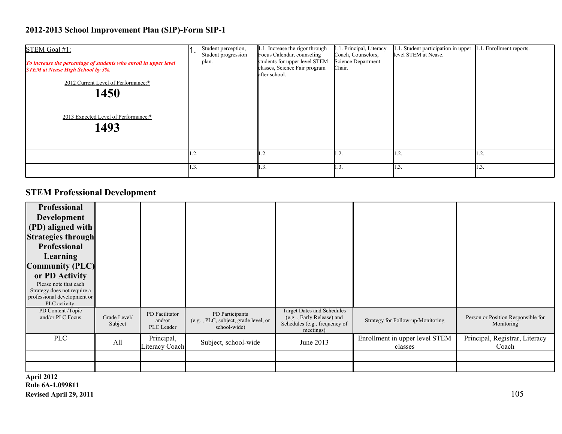| STEM Goal #1:<br>To increase the percentage of students who enroll in upper level<br><b>STEM</b> at Nease High School by 3%.<br>2012 Current Level of Performance:*<br>1450<br>2013 Expected Level of Performance:*<br>1493 | Student perception,<br>Student progression<br>plan. | 1.1. Increase the rigor through<br>Focus Calendar, counseling<br>students for upper level STEM<br>classes, Science Fair program<br>after school. | .1. Principal, Literacy<br>Coach, Counselors,<br>Science Department<br>Chair. | 1.1. Student participation in upper<br>level STEM at Nease. | .1. Enrollment reports. |
|-----------------------------------------------------------------------------------------------------------------------------------------------------------------------------------------------------------------------------|-----------------------------------------------------|--------------------------------------------------------------------------------------------------------------------------------------------------|-------------------------------------------------------------------------------|-------------------------------------------------------------|-------------------------|
|                                                                                                                                                                                                                             | $\cdot$ .                                           | 1.2.                                                                                                                                             | .2                                                                            | ، ک                                                         | 1.4.                    |
|                                                                                                                                                                                                                             | $\mathbf{1.3}$                                      | 1.3.                                                                                                                                             | 1.3.                                                                          |                                                             | 1.3.                    |

# **STEM Professional Development**

| <b>Professional</b><br><b>Development</b><br>(PD) aligned with<br><b>Strategies through</b><br><b>Professional</b><br>Learning<br><b>Community (PLC)</b><br>or PD Activity<br>Please note that each<br>Strategy does not require a<br>professional development or<br>PLC activity. |                         |                                        |                                                                         |                                                                                                              |                                           |                                                  |
|------------------------------------------------------------------------------------------------------------------------------------------------------------------------------------------------------------------------------------------------------------------------------------|-------------------------|----------------------------------------|-------------------------------------------------------------------------|--------------------------------------------------------------------------------------------------------------|-------------------------------------------|--------------------------------------------------|
| PD Content /Topic<br>and/or PLC Focus                                                                                                                                                                                                                                              | Grade Level/<br>Subject | PD Facilitator<br>and/or<br>PLC Leader | PD Participants<br>(e.g., PLC, subject, grade level, or<br>school-wide) | <b>Target Dates and Schedules</b><br>(e.g., Early Release) and<br>Schedules (e.g., frequency of<br>meetings) | Strategy for Follow-up/Monitoring         | Person or Position Responsible for<br>Monitoring |
| <b>PLC</b>                                                                                                                                                                                                                                                                         | All                     | Principal,<br>Literacy Coach           | Subject, school-wide                                                    | June 2013                                                                                                    | Enrollment in upper level STEM<br>classes | Principal, Registrar, Literacy<br>Coach          |
|                                                                                                                                                                                                                                                                                    |                         |                                        |                                                                         |                                                                                                              |                                           |                                                  |
|                                                                                                                                                                                                                                                                                    |                         |                                        |                                                                         |                                                                                                              |                                           |                                                  |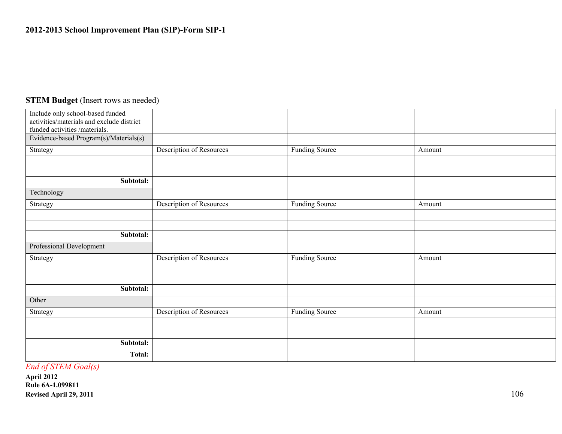#### **STEM Budget** (Insert rows as needed)

| Include only school-based funded          |                                 |                       |        |
|-------------------------------------------|---------------------------------|-----------------------|--------|
| activities/materials and exclude district |                                 |                       |        |
| funded activities /materials.             |                                 |                       |        |
| Evidence-based Program(s)/Materials(s)    |                                 |                       |        |
| Strategy                                  | <b>Description of Resources</b> | Funding Source        | Amount |
|                                           |                                 |                       |        |
|                                           |                                 |                       |        |
| Subtotal:                                 |                                 |                       |        |
| Technology                                |                                 |                       |        |
| Strategy                                  | Description of Resources        | <b>Funding Source</b> | Amount |
|                                           |                                 |                       |        |
|                                           |                                 |                       |        |
| Subtotal:                                 |                                 |                       |        |
| Professional Development                  |                                 |                       |        |
| Strategy                                  | Description of Resources        | <b>Funding Source</b> | Amount |
|                                           |                                 |                       |        |
|                                           |                                 |                       |        |
| Subtotal:                                 |                                 |                       |        |
| Other                                     |                                 |                       |        |
| Strategy                                  | <b>Description of Resources</b> | <b>Funding Source</b> | Amount |
|                                           |                                 |                       |        |
|                                           |                                 |                       |        |
| Subtotal:                                 |                                 |                       |        |
| <b>Total:</b>                             |                                 |                       |        |

*End of STEM Goal(s)*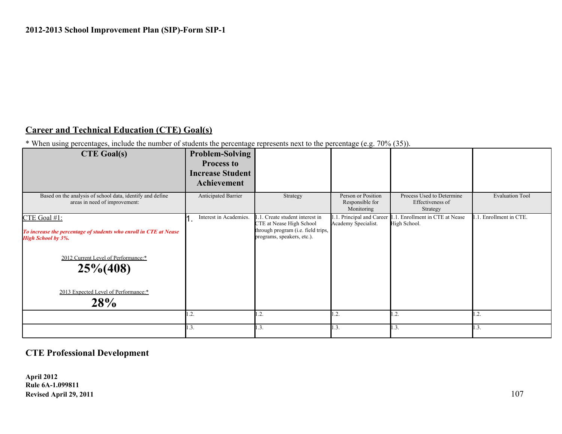### **Career and Technical Education (CTE) Goal(s)**

\* When using percentages, include the number of students the percentage represents next to the percentage (e.g. 70% (35)).

| <b>CTE Goal(s)</b>                                                                                                                                                                                                   | Problem-Solving<br><b>Process to</b><br><b>Increase Student</b><br>Achievement |                                                                                                                            |                                                     |                                                           |                        |
|----------------------------------------------------------------------------------------------------------------------------------------------------------------------------------------------------------------------|--------------------------------------------------------------------------------|----------------------------------------------------------------------------------------------------------------------------|-----------------------------------------------------|-----------------------------------------------------------|------------------------|
| Based on the analysis of school data, identify and define<br>areas in need of improvement:                                                                                                                           | Anticipated Barrier                                                            | Strategy                                                                                                                   | Person or Position<br>Responsible for<br>Monitoring | Process Used to Determine<br>Effectiveness of<br>Strategy | <b>Evaluation Tool</b> |
| CTE Goal #1:<br>To increase the percentage of students who enroll in CTE at Nease<br><b>High School by 3%.</b><br>2012 Current Level of Performance:*<br>$25\% (408)$<br>2013 Expected Level of Performance:*<br>28% | Interest in Academies.                                                         | Create student interest in<br>CTE at Nease High School<br>through program (i.e. field trips,<br>programs, speakers, etc.). | .1. Principal and Career<br>Academy Specialist.     | .1. Enrollment in CTE at Nease<br>High School.            | .1. Enrollment in CTE. |
|                                                                                                                                                                                                                      | .2.                                                                            | $1.\overline{2}$ .                                                                                                         | .2.                                                 | $\mathbf{1.2}$                                            | .2.                    |
|                                                                                                                                                                                                                      | 1.3.                                                                           | 1.3.                                                                                                                       | 1.3.                                                | 1.3.                                                      | 1.3.                   |

### **CTE Professional Development**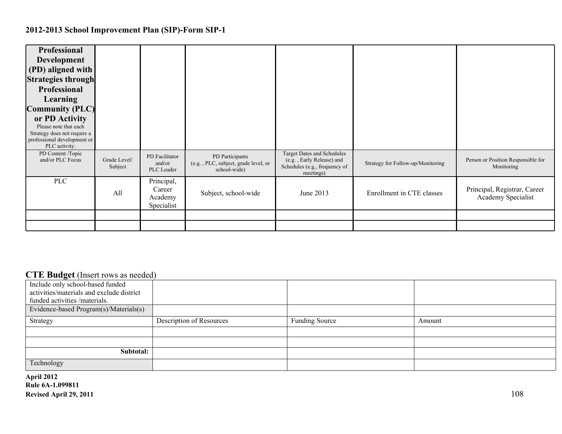| <b>Professional</b><br>Development<br>(PD) aligned with<br><b>Strategies through</b><br>Professional<br>Learning<br><b>Community (PLC)</b><br>or PD Activity<br>Please note that each<br>Strategy does not require a<br>professional development or<br>PLC activity. |                         |                                               |                                                                         |                                                                                                              |                                   |                                                    |
|----------------------------------------------------------------------------------------------------------------------------------------------------------------------------------------------------------------------------------------------------------------------|-------------------------|-----------------------------------------------|-------------------------------------------------------------------------|--------------------------------------------------------------------------------------------------------------|-----------------------------------|----------------------------------------------------|
| PD Content /Topic<br>and/or PLC Focus                                                                                                                                                                                                                                | Grade Level/<br>Subject | PD Facilitator<br>and/or<br>PLC Leader        | PD Participants<br>(e.g., PLC, subject, grade level, or<br>school-wide) | <b>Target Dates and Schedules</b><br>(e.g., Early Release) and<br>Schedules (e.g., frequency of<br>meetings) | Strategy for Follow-up/Monitoring | Person or Position Responsible for<br>Monitoring   |
| <b>PLC</b>                                                                                                                                                                                                                                                           | All                     | Principal,<br>Career<br>Academy<br>Specialist | Subject, school-wide                                                    | June 2013                                                                                                    | Enrollment in CTE classes         | Principal, Registrar, Career<br>Academy Specialist |
|                                                                                                                                                                                                                                                                      |                         |                                               |                                                                         |                                                                                                              |                                   |                                                    |
|                                                                                                                                                                                                                                                                      |                         |                                               |                                                                         |                                                                                                              |                                   |                                                    |

#### **CTE Budget** (Insert rows as needed)

| Include only school-based funded          |                          |                       |        |
|-------------------------------------------|--------------------------|-----------------------|--------|
| activities/materials and exclude district |                          |                       |        |
| funded activities /materials.             |                          |                       |        |
| Evidence-based Program(s)/Materials(s)    |                          |                       |        |
| Strategy                                  | Description of Resources | <b>Funding Source</b> | Amount |
|                                           |                          |                       |        |
|                                           |                          |                       |        |
| Subtotal:                                 |                          |                       |        |
| Technology                                |                          |                       |        |
|                                           |                          |                       |        |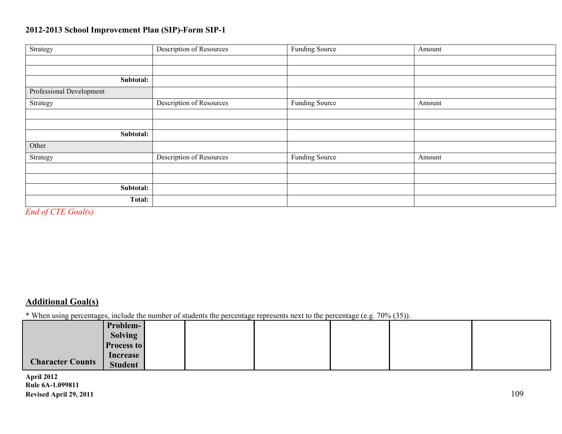| Strategy                 | Description of Resources        | <b>Funding Source</b> | Amount |
|--------------------------|---------------------------------|-----------------------|--------|
|                          |                                 |                       |        |
|                          |                                 |                       |        |
| Subtotal:                |                                 |                       |        |
| Professional Development |                                 |                       |        |
| Strategy                 | Description of Resources        | <b>Funding Source</b> | Amount |
|                          |                                 |                       |        |
|                          |                                 |                       |        |
| Subtotal:                |                                 |                       |        |
| Other                    |                                 |                       |        |
| Strategy                 | <b>Description of Resources</b> | <b>Funding Source</b> | Amount |
|                          |                                 |                       |        |
|                          |                                 |                       |        |
| Subtotal:                |                                 |                       |        |
| Total:                   |                                 |                       |        |

*End of CTE Goal(s)*

## **Additional Goal(s)**

\* When using percentages, include the number of students the percentage represents next to the percentage (e.g. 70% (35)).

| ັບ                      |                   |  |  |  |  |
|-------------------------|-------------------|--|--|--|--|
|                         | Problem-          |  |  |  |  |
|                         | <b>Solving</b>    |  |  |  |  |
|                         | <b>Process to</b> |  |  |  |  |
|                         | Increase          |  |  |  |  |
| <b>Character Counts</b> | Student           |  |  |  |  |

**April 2012 Rule 6A-1.099811 Revised April 29, 2011** 109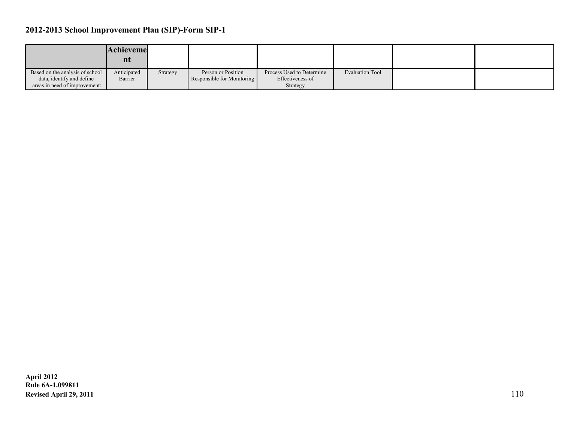|                                 | Achieveme<br>nt |          |                            |                           |                        |  |
|---------------------------------|-----------------|----------|----------------------------|---------------------------|------------------------|--|
| Based on the analysis of school | Anticipated     | Strategy | Person or Position         | Process Used to Determine | <b>Evaluation Tool</b> |  |
| data, identify and define       | Barrier         |          | Responsible for Monitoring | Effectiveness of          |                        |  |
| areas in need of improvement:   |                 |          |                            | Strategy                  |                        |  |

**April 2012 Rule 6A-1.099811 Revised April 29, 2011** 110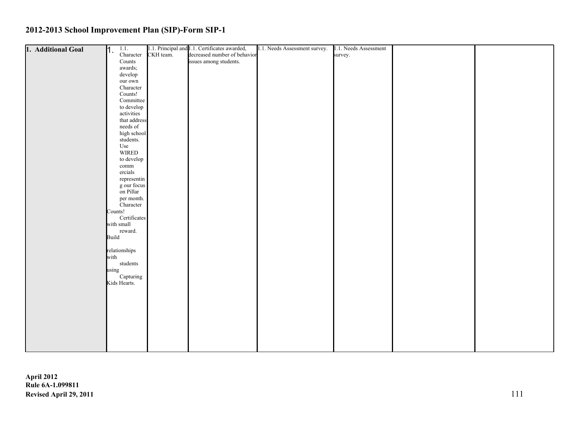| 1. Additional Goal | 1.1.<br>h.    |                          |           | 1.1. Principal and 1.1. Certificates awarded, | 1.1. Needs Assessment survey. | 1.1. Needs Assessment |  |
|--------------------|---------------|--------------------------|-----------|-----------------------------------------------|-------------------------------|-----------------------|--|
|                    |               | Character                | CKH team. | decreased number of behavior                  |                               | survey.               |  |
|                    |               | $\rm{Counds}$            |           | issues among students.                        |                               |                       |  |
|                    |               | awards;                  |           |                                               |                               |                       |  |
|                    |               | develop                  |           |                                               |                               |                       |  |
|                    |               | our own                  |           |                                               |                               |                       |  |
|                    |               | Character                |           |                                               |                               |                       |  |
|                    |               | Counts!                  |           |                                               |                               |                       |  |
|                    |               | Committee                |           |                                               |                               |                       |  |
|                    |               | to develop               |           |                                               |                               |                       |  |
|                    |               | activities               |           |                                               |                               |                       |  |
|                    |               | that address             |           |                                               |                               |                       |  |
|                    |               | needs of                 |           |                                               |                               |                       |  |
|                    |               | high school              |           |                                               |                               |                       |  |
|                    |               | students.                |           |                                               |                               |                       |  |
|                    | Use           |                          |           |                                               |                               |                       |  |
|                    |               | WIRED                    |           |                                               |                               |                       |  |
|                    |               | to develop               |           |                                               |                               |                       |  |
|                    |               | $\operatorname{comm}$    |           |                                               |                               |                       |  |
|                    |               | ercials                  |           |                                               |                               |                       |  |
|                    |               | representin              |           |                                               |                               |                       |  |
|                    |               | g our focus<br>on Pillar |           |                                               |                               |                       |  |
|                    |               |                          |           |                                               |                               |                       |  |
|                    |               | per month.<br>Character  |           |                                               |                               |                       |  |
|                    | Counts!       |                          |           |                                               |                               |                       |  |
|                    |               | Certificates             |           |                                               |                               |                       |  |
|                    | with small    |                          |           |                                               |                               |                       |  |
|                    |               | reward.                  |           |                                               |                               |                       |  |
|                    | Build         |                          |           |                                               |                               |                       |  |
|                    |               |                          |           |                                               |                               |                       |  |
|                    | relationships |                          |           |                                               |                               |                       |  |
|                    | with          |                          |           |                                               |                               |                       |  |
|                    |               | students                 |           |                                               |                               |                       |  |
|                    | using         |                          |           |                                               |                               |                       |  |
|                    |               | Capturing                |           |                                               |                               |                       |  |
|                    | Kids Hearts.  |                          |           |                                               |                               |                       |  |
|                    |               |                          |           |                                               |                               |                       |  |
|                    |               |                          |           |                                               |                               |                       |  |
|                    |               |                          |           |                                               |                               |                       |  |
|                    |               |                          |           |                                               |                               |                       |  |
|                    |               |                          |           |                                               |                               |                       |  |
|                    |               |                          |           |                                               |                               |                       |  |
|                    |               |                          |           |                                               |                               |                       |  |
|                    |               |                          |           |                                               |                               |                       |  |
|                    |               |                          |           |                                               |                               |                       |  |
|                    |               |                          |           |                                               |                               |                       |  |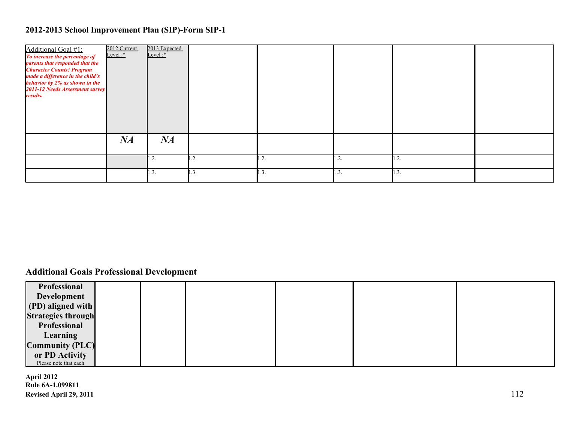| Additional Goal #1:<br>To increase the percentage of<br>parents that responded that the<br><b>Character Counts! Program</b><br>made a difference in the child's<br>behavior by 2% as shown in the<br>2011-12 Needs Assessment survey<br>results. | 2012 Current<br>Level:* | 2013 Expected<br>Level: $*$ |      |             |      |                  |  |
|--------------------------------------------------------------------------------------------------------------------------------------------------------------------------------------------------------------------------------------------------|-------------------------|-----------------------------|------|-------------|------|------------------|--|
|                                                                                                                                                                                                                                                  | NA                      | NA                          |      |             |      |                  |  |
|                                                                                                                                                                                                                                                  |                         | 1.2.                        | 1.2. | $\cdot$ .2. | 1.2. | 1.2.             |  |
|                                                                                                                                                                                                                                                  |                         | 1.3.                        | 1.3. | 1.3.        | 1.3. | $\mathbf{1.3}$ . |  |

## **Additional Goals Professional Development**

| Professional              |  |  |  |
|---------------------------|--|--|--|
| Development               |  |  |  |
| (PD) aligned with         |  |  |  |
| <b>Strategies through</b> |  |  |  |
| Professional              |  |  |  |
| <b>Learning</b>           |  |  |  |
| <b>Community (PLC)</b>    |  |  |  |
| or PD Activity            |  |  |  |
| Please note that each     |  |  |  |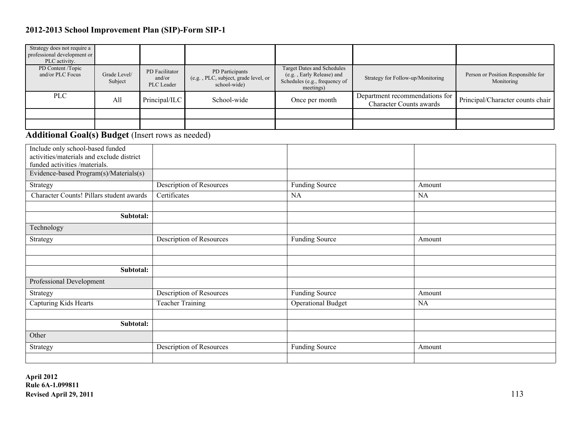| Strategy does not require a<br>professional development or<br>PLC activity.                                                                              |                         |                                        |                                                                         |                                                                                                              |                                                                  |           |                                                  |
|----------------------------------------------------------------------------------------------------------------------------------------------------------|-------------------------|----------------------------------------|-------------------------------------------------------------------------|--------------------------------------------------------------------------------------------------------------|------------------------------------------------------------------|-----------|--------------------------------------------------|
| PD Content /Topic<br>and/or PLC Focus                                                                                                                    | Grade Level/<br>Subject | PD Facilitator<br>and/or<br>PLC Leader | PD Participants<br>(e.g., PLC, subject, grade level, or<br>school-wide) | <b>Target Dates and Schedules</b><br>(e.g., Early Release) and<br>Schedules (e.g., frequency of<br>meetings) | Strategy for Follow-up/Monitoring                                |           | Person or Position Responsible for<br>Monitoring |
| <b>PLC</b>                                                                                                                                               | All                     | Principal/ILC                          | School-wide                                                             | Once per month                                                                                               | Department recommendations for<br><b>Character Counts awards</b> |           | Principal/Character counts chair                 |
|                                                                                                                                                          |                         |                                        |                                                                         |                                                                                                              |                                                                  |           |                                                  |
|                                                                                                                                                          |                         |                                        |                                                                         |                                                                                                              |                                                                  |           |                                                  |
| <b>Additional Goal(s) Budget (Insert rows as needed)</b>                                                                                                 |                         |                                        |                                                                         |                                                                                                              |                                                                  |           |                                                  |
| Include only school-based funded<br>activities/materials and exclude district<br>funded activities /materials.<br>Evidence-based Program(s)/Materials(s) |                         |                                        |                                                                         |                                                                                                              |                                                                  |           |                                                  |
| Strategy                                                                                                                                                 |                         |                                        | <b>Description of Resources</b>                                         | <b>Funding Source</b>                                                                                        |                                                                  | Amount    |                                                  |
| Character Counts! Pillars student awards                                                                                                                 |                         | Certificates                           |                                                                         | <b>NA</b>                                                                                                    |                                                                  | <b>NA</b> |                                                  |
|                                                                                                                                                          |                         |                                        |                                                                         |                                                                                                              |                                                                  |           |                                                  |
|                                                                                                                                                          | Subtotal:               |                                        |                                                                         |                                                                                                              |                                                                  |           |                                                  |
| Technology                                                                                                                                               |                         |                                        |                                                                         |                                                                                                              |                                                                  |           |                                                  |
| Strategy                                                                                                                                                 |                         |                                        | Description of Resources                                                | <b>Funding Source</b>                                                                                        |                                                                  | Amount    |                                                  |
|                                                                                                                                                          |                         |                                        |                                                                         |                                                                                                              |                                                                  |           |                                                  |
|                                                                                                                                                          |                         |                                        |                                                                         |                                                                                                              |                                                                  |           |                                                  |
|                                                                                                                                                          | Subtotal:               |                                        |                                                                         |                                                                                                              |                                                                  |           |                                                  |
| Professional Development                                                                                                                                 |                         |                                        |                                                                         |                                                                                                              |                                                                  |           |                                                  |
| Strategy                                                                                                                                                 |                         |                                        | Description of Resources                                                | <b>Funding Source</b>                                                                                        |                                                                  | Amount    |                                                  |
| Capturing Kids Hearts                                                                                                                                    |                         | <b>Teacher Training</b>                |                                                                         | <b>Operational Budget</b>                                                                                    |                                                                  | NA        |                                                  |
|                                                                                                                                                          |                         |                                        |                                                                         |                                                                                                              |                                                                  |           |                                                  |
|                                                                                                                                                          | Subtotal:               |                                        |                                                                         |                                                                                                              |                                                                  |           |                                                  |
| Other                                                                                                                                                    |                         |                                        |                                                                         |                                                                                                              |                                                                  |           |                                                  |
| Strategy                                                                                                                                                 |                         |                                        | Description of Resources                                                | <b>Funding Source</b>                                                                                        |                                                                  | Amount    |                                                  |
|                                                                                                                                                          |                         |                                        |                                                                         |                                                                                                              |                                                                  |           |                                                  |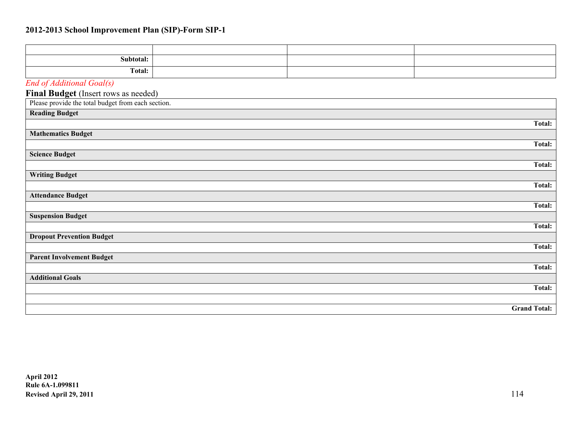| Subtotal:                                          |  |                     |
|----------------------------------------------------|--|---------------------|
| <b>Total:</b>                                      |  |                     |
| End of Additional Goal(s)                          |  |                     |
| Final Budget (Insert rows as needed)               |  |                     |
| Please provide the total budget from each section. |  |                     |
| <b>Reading Budget</b>                              |  |                     |
|                                                    |  | Total:              |
| <b>Mathematics Budget</b>                          |  |                     |
|                                                    |  | <b>Total:</b>       |
| <b>Science Budget</b>                              |  |                     |
|                                                    |  | <b>Total:</b>       |
| <b>Writing Budget</b>                              |  |                     |
|                                                    |  | <b>Total:</b>       |
| <b>Attendance Budget</b>                           |  |                     |
|                                                    |  | Total:              |
| <b>Suspension Budget</b>                           |  |                     |
|                                                    |  | <b>Total:</b>       |
| <b>Dropout Prevention Budget</b>                   |  | Total:              |
|                                                    |  |                     |
| <b>Parent Involvement Budget</b>                   |  | <b>Total:</b>       |
| <b>Additional Goals</b>                            |  |                     |
|                                                    |  | <b>Total:</b>       |
|                                                    |  |                     |
|                                                    |  | <b>Grand Total:</b> |
|                                                    |  |                     |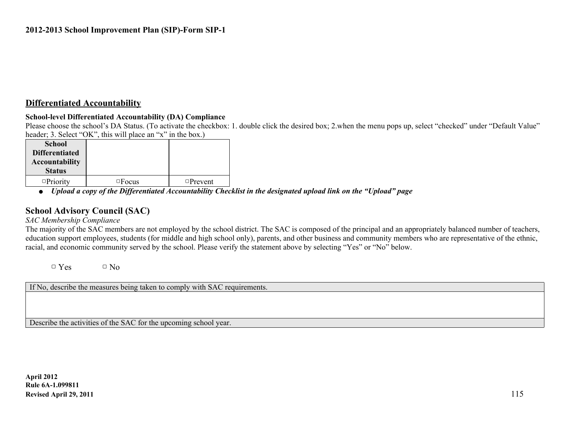#### **Differentiated Accountability**

#### **School-level Differentiated Accountability (DA) Compliance**

Please choose the school's DA Status. (To activate the checkbox: 1. double click the desired box; 2, when the menu pops up, select "checked" under "Default Value" header: 3. Select "OK", this will place an "x" in the box.)

| <b>School</b>         |              |                |  |
|-----------------------|--------------|----------------|--|
| <b>Differentiated</b> |              |                |  |
|                       |              |                |  |
| <b>Accountability</b> |              |                |  |
| <b>Status</b>         |              |                |  |
| $\Box$ Priority       | $\Box$ Focus | $\Box$ Prevent |  |

● *Upload a copy of the Differentiated Accountability Checklist in the designated upload link on the "Upload" page*

#### **School Advisory Council (SAC)**

*SAC Membership Compliance*

The majority of the SAC members are not employed by the school district. The SAC is composed of the principal and an appropriately balanced number of teachers, education support employees, students (for middle and high school only), parents, and other business and community members who are representative of the ethnic, racial, and economic community served by the school. Please verify the statement above by selecting "Yes" or "No" below.

 $\Box$  Yes  $\Box$  No

If No, describe the measures being taken to comply with SAC requirements.

Describe the activities of the SAC for the upcoming school year.